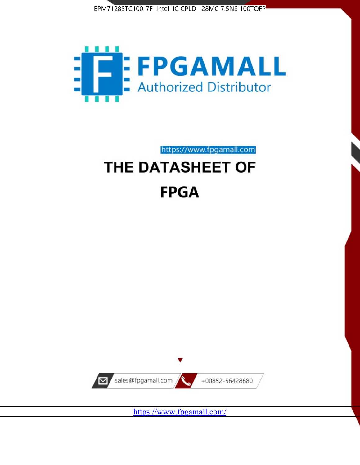



https://www.fpgamall.com

# THE DATASHEET OF **FPGA**



<https://www.fpgamall.com/>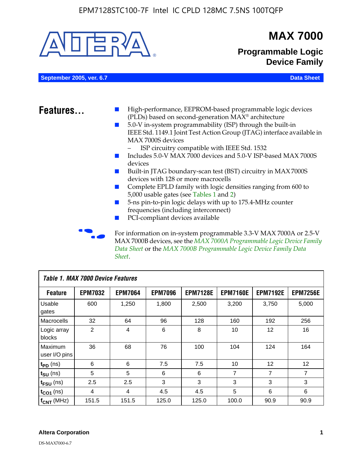

MAX 7000B devices, see the *MAX 7000A Programmable Logic Device Family Data Sheet* or the *MAX 7000B Programmable Logic Device Family Data Sheet*.

| <b>Table 1. MAX 7000 Device Features</b> |                |                |                |                 |                 |                 |                 |  |
|------------------------------------------|----------------|----------------|----------------|-----------------|-----------------|-----------------|-----------------|--|
| <b>Feature</b>                           | <b>EPM7032</b> | <b>EPM7064</b> | <b>EPM7096</b> | <b>EPM7128E</b> | <b>EPM7160E</b> | <b>EPM7192E</b> | <b>EPM7256E</b> |  |
| Usable<br>gates                          | 600            | 1,250          | 1,800          | 2,500           | 3,200           | 3,750           | 5,000           |  |
| Macrocells                               | 32             | 64             | 96             | 128             | 160             | 192             | 256             |  |
| Logic array<br>blocks                    | 2              | 4              | 6              | 8               | 10              | 12              | 16              |  |
| Maximum<br>user I/O pins                 | 36             | 68             | 76             | 100             | 104             | 124             | 164             |  |
| $t_{PD}$ (ns)                            | 6              | 6              | 7.5            | 7.5             | 10              | 12              | 12              |  |
| $t_{\text{SU}}$ (ns)                     | 5              | 5              | 6              | 6               | 7               | 7               | 7               |  |
| $t_{\text{FSU}}$ (ns)                    | 2.5            | 2.5            | 3              | 3               | 3               | 3               | 3               |  |
| $t_{CO1}$ (ns)                           | 4              | 4              | 4.5            | 4.5             | 5               | 6               | 6               |  |
| $f_{CNT}$ (MHz)                          | 151.5          | 151.5          | 125.0          | 125.0           | 100.0           | 90.9            | 90.9            |  |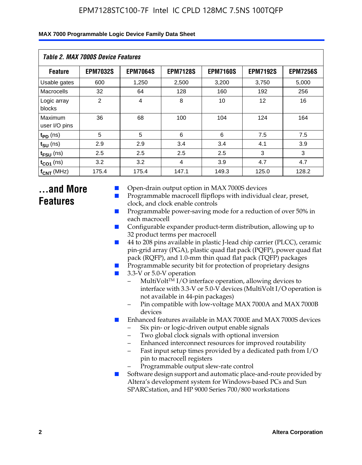| Table 2. MAX 7000S Device Features |                 |                 |                 |                 |                 |                 |  |  |
|------------------------------------|-----------------|-----------------|-----------------|-----------------|-----------------|-----------------|--|--|
| <b>Feature</b>                     | <b>EPM7032S</b> | <b>EPM7064S</b> | <b>EPM7128S</b> | <b>EPM7160S</b> | <b>EPM7192S</b> | <b>EPM7256S</b> |  |  |
| Usable gates                       | 600             | 1,250           | 2,500           | 3,200           | 3,750           | 5,000           |  |  |
| Macrocells                         | 32              | 64              | 128             | 160             | 192             | 256             |  |  |
| Logic array<br>blocks              | 2               | $\overline{4}$  | 8               | 10              | 12              | 16              |  |  |
| Maximum<br>user I/O pins           | 36              | 68              | 100             | 104             | 124             | 164             |  |  |
| $t_{PD}$ (ns)                      | 5               | 5               | 6               | 6               | 7.5             | 7.5             |  |  |
| $t_{\text{SU}}$ (ns)               | 2.9             | 2.9             | 3.4             | 3.4             | 4.1             | 3.9             |  |  |
| $t_{\text{FSU}}$ (ns)              | 2.5             | 2.5             | 2.5             | 2.5             | 3               | 3               |  |  |
| $t_{CO1}$ (ns)                     | 3.2             | 3.2             | 4               | 3.9             | 4.7             | 4.7             |  |  |
| $f_{CNT}$ (MHz)                    | 175.4           | 175.4           | 147.1           | 149.3           | 125.0           | 128.2           |  |  |

# **...and More Features**

- Open-drain output option in MAX 7000S devices
- Programmable macrocell flipflops with individual clear, preset, clock, and clock enable controls
- Programmable power-saving mode for a reduction of over 50% in each macrocell
- Configurable expander product-term distribution, allowing up to 32 product terms per macrocell
- 44 to 208 pins available in plastic J-lead chip carrier (PLCC), ceramic pin-grid array (PGA), plastic quad flat pack (PQFP), power quad flat pack (RQFP), and 1.0-mm thin quad flat pack (TQFP) packages
- Programmable security bit for protection of proprietary designs
- 3.3-V or 5.0-V operation
	- MultiVolt<sup>TM</sup> I/O interface operation, allowing devices to interface with 3.3-V or 5.0-V devices (MultiVolt I/O operation is not available in 44-pin packages)
	- Pin compatible with low-voltage MAX 7000A and MAX 7000B devices
- Enhanced features available in MAX 7000E and MAX 7000S devices
	- Six pin- or logic-driven output enable signals
	- Two global clock signals with optional inversion
	- Enhanced interconnect resources for improved routability
	- Fast input setup times provided by a dedicated path from I/O pin to macrocell registers
	- Programmable output slew-rate control
- Software design support and automatic place-and-route provided by Altera's development system for Windows-based PCs and Sun SPARCstation, and HP 9000 Series 700/800 workstations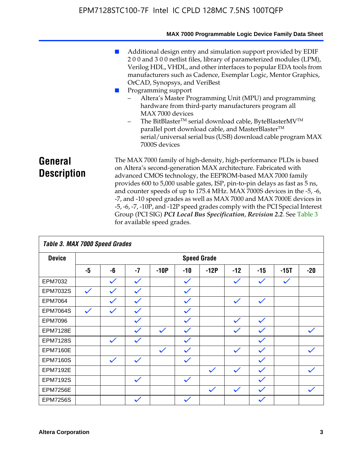|                               | MAX 7000 Programmable Logic Device Family Data Sheet                                                                                                                                                                                                                                                                                                                                                                                                                                                                                                                                                                                                                          |
|-------------------------------|-------------------------------------------------------------------------------------------------------------------------------------------------------------------------------------------------------------------------------------------------------------------------------------------------------------------------------------------------------------------------------------------------------------------------------------------------------------------------------------------------------------------------------------------------------------------------------------------------------------------------------------------------------------------------------|
|                               | Additional design entry and simulation support provided by EDIF<br>200 and 300 netlist files, library of parameterized modules (LPM),<br>Verilog HDL, VHDL, and other interfaces to popular EDA tools from<br>manufacturers such as Cadence, Exemplar Logic, Mentor Graphics,<br>OrCAD, Synopsys, and VeriBest<br>Programming support<br>Altera's Master Programming Unit (MPU) and programming<br>hardware from third-party manufacturers program all<br>MAX 7000 devices<br>The BitBlaster™ serial download cable, ByteBlasterMV™<br>-<br>parallel port download cable, and MasterBlaster™<br>serial/universal serial bus (USB) download cable program MAX<br>7000S devices |
| General<br><b>Description</b> | The MAX 7000 family of high-density, high-performance PLDs is based<br>on Altera's second-generation MAX architecture. Fabricated with<br>advanced CMOS technology, the EEPROM-based MAX 7000 family<br>provides 600 to 5,000 usable gates, ISP, pin-to-pin delays as fast as 5 ns,<br>and counter speeds of up to 175.4 MHz. MAX 7000S devices in the -5, -6,<br>-7, and -10 speed grades as well as MAX 7000 and MAX 7000E devices in<br>-5, -6, -7, -10P, and -12P speed grades comply with the PCI Special Interest<br>Group (PCI SIG) PCI Local Bus Specification, Revision 2.2. See Table 3                                                                             |

| Table 3. MAX 7000 Speed Grades |              |              |              |              |              |                    |              |              |              |              |
|--------------------------------|--------------|--------------|--------------|--------------|--------------|--------------------|--------------|--------------|--------------|--------------|
| <b>Device</b>                  |              |              |              |              |              | <b>Speed Grade</b> |              |              |              |              |
|                                | -5           | -6           | $-7$         | $-10P$       | $-10$        | $-12P$             | $-12$        | $-15$        | $-15T$       | $-20$        |
| EPM7032                        |              | $\checkmark$ | $\checkmark$ |              | $\checkmark$ |                    | $\checkmark$ | $\checkmark$ | $\checkmark$ |              |
| EPM7032S                       | $\checkmark$ | $\checkmark$ | $\checkmark$ |              | $\checkmark$ |                    |              |              |              |              |
| <b>EPM7064</b>                 |              | $\checkmark$ | $\checkmark$ |              | $\checkmark$ |                    | $\checkmark$ | $\checkmark$ |              |              |
| <b>EPM7064S</b>                | $\checkmark$ | $\checkmark$ | $\checkmark$ |              | $\checkmark$ |                    |              |              |              |              |
| <b>EPM7096</b>                 |              |              | $\checkmark$ |              | $\checkmark$ |                    | $\checkmark$ | $\checkmark$ |              |              |
| <b>EPM7128E</b>                |              |              | $\checkmark$ | $\checkmark$ | $\checkmark$ |                    | $\checkmark$ | $\checkmark$ |              | $\checkmark$ |
| <b>EPM7128S</b>                |              | $\checkmark$ | $\checkmark$ |              | $\checkmark$ |                    |              | $\checkmark$ |              |              |
| <b>EPM7160E</b>                |              |              |              | $\checkmark$ | $\checkmark$ |                    | $\checkmark$ | $\checkmark$ |              | $\checkmark$ |
| <b>EPM7160S</b>                |              | $\checkmark$ | $\checkmark$ |              | $\checkmark$ |                    |              | $\checkmark$ |              |              |
| <b>EPM7192E</b>                |              |              |              |              |              | $\checkmark$       | $\checkmark$ | $\checkmark$ |              |              |
| <b>EPM7192S</b>                |              |              | $\checkmark$ |              | $\checkmark$ |                    |              | $\checkmark$ |              |              |
| <b>EPM7256E</b>                |              |              |              |              |              | $\checkmark$       | $\checkmark$ | $\checkmark$ |              | $\checkmark$ |
| <b>EPM7256S</b>                |              |              | $\checkmark$ |              | $\checkmark$ |                    |              | $\checkmark$ |              |              |

for available speed grades.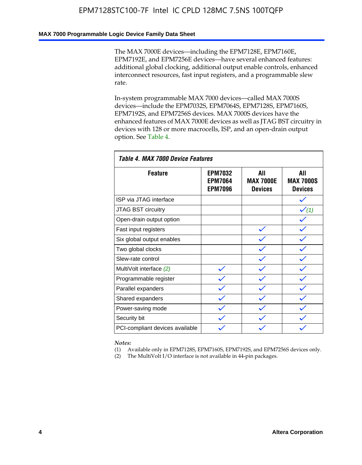#### **MAX 7000 Programmable Logic Device Family Data Sheet**

The MAX 7000E devices—including the EPM7128E, EPM7160E, EPM7192E, and EPM7256E devices—have several enhanced features: additional global clocking, additional output enable controls, enhanced interconnect resources, fast input registers, and a programmable slew rate.

In-system programmable MAX 7000 devices—called MAX 7000S devices—include the EPM7032S, EPM7064S, EPM7128S, EPM7160S, EPM7192S, and EPM7256S devices. MAX 7000S devices have the enhanced features of MAX 7000E devices as well as JTAG BST circuitry in devices with 128 or more macrocells, ISP, and an open-drain output option. See Table 4.

| Table 4. MAX 7000 Device Features |                                                    |                                           |                                           |  |  |  |  |
|-----------------------------------|----------------------------------------------------|-------------------------------------------|-------------------------------------------|--|--|--|--|
| <b>Feature</b>                    | <b>EPM7032</b><br><b>EPM7064</b><br><b>EPM7096</b> | All<br><b>MAX 7000E</b><br><b>Devices</b> | All<br><b>MAX 7000S</b><br><b>Devices</b> |  |  |  |  |
| ISP via JTAG interface            |                                                    |                                           |                                           |  |  |  |  |
| JTAG BST circuitry                |                                                    |                                           | $\checkmark$ (1)                          |  |  |  |  |
| Open-drain output option          |                                                    |                                           |                                           |  |  |  |  |
| Fast input registers              |                                                    |                                           |                                           |  |  |  |  |
| Six global output enables         |                                                    |                                           |                                           |  |  |  |  |
| Two global clocks                 |                                                    |                                           |                                           |  |  |  |  |
| Slew-rate control                 |                                                    |                                           |                                           |  |  |  |  |
| MultiVolt interface (2)           |                                                    |                                           |                                           |  |  |  |  |
| Programmable register             |                                                    |                                           |                                           |  |  |  |  |
| Parallel expanders                |                                                    |                                           |                                           |  |  |  |  |
| Shared expanders                  |                                                    |                                           |                                           |  |  |  |  |
| Power-saving mode                 |                                                    |                                           |                                           |  |  |  |  |
| Security bit                      |                                                    |                                           |                                           |  |  |  |  |
| PCI-compliant devices available   |                                                    |                                           |                                           |  |  |  |  |

*Notes:*

(1) Available only in EPM7128S, EPM7160S, EPM7192S, and EPM7256S devices only.

(2) The MultiVolt I/O interface is not available in 44-pin packages.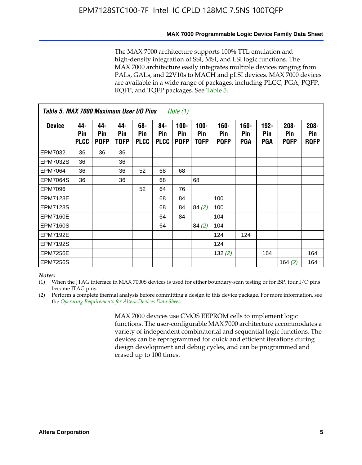#### **MAX 7000 Programmable Logic Device Family Data Sheet**

The MAX 7000 architecture supports 100% TTL emulation and high-density integration of SSI, MSI, and LSI logic functions. The MAX 7000 architecture easily integrates multiple devices ranging from PALs, GALs, and 22V10s to MACH and pLSI devices. MAX 7000 devices are available in a wide range of packages, including PLCC, PGA, PQFP, RQFP, and TQFP packages. See Table 5.

| Table 5. MAX 7000 Maximum User I/O Pins<br><i>Note</i> $(1)$ |                           |                           |                    |                           |                           |                               |                        |                            |                       |                              |                               |                               |
|--------------------------------------------------------------|---------------------------|---------------------------|--------------------|---------------------------|---------------------------|-------------------------------|------------------------|----------------------------|-----------------------|------------------------------|-------------------------------|-------------------------------|
| <b>Device</b>                                                | 44-<br>Pin<br><b>PLCC</b> | 44-<br>Pin<br><b>PQFP</b> | 44-<br>Pin<br>TQFP | 68-<br>Pin<br><b>PLCC</b> | 84-<br>Pin<br><b>PLCC</b> | $100 -$<br>Pin<br><b>PQFP</b> | $100 -$<br>Pin<br>TQFP | 160-<br>Pin<br><b>PQFP</b> | $160 -$<br>Pin<br>PGA | $192 -$<br><b>Pin</b><br>PGA | $208 -$<br>Pin<br><b>PQFP</b> | $208 -$<br>Pin<br><b>RQFP</b> |
| EPM7032                                                      | 36                        | 36                        | 36                 |                           |                           |                               |                        |                            |                       |                              |                               |                               |
| <b>EPM7032S</b>                                              | 36                        |                           | 36                 |                           |                           |                               |                        |                            |                       |                              |                               |                               |
| <b>EPM7064</b>                                               | 36                        |                           | 36                 | 52                        | 68                        | 68                            |                        |                            |                       |                              |                               |                               |
| <b>EPM7064S</b>                                              | 36                        |                           | 36                 |                           | 68                        |                               | 68                     |                            |                       |                              |                               |                               |
| <b>EPM7096</b>                                               |                           |                           |                    | 52                        | 64                        | 76                            |                        |                            |                       |                              |                               |                               |
| <b>EPM7128E</b>                                              |                           |                           |                    |                           | 68                        | 84                            |                        | 100                        |                       |                              |                               |                               |
| <b>EPM7128S</b>                                              |                           |                           |                    |                           | 68                        | 84                            | 84(2)                  | 100                        |                       |                              |                               |                               |
| EPM7160E                                                     |                           |                           |                    |                           | 64                        | 84                            |                        | 104                        |                       |                              |                               |                               |
| EPM7160S                                                     |                           |                           |                    |                           | 64                        |                               | 84(2)                  | 104                        |                       |                              |                               |                               |
| <b>EPM7192E</b>                                              |                           |                           |                    |                           |                           |                               |                        | 124                        | 124                   |                              |                               |                               |
| <b>EPM7192S</b>                                              |                           |                           |                    |                           |                           |                               |                        | 124                        |                       |                              |                               |                               |
| <b>EPM7256E</b>                                              |                           |                           |                    |                           |                           |                               |                        | 132 $(2)$                  |                       | 164                          |                               | 164                           |
| EPM7256S                                                     |                           |                           |                    |                           |                           |                               |                        |                            |                       |                              | 164 $(2)$                     | 164                           |

#### *Notes:*

(1) When the JTAG interface in MAX 7000S devices is used for either boundary-scan testing or for ISP, four I/O pins become JTAG pins.

(2) Perform a complete thermal analysis before committing a design to this device package. For more information, see the *Operating Requirements for Altera Devices Data Sheet*.

> MAX 7000 devices use CMOS EEPROM cells to implement logic functions. The user-configurable MAX 7000 architecture accommodates a variety of independent combinatorial and sequential logic functions. The devices can be reprogrammed for quick and efficient iterations during design development and debug cycles, and can be programmed and erased up to 100 times.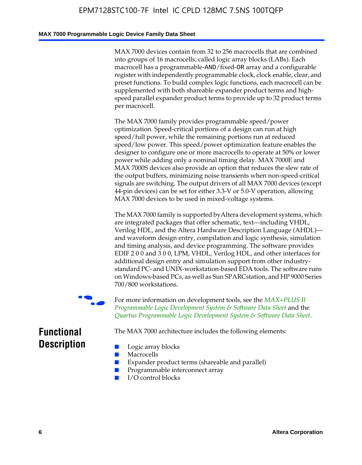#### **MAX 7000 Programmable Logic Device Family Data Sheet**

MAX 7000 devices contain from 32 to 256 macrocells that are combined into groups of 16 macrocells, called logic array blocks (LABs). Each macrocell has a programmable-AND/fixed-OR array and a configurable register with independently programmable clock, clock enable, clear, and preset functions. To build complex logic functions, each macrocell can be supplemented with both shareable expander product terms and highspeed parallel expander product terms to provide up to 32 product terms per macrocell.

The MAX 7000 family provides programmable speed/power optimization. Speed-critical portions of a design can run at high speed/full power, while the remaining portions run at reduced speed/low power. This speed/power optimization feature enables the designer to configure one or more macrocells to operate at 50% or lower power while adding only a nominal timing delay. MAX 7000E and MAX 7000S devices also provide an option that reduces the slew rate of the output buffers, minimizing noise transients when non-speed-critical signals are switching. The output drivers of all MAX 7000 devices (except 44-pin devices) can be set for either 3.3-V or 5.0-V operation, allowing MAX 7000 devices to be used in mixed-voltage systems.

The MAX 7000 family is supported byAltera development systems, which are integrated packages that offer schematic, text—including VHDL, Verilog HDL, and the Altera Hardware Description Language (AHDL) and waveform design entry, compilation and logic synthesis, simulation and timing analysis, and device programming. The [software provides](http://www.altera.com/literature/ds/dsmii.pdf)  [EDIF 2 0 0 and 3 0 0, LPM, VHDL, Verilog HDL, and other in](http://www.altera.com/literature/ds/dsmii.pdf)terfaces for [additional design entry and simulation support from other industry](http://www.altera.com/literature/ds/quartus.pdf)standard PC- and UNIX-workstation-based EDA tools. The software runs on Windows-based PCs, as well as Sun SPARCstation, and HP 9000 Series 700/800 workstations.

For more information on development tools, see the **MAX+PLUS II** *Programmable Logic Development System & Software Data Sheet* and the *Quartus Programmable Logic Development System & Software Data Sheet*.

The MAX 7000 architecture includes the following elements:

# **Functional Description**

- Logic array blocks
- **Macrocells**
- Expander product terms (shareable and parallel)
- Programmable interconnect array
- I/O control blocks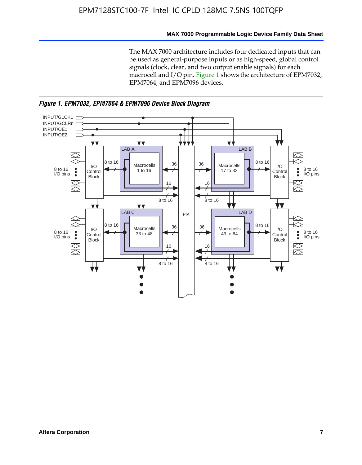#### **MAX 7000 Programmable Logic Device Family Data Sheet**

The MAX 7000 architecture includes four dedicated inputs that can be used as general-purpose inputs or as high-speed, global control signals (clock, clear, and two output enable signals) for each macrocell and I/O pin. Figure 1 shows the architecture of EPM7032, EPM7064, and EPM7096 devices.



*Figure 1. EPM7032, EPM7064 & EPM7096 Device Block Diagram*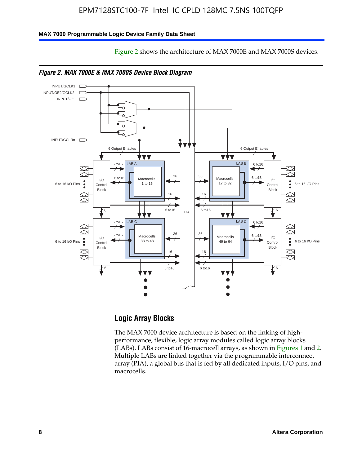Figure 2 shows the architecture of MAX 7000E and MAX 7000S devices.

#### **MAX 7000 Programmable Logic Device Family Data Sheet**





# **Logic Array Blocks**

The MAX 7000 device architecture is based on the linking of highperformance, flexible, logic array modules called logic array blocks (LABs). LABs consist of 16-macrocell arrays, as shown in Figures 1 and 2. Multiple LABs are linked together via the programmable interconnect array (PIA), a global bus that is fed by all dedicated inputs, I/O pins, and macrocells.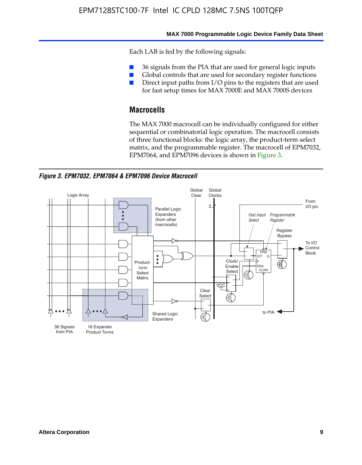#### **MAX 7000 Programmable Logic Device Family Data Sheet**

Each LAB is fed by the following signals:

- 36 signals from the PIA that are used for general logic inputs
- Global controls that are used for secondary register functions
- Direct input paths from I/O pins to the registers that are used for fast setup times for MAX 7000E and MAX 7000S devices

# **Macrocells**

The MAX 7000 macrocell can be individually configured for either sequential or combinatorial logic operation. The macrocell consists of three functional blocks: the logic array, the product-term select matrix, and the programmable register. The macrocell of EPM7032, EPM7064, and EPM7096 devices is shown in Figure 3.

*Figure 3. EPM7032, EPM7064 & EPM7096 Device Macrocell*

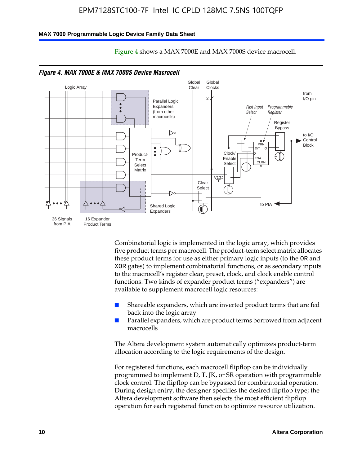#### **MAX 7000 Programmable Logic Device Family Data Sheet**



Figure 4 shows a MAX 7000E and MAX 7000S device macrocell.

*Figure 4. MAX 7000E & MAX 7000S Device Macrocell*

Combinatorial logic is implemented in the logic array, which provides five product terms per macrocell. The product-term select matrix allocates these product terms for use as either primary logic inputs (to the OR and XOR gates) to implement combinatorial functions, or as secondary inputs to the macrocell's register clear, preset, clock, and clock enable control functions. Two kinds of expander product terms ("expanders") are available to supplement macrocell logic resources:

- Shareable expanders, which are inverted product terms that are fed back into the logic array
- Parallel expanders, which are product terms borrowed from adjacent macrocells

The Altera development system automatically optimizes product-term allocation according to the logic requirements of the design.

For registered functions, each macrocell flipflop can be individually programmed to implement D, T, JK, or SR operation with programmable clock control. The flipflop can be bypassed for combinatorial operation. During design entry, the designer specifies the desired flipflop type; the Altera development software then selects the most efficient flipflop operation for each registered function to optimize resource utilization.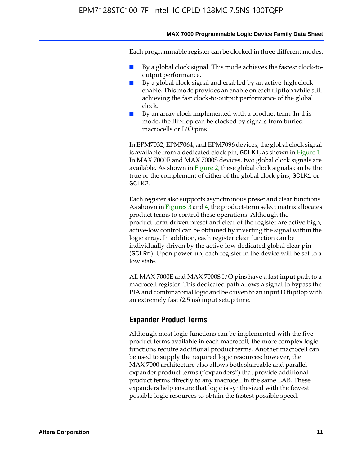#### **MAX 7000 Programmable Logic Device Family Data Sheet**

Each programmable register can be clocked in three different modes:

- By a global clock signal. This mode achieves the fastest clock-tooutput performance.
- By a global clock signal and enabled by an active-high clock enable. This mode provides an enable on each flipflop while still achieving the fast clock-to-output performance of the global clock.
- By an array clock implemented with a product term. In this mode, the flipflop can be clocked by signals from buried macrocells or I/O pins.

In EPM7032, EPM7064, and EPM7096 devices, the global clock signal is available from a dedicated clock pin, GCLK1, as shown in Figure 1. In MAX 7000E and MAX 7000S devices, two global clock signals are available. As shown in Figure 2, these global clock signals can be the true or the complement of either of the global clock pins, GCLK1 or GCLK2.

Each register also supports asynchronous preset and clear functions. As shown in Figures 3 and 4, the product-term select matrix allocates product terms to control these operations. Although the product-term-driven preset and clear of the register are active high, active-low control can be obtained by inverting the signal within the logic array. In addition, each register clear function can be individually driven by the active-low dedicated global clear pin (GCLRn). Upon power-up, each register in the device will be set to a low state.

All MAX 7000E and MAX 7000S I/O pins have a fast input path to a macrocell register. This dedicated path allows a signal to bypass the PIA and combinatorial logic and be driven to an input D flipflop with an extremely fast (2.5 ns) input setup time.

#### **Expander Product Terms**

Although most logic functions can be implemented with the five product terms available in each macrocell, the more complex logic functions require additional product terms. Another macrocell can be used to supply the required logic resources; however, the MAX 7000 architecture also allows both shareable and parallel expander product terms ("expanders") that provide additional product terms directly to any macrocell in the same LAB. These expanders help ensure that logic is synthesized with the fewest possible logic resources to obtain the fastest possible speed.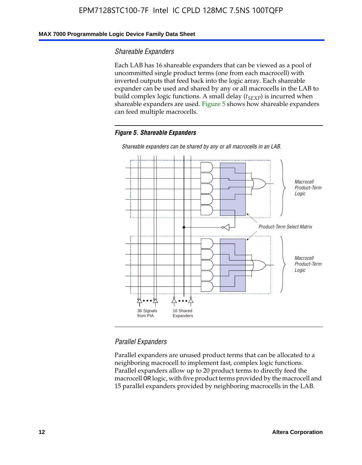#### **MAX 7000 Programmable Logic Device Family Data Sheet**

#### *Shareable Expanders*

Each LAB has 16 shareable expanders that can be viewed as a pool of uncommitted single product terms (one from each macrocell) with inverted outputs that feed back into the logic array. Each shareable expander can be used and shared by any or all macrocells in the LAB to build complex logic functions. A small delay ( $t_{SEXP}$ ) is incurred when shareable expanders are used. Figure 5 shows how shareable expanders can feed multiple macrocells.

#### *Figure 5. Shareable Expanders*



*Shareable expanders can be shared by any or all macrocells in an LAB.*

### *Parallel Expanders*

Parallel expanders are unused product terms that can be allocated to a neighboring macrocell to implement fast, complex logic functions. Parallel expanders allow up to 20 product terms to directly feed the macrocell OR logic, with five product terms provided by the macrocell and 15 parallel expanders provided by neighboring macrocells in the LAB.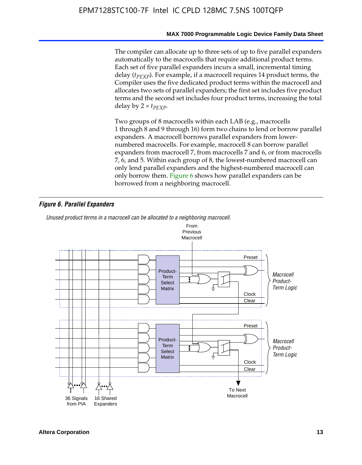#### **MAX 7000 Programmable Logic Device Family Data Sheet**

The compiler can allocate up to three sets of up to five parallel expanders automatically to the macrocells that require additional product terms. Each set of five parallel expanders incurs a small, incremental timing delay (*t<sub>PEXP</sub>*). For example, if a macrocell requires 14 product terms, the Compiler uses the five dedicated product terms within the macrocell and allocates two sets of parallel expanders; the first set includes five product terms and the second set includes four product terms, increasing the total delay by  $2 \times t_{PFXP}$ .

Two groups of 8 macrocells within each LAB (e.g., macrocells 1 through 8 and 9 through 16) form two chains to lend or borrow parallel expanders. A macrocell borrows parallel expanders from lowernumbered macrocells. For example, macrocell 8 can borrow parallel expanders from macrocell 7, from macrocells 7 and 6, or from macrocells 7, 6, and 5. Within each group of 8, the lowest-numbered macrocell can only lend parallel expanders and the highest-numbered macrocell can only borrow them. Figure 6 shows how parallel expanders can be borrowed from a neighboring macrocell.

#### *Figure 6. Parallel Expanders*

*Unused product terms in a macrocell can be allocated to a neighboring macrocell.*

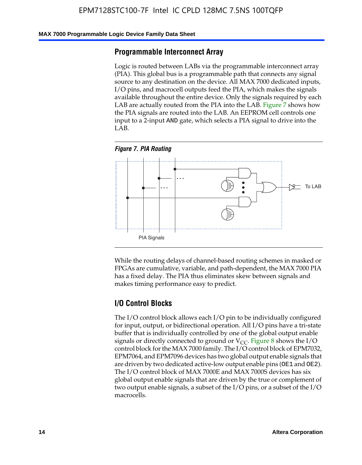#### **MAX 7000 Programmable Logic Device Family Data Sheet**

#### **Programmable Interconnect Array**

Logic is routed between LABs via the programmable interconnect array (PIA). This global bus is a programmable path that connects any signal source to any destination on the device. All MAX 7000 dedicated inputs, I/O pins, and macrocell outputs feed the PIA, which makes the signals available throughout the entire device. Only the signals required by each LAB are actually routed from the PIA into the LAB. Figure 7 shows how the PIA signals are routed into the LAB. An EEPROM cell controls one input to a 2-input AND gate, which selects a PIA signal to drive into the LAB.





While the routing delays of channel-based routing schemes in masked or FPGAs are cumulative, variable, and path-dependent, the MAX 7000 PIA has a fixed delay. The PIA thus eliminates skew between signals and makes timing performance easy to predict.

### **I/O Control Blocks**

The I/O control block allows each I/O pin to be individually configured for input, output, or bidirectional operation. All I/O pins have a tri-state buffer that is individually controlled by one of the global output enable signals or directly connected to ground or  $V_{CC}$ . Figure 8 shows the I/O control block for the MAX 7000 family. The I/O control block of EPM7032, EPM7064, and EPM7096 devices has two global output enable signals that are driven by two dedicated active-low output enable pins (OE1 and OE2). The I/O control block of MAX 7000E and MAX 7000S devices has six global output enable signals that are driven by the true or complement of two output enable signals, a subset of the I/O pins, or a subset of the I/O macrocells.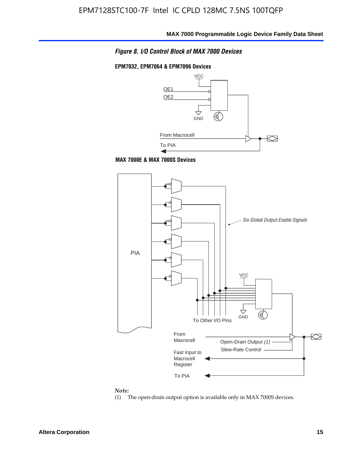

#### **EPM7032, EPM7064 & EPM7096 Devices**







#### *Note:*

(1) The open-drain output option is available only in MAX 7000S devices.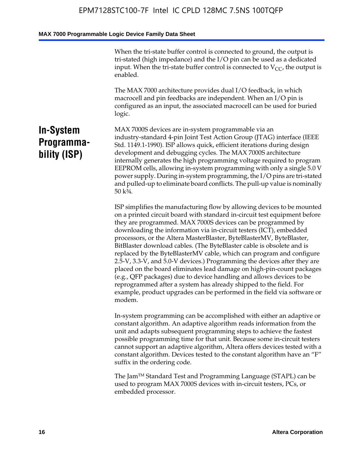When the tri-state buffer control is connected to ground, the output is tri-stated (high impedance) and the I/O pin can be used as a dedicated input. When the tri-state buffer control is connected to  $V_{CC}$ , the output is enabled.

The MAX 7000 architecture provides dual I/O feedback, in which macrocell and pin feedbacks are independent. When an I/O pin is configured as an input, the associated macrocell can be used for buried logic.

# **In-System Programmability (ISP)**

MAX 7000S devices are in-system programmable via an industry-standard 4-pin Joint Test Action Group (JTAG) interface (IEEE Std. 1149.1-1990). ISP allows quick, efficient iterations during design development and debugging cycles. The MAX 7000S architecture internally generates the high programming voltage required to program EEPROM cells, allowing in-system programming with only a single 5.0 V power supply. During in-system programming, the I/O pins are tri-stated and pulled-up to eliminate board conflicts. The pull-up value is nominally 50 k¾.

ISP simplifies the manufacturing flow by allowing devices to be mounted on a printed circuit board with standard in-circuit test equipment before they are programmed. MAX 7000S devices can be programmed by downloading the information via in-circuit testers (ICT), embedded processors, or the Altera MasterBlaster, ByteBlasterMV, ByteBlaster, BitBlaster download cables. (The ByteBlaster cable is obsolete and is replaced by the ByteBlasterMV cable, which can program and configure 2.5-V, 3.3-V, and 5.0-V devices.) Programming the devices after they are placed on the board eliminates lead damage on high-pin-count packages (e.g., QFP packages) due to device handling and allows devices to be reprogrammed after a system has already shipped to the field. For example, product upgrades can be performed in the field via software or modem.

In-system programming can be accomplished with either an adaptive or constant algorithm. An adaptive algorithm reads information from the unit and adapts subsequent programming steps to achieve the fastest possible programming time for that unit. Because some in-circuit testers cannot support an adaptive algorithm, Altera offers devices tested with a constant algorithm. Devices tested to the constant algorithm have an "F" suffix in the ordering code.

The Jam™ Standard Test and Programming Language (STAPL) can be used to program MAX 7000S devices with in-circuit testers, PCs, or embedded processor.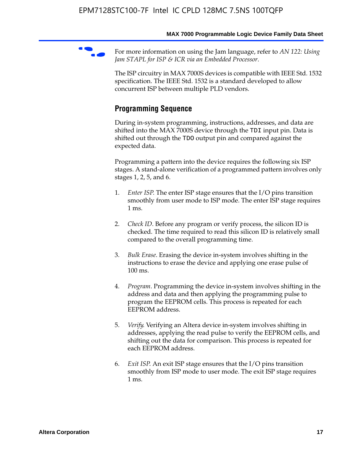For more information on using the Jam language, refer to *AN* 122: Using *Jam STAPL for ISP & ICR via an Embedded Processor*.

The ISP circuitry in MAX 7000S devices is compatible with IEEE Std. 1532 specification. The IEEE Std. 1532 is a standard developed to allow concurrent ISP between multiple PLD vendors.

# **Programming Sequence**

During in-system programming, instructions, addresses, and data are shifted into the MAX 7000S device through the TDI input pin. Data is shifted out through the TDO output pin and compared against the expected data.

Programming a pattern into the device requires the following six ISP stages. A stand-alone verification of a programmed pattern involves only stages 1, 2, 5, and 6.

- 1. *Enter ISP*. The enter ISP stage ensures that the I/O pins transition smoothly from user mode to ISP mode. The enter ISP stage requires 1 ms.
- 2. *Check ID*. Before any program or verify process, the silicon ID is checked. The time required to read this silicon ID is relatively small compared to the overall programming time.
- 3. *Bulk Erase*. Erasing the device in-system involves shifting in the instructions to erase the device and applying one erase pulse of 100 ms.
- 4. *Program*. Programming the device in-system involves shifting in the address and data and then applying the programming pulse to program the EEPROM cells. This process is repeated for each EEPROM address.
- 5. *Verify*. Verifying an Altera device in-system involves shifting in addresses, applying the read pulse to verify the EEPROM cells, and shifting out the data for comparison. This process is repeated for each EEPROM address.
- 6. *Exit ISP*. An exit ISP stage ensures that the I/O pins transition smoothly from ISP mode to user mode. The exit ISP stage requires 1 ms.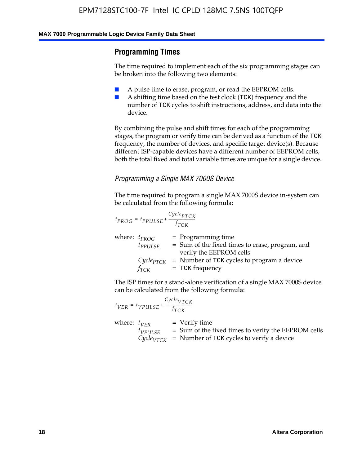# **Programming Times**

The time required to implement each of the six programming stages can be broken into the following two elements:

- A pulse time to erase, program, or read the EEPROM cells.
- A shifting time based on the test clock (TCK) frequency and the number of TCK cycles to shift instructions, address, and data into the device.

By combining the pulse and shift times for each of the programming stages, the program or verify time can be derived as a function of the TCK frequency, the number of devices, and specific target device(s). Because different ISP-capable devices have a different number of EEPROM cells, both the total fixed and total variable times are unique for a single device.

### *Programming a Single MAX 7000S Device*

The time required to program a single MAX 7000S device in-system can be calculated from the following formula:

$$
t_{PROG} = t_{PPULSE} + \frac{C_{ycle_{PTCK}}}{f_{TCK}}
$$
  
where:  $t_{PROG}$  = Programming time  
 $t_{PPULSE}$  = Sum of the fixed times to erase, program, and  
verify the EEPROM cells  
 $C_{ycle_{PTCK}}$  = Number of TCK cycles to program a device  
 $f_{TCK}$  = TCK frequency

The ISP times for a stand-alone verification of a single MAX 7000S device can be calculated from the following formula:

|                  | $t_{VER} = t_{VPULSE} + \frac{Cycle_{VTCK}}{f_{TCK}}$ |                                                                                                                                 |
|------------------|-------------------------------------------------------|---------------------------------------------------------------------------------------------------------------------------------|
| where: $t_{VFR}$ | $t_{VPULSE}$                                          | = Verify time<br>$=$ Sum of the fixed times to verify the EEPROM cells<br>$CycleVTCK$ = Number of TCK cycles to verify a device |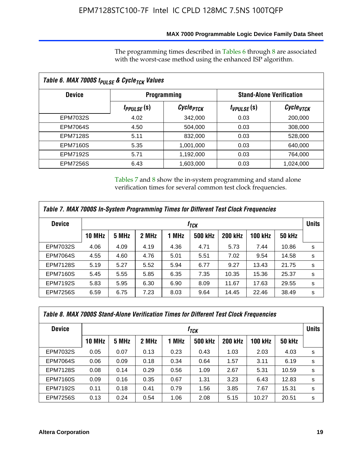### **MAX 7000 Programmable Logic Device Family Data Sheet**

The programming times described in Tables 6 through 8 are associated with the worst-case method using the enhanced ISP algorithm.

|                 | Table 6. MAX 7000S t <sub>PULSE</sub> & Cycle <sub>TCK</sub> Values |                       |                                 |                       |  |  |  |  |
|-----------------|---------------------------------------------------------------------|-----------------------|---------------------------------|-----------------------|--|--|--|--|
| <b>Device</b>   |                                                                     | <b>Programming</b>    | <b>Stand-Alone Verification</b> |                       |  |  |  |  |
|                 | t <sub>PPULSE</sub> (S)                                             | Cycle <sub>PTCK</sub> | $t_{VPULSE}(s)$                 | Cycle <sub>VTCK</sub> |  |  |  |  |
| EPM7032S        | 4.02                                                                | 342,000               | 0.03                            | 200,000               |  |  |  |  |
| <b>EPM7064S</b> | 4.50                                                                | 504,000               | 0.03                            | 308,000               |  |  |  |  |
| <b>EPM7128S</b> | 5.11                                                                | 832,000               | 0.03                            | 528,000               |  |  |  |  |
| <b>EPM7160S</b> | 5.35                                                                | 1,001,000             | 0.03                            | 640,000               |  |  |  |  |
| <b>EPM7192S</b> | 5.71                                                                | 1,192,000             | 0.03                            | 764,000               |  |  |  |  |
| <b>EPM7256S</b> | 6.43                                                                | 1,603,000             | 0.03                            | 1,024,000             |  |  |  |  |

Tables 7 and 8 show the in-system programming and stand alone verification times for several common test clock frequencies.

| Table 7. MAX 7000S In-System Programming Times for Different Test Clock Frequencies |               |       |       |       |                |                |                |               |              |
|-------------------------------------------------------------------------------------|---------------|-------|-------|-------|----------------|----------------|----------------|---------------|--------------|
| <b>Device</b><br>$t_{\textit{TCK}}$                                                 |               |       |       |       |                |                |                |               | <b>Units</b> |
|                                                                                     | <b>10 MHz</b> | 5 MHz | 2 MHz | 1 MHz | <b>500 kHz</b> | <b>200 kHz</b> | <b>100 kHz</b> | <b>50 kHz</b> |              |
| <b>EPM7032S</b>                                                                     | 4.06          | 4.09  | 4.19  | 4.36  | 4.71           | 5.73           | 7.44           | 10.86         | s            |
| <b>EPM7064S</b>                                                                     | 4.55          | 4.60  | 4.76  | 5.01  | 5.51           | 7.02           | 9.54           | 14.58         | s            |
| <b>EPM7128S</b>                                                                     | 5.19          | 5.27  | 5.52  | 5.94  | 6.77           | 9.27           | 13.43          | 21.75         | s            |
| <b>EPM7160S</b>                                                                     | 5.45          | 5.55  | 5.85  | 6.35  | 7.35           | 10.35          | 15.36          | 25.37         | s            |
| <b>EPM7192S</b>                                                                     | 5.83          | 5.95  | 6.30  | 6.90  | 8.09           | 11.67          | 17.63          | 29.55         | s            |
| <b>EPM7256S</b>                                                                     | 6.59          | 6.75  | 7.23  | 8.03  | 9.64           | 14.45          | 22.46          | 38.49         | s            |

| Table 8. MAX 7000S Stand-Alone Verification Times for Different Test Clock Frequencies |               |                  |       |       |                |                |                |               |   |  |
|----------------------------------------------------------------------------------------|---------------|------------------|-------|-------|----------------|----------------|----------------|---------------|---|--|
| <b>Device</b>                                                                          |               | f <sub>тск</sub> |       |       |                |                |                |               |   |  |
|                                                                                        | <b>10 MHz</b> | 5 MHz            | 2 MHz | 1 MHz | <b>500 kHz</b> | <b>200 kHz</b> | <b>100 kHz</b> | <b>50 kHz</b> |   |  |
| EPM7032S                                                                               | 0.05          | 0.07             | 0.13  | 0.23  | 0.43           | 1.03           | 2.03           | 4.03          | s |  |
| <b>EPM7064S</b>                                                                        | 0.06          | 0.09             | 0.18  | 0.34  | 0.64           | 1.57           | 3.11           | 6.19          | s |  |
| <b>EPM7128S</b>                                                                        | 0.08          | 0.14             | 0.29  | 0.56  | 1.09           | 2.67           | 5.31           | 10.59         | s |  |
| <b>EPM7160S</b>                                                                        | 0.09          | 0.16             | 0.35  | 0.67  | 1.31           | 3.23           | 6.43           | 12.83         | s |  |
| <b>EPM7192S</b>                                                                        | 0.11          | 0.18             | 0.41  | 0.79  | 1.56           | 3.85           | 7.67           | 15.31         | s |  |
| <b>EPM7256S</b>                                                                        | 0.13          | 0.24             | 0.54  | 1.06  | 2.08           | 5.15           | 10.27          | 20.51         | s |  |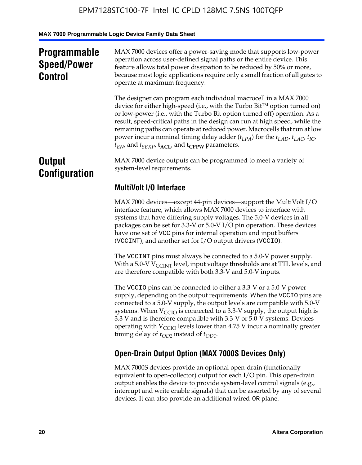# **Programmable Speed/Power Control**

MAX 7000 devices offer a power-saving mode that supports low-power operation across user-defined signal paths or the entire device. This feature allows total power dissipation to be reduced by 50% or more, because most logic applications require only a small fraction of all gates to operate at maximum frequency.

The designer can program each individual macrocell in a MAX 7000 device for either high-speed (i.e., with the Turbo  $Bit^{TM}$  option turned on) or low-power (i.e., with the Turbo Bit option turned off) operation. As a result, speed-critical paths in the design can run at high speed, while the remaining paths can operate at reduced power. Macrocells that run at low power incur a nominal timing delay adder  $(t_{LPA})$  for the  $t_{LAD}$ ,  $t_{LAC}$ ,  $t_{IC}$ ,  $t_{EN}$ , and  $t_{SEXP}$ ,  $t_{ACL}$ , and  $t_{CPPW}$  parameters.

# **Output Configuration**

MAX 7000 device outputs can be programmed to meet a variety of system-level requirements.

# **MultiVolt I/O Interface**

MAX 7000 devices—except 44-pin devices—support the MultiVolt I/O interface feature, which allows MAX 7000 devices to interface with systems that have differing supply voltages. The 5.0-V devices in all packages can be set for 3.3-V or 5.0-V I/O pin operation. These devices have one set of VCC pins for internal operation and input buffers (VCCINT), and another set for I/O output drivers (VCCIO).

The VCCINT pins must always be connected to a 5.0-V power supply. With a 5.0-V  $V_{\text{CCINT}}$  level, input voltage thresholds are at TTL levels, and are therefore compatible with both 3.3-V and 5.0-V inputs.

The VCCIO pins can be connected to either a 3.3-V or a 5.0-V power supply, depending on the output requirements. When the VCCIO pins are connected to a 5.0-V supply, the output levels are compatible with 5.0-V systems. When  $V_{\text{CGO}}$  is connected to a 3.3-V supply, the output high is 3.3 V and is therefore compatible with 3.3-V or 5.0-V systems. Devices operating with  $V_{\text{CCIO}}$  levels lower than 4.75 V incur a nominally greater timing delay of  $t_{OD2}$  instead of  $t_{OD1}$ .

# **Open-Drain Output Option (MAX 7000S Devices Only)**

MAX 7000S devices provide an optional open-drain (functionally equivalent to open-collector) output for each I/O pin. This open-drain output enables the device to provide system-level control signals (e.g., interrupt and write enable signals) that can be asserted by any of several devices. It can also provide an additional wired-OR plane.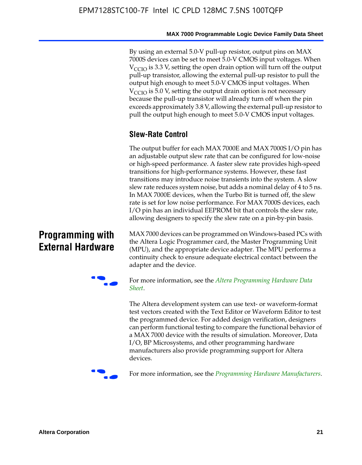By using an external 5.0-V pull-up resistor, output pins on MAX 7000S devices can be set to meet 5.0-V CMOS input voltages. When  $V_{\text{CCIO}}$  is 3.3 V, setting the open drain option will turn off the output pull-up transistor, allowing the external pull-up resistor to pull the output high enough to meet 5.0-V CMOS input voltages. When  $V_{\text{CCIO}}$  is 5.0 V, setting the output drain option is not necessary because the pull-up transistor will already turn off when the pin exceeds approximately 3.8 V, allowing the external pull-up resistor to pull the output high enough to meet 5.0-V CMOS input voltages.

# **Slew-Rate Control**

The output buffer for each MAX 7000E and MAX 7000S I/O pin has an adjustable output slew rate that can be configured for low-noise or high-speed performance. A faster slew rate provides high-speed transitions for high-performance systems. However, these fast transitions may introduce noise transients into the system. A slow slew rate reduces system noise, but adds a nominal delay of 4 to 5 ns. In MAX 7000E devices, when the Turbo Bit is turned off, the slew rate is set for low noise performance. For MAX 7000S devices, each I/O pin has an individual EEPROM bit that controls the slew rate, allowing designers to specify the slew rate on a pin-by-pin basis.

# **Programming with External Hardware**

[MAX](http://www.altera.com/literature/ds/dspghd.pdf) 7000 devices can be prog[rammed on Windows-based PCs with](http://www.altera.com/literature/ds/dspghd.pdf)  the Altera Logic Programmer card, the Master Programming Unit (MPU), and the appropriate device adapter. The MPU performs a continuity check to ensure adequate electrical contact between the adapter and the device.



For more information, see the *Altera Programming Hardware Data Sheet*.

The Altera development system can use text- or waveform-format test vectors created with the Text Editor or Waveform Editor to test the programmed device. For added design verification, designers can perform functional testing to compare the functional behavior of a MAX 7000 device with the results of simulation. Moreover, Data I/O, BP Microsystems, and other programming hardware manufacturers also provide programming support for Altera devices.



For more information, see the *Programming Hardware Manufacturers*.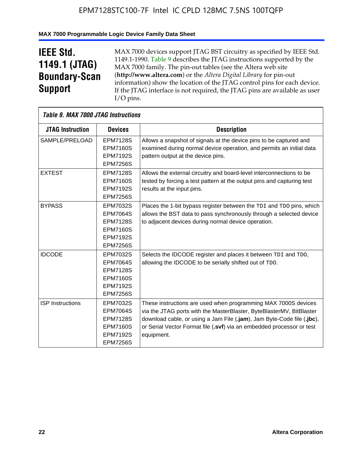# **MAX 7000 Programmable Logic Device Family Data Sheet**

# **IEEE Std. 1149.1 (JTAG) Boundary-Scan Support**

 $\mathsf{r}$ 

MAX 7000 devices support JTAG BST circuitry as specified by IEEE Std. 1149.1-1990. Table 9 describes the JTAG instructions supported by the MAX 7000 family. The pin-out tables (see the Altera web site (**http://www.altera.com**) or the *Altera Digital Library* for pin-out information) show the location of the JTAG control pins for each device. If the JTAG interface is not required, the JTAG pins are available as user I/O pins.

| Table 9. MAX 7000 JTAG Instructions |                                                                                                                |                                                                                                                                                                                                                                                                                                         |
|-------------------------------------|----------------------------------------------------------------------------------------------------------------|---------------------------------------------------------------------------------------------------------------------------------------------------------------------------------------------------------------------------------------------------------------------------------------------------------|
| <b>JTAG Instruction</b>             | <b>Devices</b>                                                                                                 | <b>Description</b>                                                                                                                                                                                                                                                                                      |
| SAMPLE/PRELOAD                      | <b>EPM7128S</b><br><b>EPM7160S</b><br><b>EPM7192S</b>                                                          | Allows a snapshot of signals at the device pins to be captured and<br>examined during normal device operation, and permits an initial data<br>pattern output at the device pins.                                                                                                                        |
|                                     | <b>EPM7256S</b>                                                                                                |                                                                                                                                                                                                                                                                                                         |
| <b>EXTEST</b>                       | <b>EPM7128S</b><br><b>EPM7160S</b><br><b>EPM7192S</b><br><b>EPM7256S</b>                                       | Allows the external circuitry and board-level interconnections to be<br>tested by forcing a test pattern at the output pins and capturing test<br>results at the input pins.                                                                                                                            |
| <b>BYPASS</b>                       | EPM7032S<br><b>EPM7064S</b><br><b>EPM7128S</b><br><b>EPM7160S</b><br><b>EPM7192S</b><br><b>EPM7256S</b>        | Places the 1-bit bypass register between the TDI and TDO pins, which<br>allows the BST data to pass synchronously through a selected device<br>to adjacent devices during normal device operation.                                                                                                      |
| <b>IDCODE</b>                       | EPM7032S<br><b>EPM7064S</b><br><b>EPM7128S</b><br><b>EPM7160S</b><br><b>EPM7192S</b><br><b>EPM7256S</b>        | Selects the IDCODE register and places it between TDI and TDO,<br>allowing the IDCODE to be serially shifted out of TDO.                                                                                                                                                                                |
| <b>ISP Instructions</b>             | <b>EPM7032S</b><br><b>EPM7064S</b><br><b>EPM7128S</b><br><b>EPM7160S</b><br><b>EPM7192S</b><br><b>EPM7256S</b> | These instructions are used when programming MAX 7000S devices<br>via the JTAG ports with the MasterBlaster, ByteBlasterMV, BitBlaster<br>download cable, or using a Jam File (.jam), Jam Byte-Code file (.jbc),<br>or Serial Vector Format file (.svf) via an embedded processor or test<br>equipment. |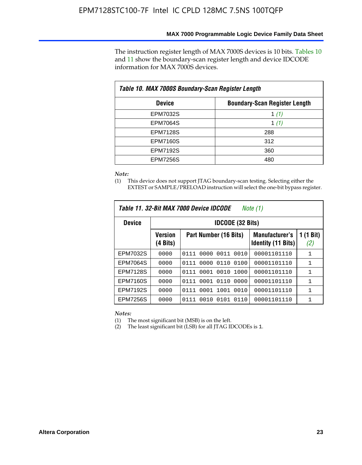The instruction register length of MAX 7000S devices is 10 bits. Tables 10 and 11 show the boundary-scan register length and device IDCODE information for MAX 7000S devices.

| Table 10. MAX 7000S Boundary-Scan Register Length |                                      |  |  |  |  |  |
|---------------------------------------------------|--------------------------------------|--|--|--|--|--|
| <b>Device</b>                                     | <b>Boundary-Scan Register Length</b> |  |  |  |  |  |
| <b>EPM7032S</b>                                   | 1 $(1)$                              |  |  |  |  |  |
| <b>EPM7064S</b>                                   | 1 $(1)$                              |  |  |  |  |  |
| <b>EPM7128S</b>                                   | 288                                  |  |  |  |  |  |
| <b>EPM7160S</b>                                   | 312                                  |  |  |  |  |  |
| <b>EPM7192S</b>                                   | 360                                  |  |  |  |  |  |
| <b>EPM7256S</b>                                   | 480                                  |  |  |  |  |  |

*Note:*

(1) This device does not support JTAG boundary-scan testing. Selecting either the EXTEST or SAMPLE/PRELOAD instruction will select the one-bit bypass register.

| Table 11, 32-Bit MAX 7000 Device IDCODE<br>Note (1) |                            |                              |                                                    |                  |  |  |
|-----------------------------------------------------|----------------------------|------------------------------|----------------------------------------------------|------------------|--|--|
| <b>Device</b>                                       |                            | <b>IDCODE (32 Bits)</b>      |                                                    |                  |  |  |
|                                                     | <b>Version</b><br>(4 Bits) | Part Number (16 Bits)        | <b>Manufacturer's</b><br><b>Identity (11 Bits)</b> | 1 (1 Bit)<br>(2) |  |  |
| EPM7032S                                            | 0000                       | 0010<br>0111<br>0000<br>0011 | 00001101110                                        | 1                |  |  |
| <b>EPM7064S</b>                                     | 0000                       | 0000<br>0110<br>0100<br>0111 | 00001101110                                        | 1                |  |  |
| <b>EPM7128S</b>                                     | 0000                       | 0001 0010<br>1000<br>0111    | 00001101110                                        | 1                |  |  |
| <b>EPM7160S</b>                                     | 0000                       | 0001<br>0110<br>0000<br>0111 | 00001101110                                        | $\mathbf{1}$     |  |  |
| <b>EPM7192S</b>                                     | 0000                       | 1001<br>0010<br>0111<br>0001 | 00001101110                                        | 1                |  |  |
| EPM7256S                                            | 0000                       | 0111<br>0010<br>0101<br>0110 | 00001101110                                        | 1                |  |  |

*Notes:*

(1) The most significant bit (MSB) is on the left.

(2) The least significant bit (LSB) for all JTAG IDCODEs is 1.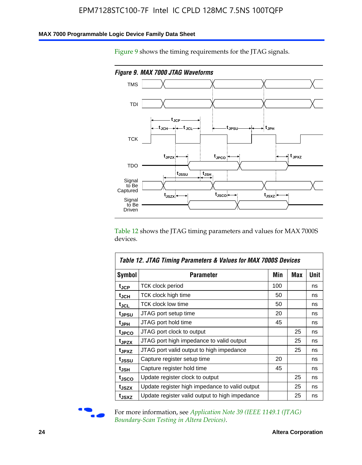#### **MAX 7000 Programmable Logic Device Family Data Sheet**

Figure 9 shows the timing requirements for the JTAG signals.



Table 12 shows the JTAG timing parameters and values for MAX 7000S devices.

|                    | Table 12. JTAG Timing Parameters & Values for MAX 7000S Devices |     |     |      |
|--------------------|-----------------------------------------------------------------|-----|-----|------|
| <b>Symbol</b>      | Parameter                                                       | Min | Max | Unit |
| t <sub>JCP</sub>   | <b>TCK clock period</b>                                         | 100 |     | ns   |
| t <sub>JCH</sub>   | TCK clock high time                                             | 50  |     | ns   |
| $t_{JCL}$          | TCK clock low time                                              | 50  |     | ns   |
| t <sub>JPSU</sub>  | JTAG port setup time                                            | 20  |     | ns   |
| t <sub>JPH</sub>   | JTAG port hold time                                             | 45  |     | ns   |
| <sup>t</sup> JPCO  | JTAG port clock to output                                       |     | 25  | ns   |
| t <sub>JPZX</sub>  | JTAG port high impedance to valid output                        |     | 25  | ns   |
| t <sub>JPXZ</sub>  | JTAG port valid output to high impedance                        |     | 25  | ns   |
| tjssu              | Capture register setup time                                     | 20  |     | ns   |
| $t_{\mathsf{JSH}}$ | Capture register hold time                                      | 45  |     | ns   |
| tjsco              | Update register clock to output                                 |     | 25  | ns   |
| t <sub>JSZX</sub>  | Update register high impedance to valid output                  |     | 25  | ns   |
| t <sub>JSXZ</sub>  | Update register valid output to high impedance                  |     | 25  | ns   |



For more information, see *Application Note 39 (IEEE 1149.1 (JTAG) Boundary-Scan Testing in Altera Devices)*.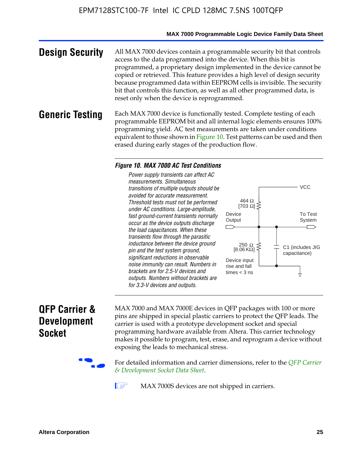#### **MAX 7000 Programmable Logic Device Family Data Sheet**

**Design Security** All MAX 7000 devices contain a programmable security bit that controls access to the data programmed into the device. When this bit is programmed, a proprietary design implemented in the device cannot be copied or retrieved. This feature provides a high level of design security because programmed data within EEPROM cells is invisible. The security bit that controls this function, as well as all other programmed data, is reset only when the device is reprogrammed.

#### **Generic Testing** Each MAX 7000 device is functionally tested. Complete testing of each programmable EEPROM bit and all internal logic elements ensures 100% programming yield. AC test measurements are taken under conditions equivalent to those shown in Figure 10. Test patterns can be used and then erased during early stages of the production flow.

#### *Figure 10. MAX 7000 AC Test Conditions*

*Power supply transients can affect AC measurements. Simultaneous transitions of multiple outputs should be avoided for accurate measurement. Threshold tests must not be performed under AC conditions. Large-amplitude, fast ground-current transients normally occur as the device outputs discharge the load capacitances. When these transients flow through the parasitic inductance between the device ground pin and the test system ground, significant reductions in observable noise immunity can result. Numbers in brackets are for 2.5-V devices and outputs. Numbers without brackets are for 3.3-V devices and outputs.*



# **QFP Carrier & Development Socket**

MAX 7000 and MAX 7000E devices in QFP packages with 10[0 or more](http://www.altera.com/literature/ds/dsqfp.pdf)  [pins are shipped in special plas](http://www.altera.com/literature/ds/dsqfp.pdf)tic carriers to protect the QFP leads. The carrier is used with a prototype development socket and special programming hardware available from Altera. This carrier technology makes it possible to program, test, erase, and reprogram a device without exposing the leads to mechanical stress.

For detailed information and carrier dimensions, refer to the *QFP Carrier & Development Socket Data Sheet*.

MAX 7000S devices are not shipped in carriers.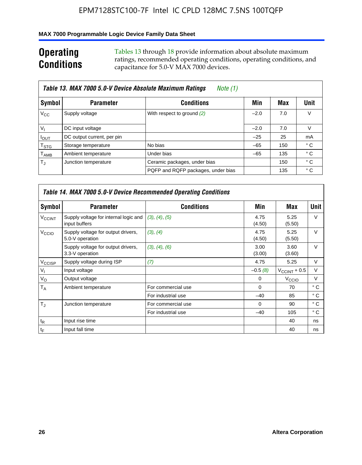## **MAX 7000 Programmable Logic Device Family Data Sheet**

# **Operating Conditions**

Tables 13 through 18 provide information about absolute maximum ratings, recommended operating conditions, operating conditions, and capacitance for 5.0-V MAX 7000 devices.

| Table 13. MAX 7000 5.0-V Device Absolute Maximum Ratings<br>Note (1)<br>Unit<br>Symbol<br><b>Conditions</b><br><b>Parameter</b><br>Min<br>Max<br>V<br>$V_{\rm CC}$<br>Supply voltage<br>With respect to ground (2)<br>7.0<br>$-2.0$<br>$V_{1}$<br>V<br>DC input voltage<br>7.0<br>$-2.0$<br>DC output current, per pin<br>$-25$<br>25<br>mA<br>$I_{\text{OUT}}$<br>° C<br>No bias<br>$-65$<br>$\mathsf{T}_{\text{STG}}$<br>Storage temperature<br>150<br>° C<br>Ambient temperature<br>Under bias<br>$-65$<br>135 |                      |                                    |     |     |
|-------------------------------------------------------------------------------------------------------------------------------------------------------------------------------------------------------------------------------------------------------------------------------------------------------------------------------------------------------------------------------------------------------------------------------------------------------------------------------------------------------------------|----------------------|------------------------------------|-----|-----|
|                                                                                                                                                                                                                                                                                                                                                                                                                                                                                                                   |                      |                                    |     |     |
|                                                                                                                                                                                                                                                                                                                                                                                                                                                                                                                   |                      |                                    |     |     |
|                                                                                                                                                                                                                                                                                                                                                                                                                                                                                                                   |                      |                                    |     |     |
|                                                                                                                                                                                                                                                                                                                                                                                                                                                                                                                   |                      |                                    |     |     |
|                                                                                                                                                                                                                                                                                                                                                                                                                                                                                                                   |                      |                                    |     |     |
| $\mathsf{T}_{\mathsf{AMB}}$                                                                                                                                                                                                                                                                                                                                                                                                                                                                                       |                      |                                    |     |     |
| $T_{\rm J}$                                                                                                                                                                                                                                                                                                                                                                                                                                                                                                       | Junction temperature | Ceramic packages, under bias       | 150 | ° C |
|                                                                                                                                                                                                                                                                                                                                                                                                                                                                                                                   |                      | PQFP and RQFP packages, under bias | 135 | ° C |

|                          | <b>Table 14. MAX 7000 5.0-V Device Recommended Operating Conditions</b> |                    |                |                       |              |  |  |  |
|--------------------------|-------------------------------------------------------------------------|--------------------|----------------|-----------------------|--------------|--|--|--|
| Symbol                   | <b>Parameter</b>                                                        | <b>Conditions</b>  | Min            | Max                   | <b>Unit</b>  |  |  |  |
| <b>V<sub>CCINT</sub></b> | Supply voltage for internal logic and<br>input buffers                  | (3), (4), (5)      | 4.75<br>(4.50) | 5.25<br>(5.50)        | $\vee$       |  |  |  |
| V <sub>CCIO</sub>        | Supply voltage for output drivers,<br>5.0-V operation                   | (3), (4)           | 4.75<br>(4.50) | 5.25<br>(5.50)        | $\vee$       |  |  |  |
|                          | Supply voltage for output drivers,<br>3.3-V operation                   | (3), (4), (6)      | 3.00<br>(3.00) | 3.60<br>(3.60)        | $\vee$       |  |  |  |
| V <sub>CCISP</sub>       | Supply voltage during ISP                                               | (7)                | 4.75           | 5.25                  | V            |  |  |  |
| $V_{1}$                  | Input voltage                                                           |                    | $-0.5(8)$      | $V_{\rm CCINT}$ + 0.5 | V            |  |  |  |
| $V_{\rm O}$              | Output voltage                                                          |                    | 0              | V <sub>CCIO</sub>     | V            |  |  |  |
| T <sub>A</sub>           | Ambient temperature                                                     | For commercial use | $\Omega$       | 70                    | $^{\circ}$ C |  |  |  |
|                          |                                                                         | For industrial use | $-40$          | 85                    | $^{\circ}$ C |  |  |  |
| $T_{\rm J}$              | Junction temperature                                                    | For commercial use | $\Omega$       | 90                    | ° C          |  |  |  |
|                          |                                                                         | For industrial use | $-40$          | 105                   | ° C          |  |  |  |
| $t_{\mathsf{R}}$         | Input rise time                                                         |                    |                | 40                    | ns           |  |  |  |
| $t_{\mathsf{F}}$         | Input fall time                                                         |                    |                | 40                    | ns           |  |  |  |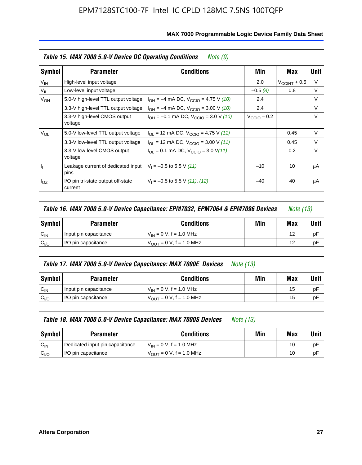|                 | Table 15. MAX 7000 5.0-V Device DC Operating Conditions<br>Note (9) |                                                                           |                      |                       |        |  |  |  |
|-----------------|---------------------------------------------------------------------|---------------------------------------------------------------------------|----------------------|-----------------------|--------|--|--|--|
| Symbol          | <b>Parameter</b>                                                    | <b>Conditions</b>                                                         | Min                  | Max                   | Unit   |  |  |  |
| V <sub>IH</sub> | High-level input voltage                                            |                                                                           | 2.0                  | $V_{\rm CCINT}$ + 0.5 | V      |  |  |  |
| $V_{IL}$        | Low-level input voltage                                             |                                                                           | $-0.5(8)$            | 0.8                   | V      |  |  |  |
| $V_{OH}$        | 5.0-V high-level TTL output voltage                                 | $I_{OH} = -4$ mA DC, $V_{CClO} = 4.75$ V (10)                             | 2.4                  |                       | V      |  |  |  |
|                 | 3.3-V high-level TTL output voltage                                 | $I_{OH} = -4$ mA DC, $V_{CClO} = 3.00$ V (10)                             | 2.4                  |                       | V      |  |  |  |
|                 | 3.3-V high-level CMOS output<br>voltage                             | $I_{OH} = -0.1$ mA DC, $V_{CCIO} = 3.0$ V (10)                            | $V_{\rm CClO}$ – 0.2 |                       | $\vee$ |  |  |  |
| $V_{OL}$        | 5.0-V low-level TTL output voltage                                  | $I_{\text{OI}}$ = 12 mA DC, $V_{\text{CCIO}}$ = 4.75 V (11)               |                      | 0.45                  | V      |  |  |  |
|                 | 3.3-V low-level TTL output voltage                                  | $I_{OL}$ = 12 mA DC, $V_{CClO}$ = 3.00 V (11)                             |                      | 0.45                  | $\vee$ |  |  |  |
|                 | 3.3-V low-level CMOS output<br>voltage                              | $I_{\text{OI}} = 0.1 \text{ mA DC}, V_{\text{CCIO}} = 3.0 \text{ V} (11)$ |                      | 0.2                   | $\vee$ |  |  |  |
| 4               | Leakage current of dedicated input<br>pins                          | $V_1 = -0.5$ to 5.5 V (11)                                                | $-10$                | 10                    | μA     |  |  |  |
| $I_{OZ}$        | I/O pin tri-state output off-state<br>current                       | $V_1 = -0.5$ to 5.5 V (11), (12)                                          | $-40$                | 40                    | μA     |  |  |  |

|                  | Table 16. MAX 7000 5.0-V Device Capacitance: EPM7032, EPM7064 & EPM7096 Devices<br><i>Note (13)</i> |                                     |  |    |    |
|------------------|-----------------------------------------------------------------------------------------------------|-------------------------------------|--|----|----|
| Symbol           | Min<br><b>Conditions</b><br><b>Parameter</b>                                                        |                                     |  |    |    |
| $C_{IN}$         | Input pin capacitance                                                                               | $V_{IN} = 0 V$ , f = 1.0 MHz        |  | 12 | рF |
| C <sub>I/O</sub> | I/O pin capacitance                                                                                 | $V_{\text{OUT}} = 0$ V, f = 1.0 MHz |  | 12 | рF |

|                  | Table 17. MAX 7000 5.0-V Device Capacitance: MAX 7000E Devices<br><i>Note (13)</i> |                                |     |     |        |  |
|------------------|------------------------------------------------------------------------------------|--------------------------------|-----|-----|--------|--|
| Symbol           | <b>Parameter</b>                                                                   | <b>Conditions</b>              | Min | Max | Unit I |  |
| $C_{IN}$         | Input pin capacitance                                                              | $V_{1N} = 0 V$ , f = 1.0 MHz   |     | 15  | pF     |  |
| C <sub>I/O</sub> | I/O pin capacitance                                                                | $V_{OIII} = 0 V$ , f = 1.0 MHz |     | 15  | pF     |  |

|                  | Table 18. MAX 7000 5.0-V Device Capacitance: MAX 7000S Devices | <i>Note (13)</i>                    |     |     |        |
|------------------|----------------------------------------------------------------|-------------------------------------|-----|-----|--------|
| Symbol           | <b>Parameter</b>                                               | <b>Conditions</b>                   | Min | Max | Unit I |
| $C_{IN}$         | Dedicated input pin capacitance                                | $V_{IN} = 0 V$ , f = 1.0 MHz        |     | 10  | pF     |
| C <sub>I/O</sub> | I/O pin capacitance                                            | $V_{\text{OUT}} = 0$ V, f = 1.0 MHz |     | 10  | pF     |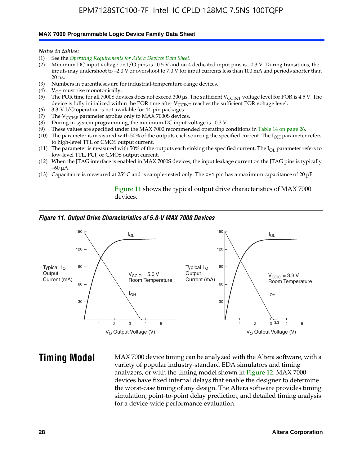#### **MAX 7000 Programmable Logic Device Family Data Sheet**

*Notes to tables:*

- (1) See the *Operating Requirements for Altera Devices Data Sheet*.
- (2) Minimum DC input voltage on I/O pins is –0.5 V and on 4 dedicated input pins is –0.3 V. During transitions, the inputs may undershoot to –2.0 V or overshoot to 7.0 V for input currents less than 100 mA and periods shorter than  $20$  ns.
- (3) Numbers in parentheses are for industrial-temperature-range devices.<br>(4)  $V_{CC}$  must rise monotonically.
- $V_{CC}$  must rise monotonically.
- (5) The POR time for all 7000S devices does not exceed 300 µs. The sufficient V<sub>CCINT</sub> voltage level for POR is 4.5 V. The device is fully initialized within the POR time after  $V_{\text{CCINT}}$  reaches the sufficient POR voltage level.
- (6) 3.3-V I/O operation is not available for 44-pin packages.
- (7) The  $V_{\text{CCISP}}$  parameter applies only to MAX 7000S devices.
- (8) During in-system programming, the minimum DC input voltage is –0.3 V.
- (9) These values are specified under the MAX 7000 recommended operating conditions in Table 14 on page 26.
- (10) The parameter is measured with 50% of the outputs each sourcing the specified current. The  $I_{OH}$  parameter refers to high-level TTL or CMOS output current.
- (11) The parameter is measured with 50% of the outputs each sinking the specified current. The  $I_{OL}$  parameter refers to low-level TTL, PCI, or CMOS output current.
- (12) When the JTAG interface is enabled in MAX 7000S devices, the input leakage current on the JTAG pins is typically –60 μA.
- (13) Capacitance is measured at 25° C and is sample-tested only. The OE1 pin has a maximum capacitance of 20 pF.

Figure 11 shows the typical output drive characteristics of MAX 7000 devices.

#### *Figure 11. Output Drive Characteristics of 5.0-V MAX 7000 Devices*



**Timing Model** MAX 7000 device timing can be analyzed with the Altera software, with a variety of popular industry-standard EDA simulators and timing analyzers, or with the timing model shown in Figure 12. MAX 7000 devices have fixed internal delays that enable the designer to determine the worst-case timing of any design. The Altera software provides timing simulation, point-to-point delay prediction, and detailed timing analysis for a device-wide performance evaluation.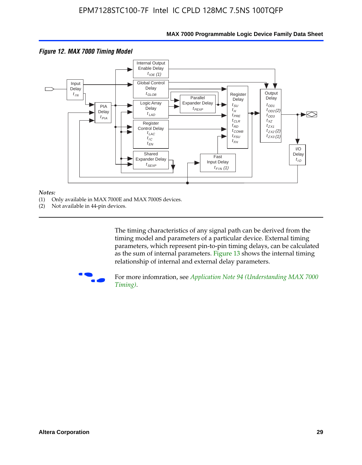

### **MAX 7000 Programmable Logic Device Family Data Sheet**

#### *Notes:*

- (1) Only available in MAX 7000E and MAX 7000S devices.
- (2) Not available in 44-pin devices.

[The tim](http://www.altera.com/literature/an/an094.pdf)ing characteristics [of any signal path can be derived from the](http://www.altera.com/literature/an/an094.pdf)  timing model and parameters of a particular device. External timing parameters, which represent pin-to-pin timing delays, can be calculated as the sum of internal parameters. Figure 13 shows the internal timing relationship of internal and external delay parameters.



For more infomration, see *Application Note 94 (Understanding MAX 7000 Timing)*.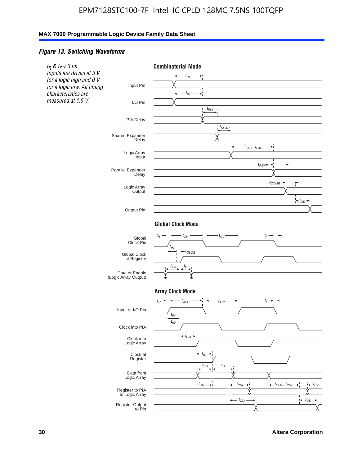#### *Figure 13. Switching Waveforms*



**30 Altera Corporation**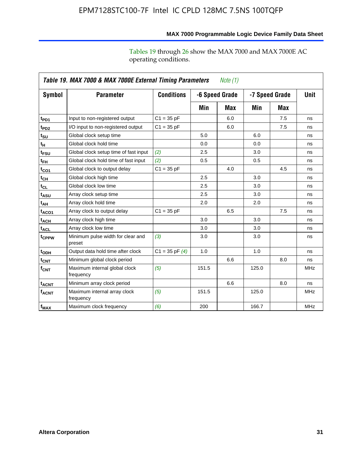operating conditions.

|                               | Table 19. MAX 7000 & MAX 7000E External Timing Parameters<br>Note $(1)$ |                    |       |                                  |       |     |            |  |
|-------------------------------|-------------------------------------------------------------------------|--------------------|-------|----------------------------------|-------|-----|------------|--|
| Symbol                        | <b>Parameter</b>                                                        | <b>Conditions</b>  |       | -6 Speed Grade<br>-7 Speed Grade |       |     |            |  |
|                               |                                                                         |                    | Min   | Max                              | Min   | Max |            |  |
| t <sub>PD1</sub>              | Input to non-registered output                                          | $C1 = 35 pF$       |       | 6.0                              |       | 7.5 | ns         |  |
| t <sub>PD2</sub>              | I/O input to non-registered output                                      | $C1 = 35 pF$       |       | 6.0                              |       | 7.5 | ns         |  |
| $t_{\scriptstyle\textrm{SU}}$ | Global clock setup time                                                 |                    | 5.0   |                                  | 6.0   |     | ns         |  |
| tμ                            | Global clock hold time                                                  |                    | 0.0   |                                  | 0.0   |     | ns         |  |
| t <sub>FSU</sub>              | Global clock setup time of fast input                                   | (2)                | 2.5   |                                  | 3.0   |     | ns         |  |
| $t_{FH}$                      | Global clock hold time of fast input                                    | (2)                | 0.5   |                                  | 0.5   |     | ns         |  |
| $t_{CO1}$                     | Global clock to output delay                                            | $C1 = 35 pF$       |       | 4.0                              |       | 4.5 | ns         |  |
| $t_{CH}$                      | Global clock high time                                                  |                    | 2.5   |                                  | 3.0   |     | ns         |  |
| $t_{CL}$                      | Global clock low time                                                   |                    | 2.5   |                                  | 3.0   |     | ns         |  |
| t <sub>ASU</sub>              | Array clock setup time                                                  |                    | 2.5   |                                  | 3.0   |     | ns         |  |
| $t_{AH}$                      | Array clock hold time                                                   |                    | 2.0   |                                  | 2.0   |     | ns         |  |
| t <sub>ACO1</sub>             | Array clock to output delay                                             | $C1 = 35 pF$       |       | 6.5                              |       | 7.5 | ns         |  |
| t <sub>ACH</sub>              | Array clock high time                                                   |                    | 3.0   |                                  | 3.0   |     | ns         |  |
| $t_{\sf ACL}$                 | Array clock low time                                                    |                    | 3.0   |                                  | 3.0   |     | ns         |  |
| t <sub>CPPW</sub>             | Minimum pulse width for clear and<br>preset                             | (3)                | 3.0   |                                  | 3.0   |     | ns         |  |
| t <sub>ODH</sub>              | Output data hold time after clock                                       | $C1 = 35$ pF $(4)$ | 1.0   |                                  | 1.0   |     | ns         |  |
| $\mathfrak{t}_{\textsf{CNT}}$ | Minimum global clock period                                             |                    |       | 6.6                              |       | 8.0 | ns         |  |
| $f_{\text{CNT}}$              | Maximum internal global clock<br>frequency                              | (5)                | 151.5 |                                  | 125.0 |     | <b>MHz</b> |  |
| <b>t<sub>ACNT</sub></b>       | Minimum array clock period                                              |                    |       | 6.6                              |       | 8.0 | ns         |  |
| <b>f<sub>ACNT</sub></b>       | Maximum internal array clock<br>frequency                               | (5)                | 151.5 |                                  | 125.0 |     | <b>MHz</b> |  |
| $f_{MAX}$                     | Maximum clock frequency                                                 | (6)                | 200   |                                  | 166.7 |     | <b>MHz</b> |  |

**MAX 7000 Programmable Logic Device Family Data Sheet**

Tables 19 through 26 show the MAX 7000 and MAX 7000E AC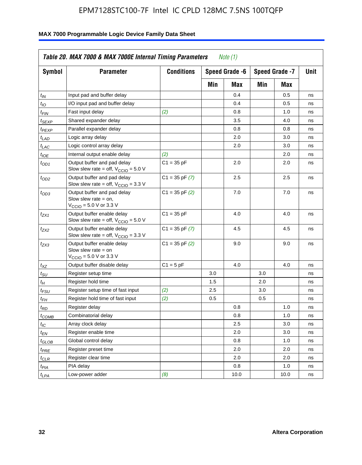| <b>Symbol</b>               | <b>Parameter</b>                                                                                             | <b>Conditions</b>  |     | Speed Grade -6 |     | Speed Grade -7 | Unit |
|-----------------------------|--------------------------------------------------------------------------------------------------------------|--------------------|-----|----------------|-----|----------------|------|
|                             |                                                                                                              |                    | Min | Max            | Min | Max            |      |
| $t_{IN}$                    | Input pad and buffer delay                                                                                   |                    |     | 0.4            |     | 0.5            | ns   |
| $t_{IO}$                    | I/O input pad and buffer delay                                                                               |                    |     | 0.4            |     | 0.5            | ns   |
| $t_{\sf FIN}$               | Fast input delay                                                                                             | (2)                |     | 0.8            |     | 1.0            | ns   |
| <sup>t</sup> SEXP           | Shared expander delay                                                                                        |                    |     | 3.5            |     | 4.0            | ns   |
| t <sub>PEXP</sub>           | Parallel expander delay                                                                                      |                    |     | 0.8            |     | 0.8            | ns   |
| t <sub>LAD</sub>            | Logic array delay                                                                                            |                    |     | 2.0            |     | 3.0            | ns   |
| $t_{LAC}$                   | Logic control array delay                                                                                    |                    |     | 2.0            |     | 3.0            | ns   |
| $t_{IOE}$                   | Internal output enable delay                                                                                 | (2)                |     |                |     | 2.0            | ns   |
| $t_{OD1}$                   | Output buffer and pad delay<br>Slow slew rate = off, $V_{\text{CCIO}} = 5.0 V$                               | $C1 = 35 pF$       |     | 2.0            |     | 2.0            | ns   |
| $t_{OD2}$                   | Output buffer and pad delay<br>Slow slew rate = off, $V_{\text{CCIO}} = 3.3$ V                               | $C1 = 35$ pF $(7)$ |     | 2.5            |     | 2.5            | ns   |
| $t_{OD3}$                   | Output buffer and pad delay<br>Slow slew rate $=$ on,<br>$V_{\text{CCIO}} = 5.0 \text{ V or } 3.3 \text{ V}$ | $C1 = 35$ pF $(2)$ |     | 7.0            |     | 7.0            | ns   |
| $t_{ZX1}$                   | Output buffer enable delay<br>Slow slew rate = off, $V_{\text{CCIO}} = 5.0 V$                                | $C1 = 35 pF$       |     | 4.0            |     | 4.0            | ns   |
| t <sub>ZX2</sub>            | Output buffer enable delay<br>Slow slew rate = off, $V_{\text{CCIO}} = 3.3 \text{ V}$                        | $C1 = 35$ pF $(7)$ |     | 4.5            |     | 4.5            | ns   |
| tzx3                        | Output buffer enable delay<br>Slow slew rate $=$ on<br>$V_{\text{CCIO}} = 5.0 \text{ V}$ or 3.3 V            | $C1 = 35$ pF $(2)$ |     | 9.0            |     | 9.0            | ns   |
| $t_{\mathsf{XZ}}$           | Output buffer disable delay                                                                                  | $C1 = 5pF$         |     | 4.0            |     | 4.0            | ns   |
| $t_{\scriptstyle\text{SU}}$ | Register setup time                                                                                          |                    | 3.0 |                | 3.0 |                | ns   |
| $t_H$                       | Register hold time                                                                                           |                    | 1.5 |                | 2.0 |                | ns   |
| t <sub>FSU</sub>            | Register setup time of fast input                                                                            | (2)                | 2.5 |                | 3.0 |                | ns   |
| $t_{FH}$                    | Register hold time of fast input                                                                             | (2)                | 0.5 |                | 0.5 |                | ns   |
| t <sub>RD</sub>             | Register delay                                                                                               |                    |     | 0.8            |     | 1.0            | ns   |
| $t_{\mathsf{COMB}}$         | Combinatorial delay                                                                                          |                    |     | 0.8            |     | 1.0            | ns   |
| $t_{IC}$                    | Array clock delay                                                                                            |                    |     | 2.5            |     | 3.0            | ns   |
| $t_{EN}$                    | Register enable time                                                                                         |                    |     | 2.0            |     | 3.0            | ns   |
| t <sub>GLOB</sub>           | Global control delay                                                                                         |                    |     | 0.8            |     | 1.0            | ns   |
| $t_{PRE}$                   | Register preset time                                                                                         |                    |     | 2.0            |     | 2.0            | ns   |
| $t_{\sf CLR}$               | Register clear time                                                                                          |                    |     | 2.0            |     | 2.0            | ns   |
| $t_{PIA}$                   | PIA delay                                                                                                    |                    |     | 0.8            |     | 1.0            | ns   |
| $t_{LPA}$                   | Low-power adder                                                                                              | (8)                |     | 10.0           |     | 10.0           | ns   |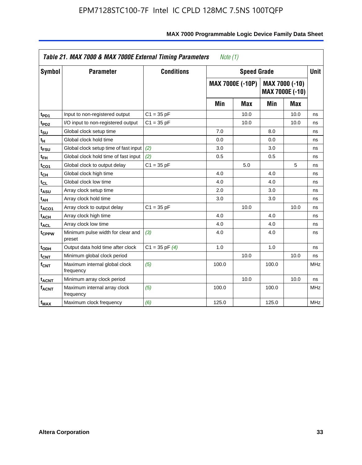| Symbol                       | <b>Parameter</b>                            | <b>Speed Grade</b> |       | <b>Unit</b>             |       |                                          |            |
|------------------------------|---------------------------------------------|--------------------|-------|-------------------------|-------|------------------------------------------|------------|
|                              |                                             |                    |       | <b>MAX 7000E (-10P)</b> |       | MAX 7000 (-10)<br><b>MAX 7000E (-10)</b> |            |
|                              |                                             |                    | Min   | <b>Max</b>              | Min   | Max                                      |            |
| t <sub>PD1</sub>             | Input to non-registered output              | $C1 = 35 pF$       |       | 10.0                    |       | 10.0                                     | ns         |
| t <sub>PD2</sub>             | I/O input to non-registered output          | $C1 = 35 pF$       |       | 10.0                    |       | 10.0                                     | ns         |
| t <sub>su</sub>              | Global clock setup time                     |                    | 7.0   |                         | 8.0   |                                          | ns         |
| tμ                           | Global clock hold time                      |                    | 0.0   |                         | 0.0   |                                          | ns         |
| t <sub>FSU</sub>             | Global clock setup time of fast input       | (2)                | 3.0   |                         | 3.0   |                                          | ns         |
| t <sub>FH</sub>              | Global clock hold time of fast input        | (2)                | 0.5   |                         | 0.5   |                                          | ns         |
| t <sub>CO1</sub>             | Global clock to output delay                | $C1 = 35 pF$       |       | 5.0                     |       | 5                                        | ns         |
| $\mathfrak{t}_{\textsf{CH}}$ | Global clock high time                      |                    | 4.0   |                         | 4.0   |                                          | ns         |
| $t_{CL}$                     | Global clock low time                       |                    | 4.0   |                         | 4.0   |                                          | ns         |
| t <sub>ASU</sub>             | Array clock setup time                      |                    | 2.0   |                         | 3.0   |                                          | ns         |
| t <sub>АН</sub>              | Array clock hold time                       |                    | 3.0   |                         | 3.0   |                                          | ns         |
| t <sub>ACO1</sub>            | Array clock to output delay                 | $C1 = 35 pF$       |       | 10.0                    |       | 10.0                                     | ns         |
| t <sub>ACH</sub>             | Array clock high time                       |                    | 4.0   |                         | 4.0   |                                          | ns         |
| $t_{\sf ACL}$                | Array clock low time                        |                    | 4.0   |                         | 4.0   |                                          | ns         |
| t <sub>CPPW</sub>            | Minimum pulse width for clear and<br>preset | (3)                | 4.0   |                         | 4.0   |                                          | ns         |
| t <sub>ODH</sub>             | Output data hold time after clock           | $C1 = 35$ pF $(4)$ | 1.0   |                         | 1.0   |                                          | ns         |
| $t_{\mathsf{CNT}}$           | Minimum global clock period                 |                    |       | 10.0                    |       | 10.0                                     | ns         |
| $f_{\mathsf{CNT}}$           | Maximum internal global clock<br>frequency  | (5)                | 100.0 |                         | 100.0 |                                          | <b>MHz</b> |
| <b>t<sub>ACNT</sub></b>      | Minimum array clock period                  |                    |       | 10.0                    |       | 10.0                                     | ns         |
| f <sub>ACNT</sub>            | Maximum internal array clock<br>frequency   | (5)                | 100.0 |                         | 100.0 |                                          | <b>MHz</b> |
| $f_{MAX}$                    | Maximum clock frequency                     | (6)                | 125.0 |                         | 125.0 |                                          | <b>MHz</b> |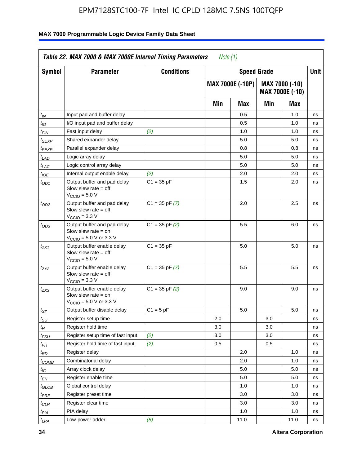| Symbol                      | <b>Parameter</b>                                                                                            | <b>Conditions</b>  |     | <b>Speed Grade</b>      |     |                                   | Unit |
|-----------------------------|-------------------------------------------------------------------------------------------------------------|--------------------|-----|-------------------------|-----|-----------------------------------|------|
|                             |                                                                                                             |                    |     | <b>MAX 7000E (-10P)</b> |     | MAX 7000 (-10)<br>MAX 7000E (-10) |      |
|                             |                                                                                                             |                    | Min | Max                     | Min | Max                               |      |
| $t_{IN}$                    | Input pad and buffer delay                                                                                  |                    |     | 0.5                     |     | 1.0                               | ns   |
| $t_{IO}$                    | I/O input pad and buffer delay                                                                              |                    |     | 0.5                     |     | 1.0                               | ns   |
| t <sub>FIN</sub>            | Fast input delay                                                                                            | (2)                |     | 1.0                     |     | 1.0                               | ns   |
| $t_{SEXP}$                  | Shared expander delay                                                                                       |                    |     | 5.0                     |     | 5.0                               | ns   |
| $t_{PEXP}$                  | Parallel expander delay                                                                                     |                    |     | 0.8                     |     | 0.8                               | ns   |
| t <sub>LAD</sub>            | Logic array delay                                                                                           |                    |     | 5.0                     |     | 5.0                               | ns   |
| $t_{LAC}$                   | Logic control array delay                                                                                   |                    |     | 5.0                     |     | 5.0                               | ns   |
| $t_{IOE}$                   | Internal output enable delay                                                                                | (2)                |     | 2.0                     |     | 2.0                               | ns   |
| $t_{OD1}$                   | Output buffer and pad delay<br>Slow slew rate $=$ off<br>V <sub>CCIO</sub> = 5.0 V                          | $C1 = 35 pF$       |     | 1.5                     |     | 2.0                               | ns   |
| $t_{OD2}$                   | Output buffer and pad delay<br>Slow slew rate $=$ off<br>$V_{\text{CCIO}} = 3.3 \text{ V}$                  | $C1 = 35$ pF $(7)$ |     | 2.0                     |     | 2.5                               | ns   |
| $t_{OD3}$                   | Output buffer and pad delay<br>Slow slew rate $=$ on<br>$V_{\text{CCIO}} = 5.0 \text{ V or } 3.3 \text{ V}$ | $C1 = 35$ pF $(2)$ |     | 5.5                     |     | 6.0                               | ns   |
| t <sub>ZX1</sub>            | Output buffer enable delay<br>Slow slew rate $=$ off<br>$VCCIO = 5.0 V$                                     | $C1 = 35 pF$       |     | 5.0                     |     | 5.0                               | ns   |
| t <sub>ZX2</sub>            | Output buffer enable delay<br>Slow slew rate $=$ off<br>$VCCIO = 3.3 V$                                     | $C1 = 35$ pF $(7)$ |     | 5.5                     |     | 5.5                               | ns   |
| t <sub>ZX3</sub>            | Output buffer enable delay<br>Slow slew rate $=$ on<br>$V_{\text{CCIO}} = 5.0 \text{ V or } 3.3 \text{ V}$  | $C1 = 35$ pF $(2)$ |     | 9.0                     |     | 9.0                               | ns   |
| $t_{XZ}$                    | Output buffer disable delay                                                                                 | $C1 = 5 pF$        |     | 5.0                     |     | 5.0                               | ns   |
| $t_{\scriptstyle\text{SU}}$ | Register setup time                                                                                         |                    | 2.0 |                         | 3.0 |                                   | ns   |
| $t_H$                       | Register hold time                                                                                          |                    | 3.0 |                         | 3.0 |                                   | ns   |
| $t_{\it FSU}$               | Register setup time of fast input                                                                           | (2)                | 3.0 |                         | 3.0 |                                   | ns   |
| $t_{FH}$                    | Register hold time of fast input                                                                            | (2)                | 0.5 |                         | 0.5 |                                   | ns   |
| t <sub>RD</sub>             | Register delay                                                                                              |                    |     | 2.0                     |     | 1.0                               | ns   |
| $t_{COMB}$                  | Combinatorial delay                                                                                         |                    |     | 2.0                     |     | 1.0                               | ns   |
| ЧC                          | Array clock delay                                                                                           |                    |     | 5.0                     |     | 5.0                               | ns   |
| $t_{EN}$                    | Register enable time                                                                                        |                    |     | 5.0                     |     | 5.0                               | ns   |
| $t_{GLOB}$                  | Global control delay                                                                                        |                    |     | 1.0                     |     | 1.0                               | ns   |
| $t_{PRE}$                   | Register preset time                                                                                        |                    |     | 3.0                     |     | 3.0                               | ns   |
| $t_{CLR}$                   | Register clear time                                                                                         |                    |     | 3.0                     |     | 3.0                               | ns   |
| t <sub>PIA</sub>            | PIA delay                                                                                                   |                    |     | 1.0                     |     | 1.0                               | ns   |
| $t_{LPA}$                   | Low-power adder                                                                                             | (8)                |     | 11.0                    |     | 11.0                              | ns   |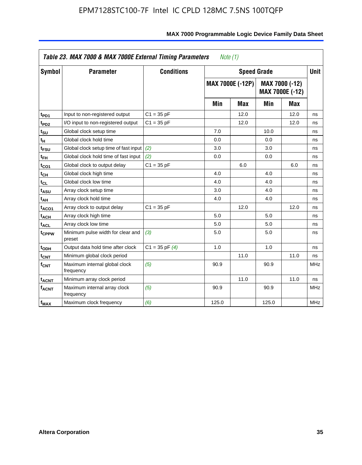| <b>Symbol</b>                | <b>Parameter</b>                            | <b>Conditions</b>  |       | <b>Speed Grade</b>      |       |                                   | <b>Unit</b> |
|------------------------------|---------------------------------------------|--------------------|-------|-------------------------|-------|-----------------------------------|-------------|
|                              |                                             |                    |       | <b>MAX 7000E (-12P)</b> |       | MAX 7000 (-12)<br>MAX 7000E (-12) |             |
|                              |                                             |                    | Min   | <b>Max</b>              | Min   | <b>Max</b>                        |             |
| t <sub>PD1</sub>             | Input to non-registered output              | $C1 = 35 pF$       |       | 12.0                    |       | 12.0                              | ns          |
| t <sub>PD2</sub>             | I/O input to non-registered output          | $C1 = 35 pF$       |       | 12.0                    |       | 12.0                              | ns          |
| t <sub>su</sub>              | Global clock setup time                     |                    | 7.0   |                         | 10.0  |                                   | ns          |
| tμ                           | Global clock hold time                      |                    | 0.0   |                         | 0.0   |                                   | ns          |
| t <sub>FSU</sub>             | Global clock setup time of fast input       | (2)                | 3.0   |                         | 3.0   |                                   | ns          |
| t <sub>FH</sub>              | Global clock hold time of fast input        | (2)                | 0.0   |                         | 0.0   |                                   | ns          |
| t <sub>CO1</sub>             | Global clock to output delay                | $C1 = 35 pF$       |       | 6.0                     |       | 6.0                               | ns          |
| $t_{\mathsf{CH}}$            | Global clock high time                      |                    | 4.0   |                         | 4.0   |                                   | ns          |
| $\mathfrak{t}_{\texttt{CL}}$ | Global clock low time                       |                    | 4.0   |                         | 4.0   |                                   | ns          |
| t <sub>ASU</sub>             | Array clock setup time                      |                    | 3.0   |                         | 4.0   |                                   | ns          |
| t <sub>АН</sub>              | Array clock hold time                       |                    | 4.0   |                         | 4.0   |                                   | ns          |
| t <sub>ACO1</sub>            | Array clock to output delay                 | $C1 = 35 pF$       |       | 12.0                    |       | 12.0                              | ns          |
| t <sub>ACH</sub>             | Array clock high time                       |                    | 5.0   |                         | 5.0   |                                   | ns          |
| $t_{\sf ACL}$                | Array clock low time                        |                    | 5.0   |                         | 5.0   |                                   | ns          |
| t <sub>CPPW</sub>            | Minimum pulse width for clear and<br>preset | (3)                | 5.0   |                         | 5.0   |                                   | ns          |
| t <sub>ODH</sub>             | Output data hold time after clock           | $C1 = 35$ pF $(4)$ | 1.0   |                         | 1.0   |                                   | ns          |
| $t_{\mathsf{CNT}}$           | Minimum global clock period                 |                    |       | 11.0                    |       | 11.0                              | ns          |
| $f_{\mathsf{CNT}}$           | Maximum internal global clock<br>frequency  | (5)                | 90.9  |                         | 90.9  |                                   | <b>MHz</b>  |
| <b>t<sub>ACNT</sub></b>      | Minimum array clock period                  |                    |       | 11.0                    |       | 11.0                              | ns          |
| f <sub>ACNT</sub>            | Maximum internal array clock<br>frequency   | (5)                | 90.9  |                         | 90.9  |                                   | <b>MHz</b>  |
| $f_{MAX}$                    | Maximum clock frequency                     | (6)                | 125.0 |                         | 125.0 |                                   | <b>MHz</b>  |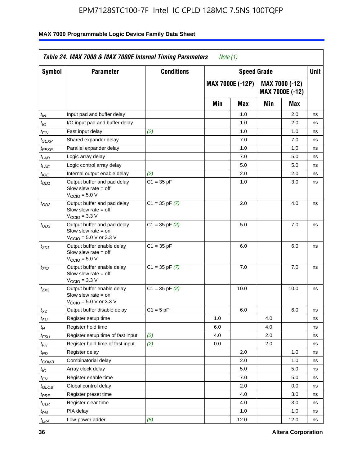| <b>Symbol</b>               | <b>Parameter</b>                                                                                           | <b>Conditions</b>  |     | <b>Speed Grade</b>      |     |                                          | <b>Unit</b> |
|-----------------------------|------------------------------------------------------------------------------------------------------------|--------------------|-----|-------------------------|-----|------------------------------------------|-------------|
|                             |                                                                                                            |                    |     | <b>MAX 7000E (-12P)</b> |     | MAX 7000 (-12)<br><b>MAX 7000E (-12)</b> |             |
|                             |                                                                                                            |                    | Min | Max                     | Min | Max                                      |             |
| $t_{\mathsf{IN}}$           | Input pad and buffer delay                                                                                 |                    |     | 1.0                     |     | 2.0                                      | ns          |
| $t_{IO}$                    | I/O input pad and buffer delay                                                                             |                    |     | 1.0                     |     | 2.0                                      | ns          |
| $t_{\sf FIN}$               | Fast input delay                                                                                           | (2)                |     | 1.0                     |     | 1.0                                      | ns          |
| t <sub>SEXP</sub>           | Shared expander delay                                                                                      |                    |     | 7.0                     |     | 7.0                                      | ns          |
| t <sub>PEXP</sub>           | Parallel expander delay                                                                                    |                    |     | 1.0                     |     | 1.0                                      | ns          |
| t <sub>LAD</sub>            | Logic array delay                                                                                          |                    |     | 7.0                     |     | 5.0                                      | ns          |
| $t_{LAC}$                   | Logic control array delay                                                                                  |                    |     | 5.0                     |     | 5.0                                      | ns          |
| $t_{IOE}$                   | Internal output enable delay                                                                               | (2)                |     | 2.0                     |     | 2.0                                      | ns          |
| $t_{OD1}$                   | Output buffer and pad delay<br>Slow slew rate $=$ off<br>$V_{\text{CCIO}} = 5.0 V$                         | $C1 = 35 pF$       |     | 1.0                     |     | 3.0                                      | ns          |
| $t_{OD2}$                   | Output buffer and pad delay<br>Slow slew rate $=$ off<br>V <sub>CCIO</sub> = 3.3 V                         | $C1 = 35$ pF $(7)$ |     | 2.0                     |     | 4.0                                      | ns          |
| $t_{OD3}$                   | Output buffer and pad delay<br>Slow slew rate = on<br>$V_{\text{CCIO}} = 5.0 \text{ V or } 3.3 \text{ V}$  | $C1 = 35$ pF $(2)$ |     | 5.0                     |     | 7.0                                      | ns          |
| $t_{ZX1}$                   | Output buffer enable delay<br>Slow slew rate $=$ off<br>$V_{\text{CCIO}} = 5.0 V$                          | $C1 = 35 pF$       |     | 6.0                     |     | 6.0                                      | ns          |
| t <sub>ZX2</sub>            | Output buffer enable delay<br>Slow slew rate $=$ off<br>$V_{\text{CCIO}} = 3.3 \text{ V}$                  | $C1 = 35$ pF $(7)$ |     | 7.0                     |     | 7.0                                      | ns          |
| $t_{ZX3}$                   | Output buffer enable delay<br>Slow slew rate $=$ on<br>$V_{\text{CCIO}} = 5.0 \text{ V or } 3.3 \text{ V}$ | $C1 = 35$ pF $(2)$ |     | 10.0                    |     | 10.0                                     | ns          |
| $t_{\mathsf{XZ}}$           | Output buffer disable delay                                                                                | $C1 = 5 pF$        |     | 6.0                     |     | 6.0                                      | ns          |
| $t_{\scriptstyle\text{SU}}$ | Register setup time                                                                                        |                    | 1.0 |                         | 4.0 |                                          | ns          |
| t <sub>Η</sub>              | Register hold time                                                                                         |                    | 6.0 |                         | 4.0 |                                          | ns          |
| $t_{\mathit{FSU}}$          | Register setup time of fast input                                                                          | (2)                | 4.0 |                         | 2.0 |                                          | ns          |
| t <sub>FН</sub>             | Register hold time of fast input                                                                           | (2)                | 0.0 |                         | 2.0 |                                          | ns          |
| $t_{RD}$                    | Register delay                                                                                             |                    |     | 2.0                     |     | 1.0                                      | ns          |
| $t_{COMB}$                  | Combinatorial delay                                                                                        |                    |     | 2.0                     |     | 1.0                                      | ns          |
| ЧC                          | Array clock delay                                                                                          |                    |     | $5.0\,$                 |     | 5.0                                      | 115         |
| $t_{EN}$                    | Register enable time                                                                                       |                    |     | 7.0                     |     | 5.0                                      | ns          |
| $t_{GLOB}$                  | Global control delay                                                                                       |                    |     | 2.0                     |     | 0.0                                      | ns          |
| t <sub>PRE</sub>            | Register preset time                                                                                       |                    |     | 4.0                     |     | 3.0                                      | ns          |
| $t_{CLR}$                   | Register clear time                                                                                        |                    |     | 4.0                     |     | 3.0                                      | ns          |
| t <sub>PIA</sub>            | PIA delay                                                                                                  |                    |     | 1.0                     |     | 1.0                                      | ns          |
| $t_{LPA}$                   | Low-power adder                                                                                            | (8)                |     | 12.0                    |     | 12.0                                     | ns          |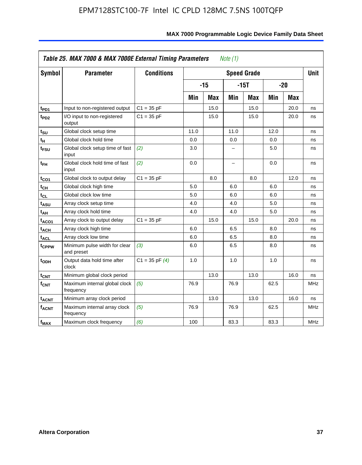| <b>Symbol</b>           | <b>Parameter</b>                            | <b>Conditions</b>  |      |            |                          | <b>Speed Grade</b> |      |            | <b>Unit</b> |
|-------------------------|---------------------------------------------|--------------------|------|------------|--------------------------|--------------------|------|------------|-------------|
|                         |                                             |                    |      | $-15$      |                          | $-15T$             |      | $-20$      |             |
|                         |                                             |                    | Min  | <b>Max</b> | Min                      | <b>Max</b>         | Min  | <b>Max</b> |             |
| t <sub>PD1</sub>        | Input to non-registered output              | $C1 = 35 pF$       |      | 15.0       |                          | 15.0               |      | 20.0       | ns          |
| t <sub>PD2</sub>        | I/O input to non-registered<br>output       | $C1 = 35 pF$       |      | 15.0       |                          | 15.0               |      | 20.0       | ns          |
| tsu                     | Global clock setup time                     |                    | 11.0 |            | 11.0                     |                    | 12.0 |            | ns          |
| $t_H$                   | Global clock hold time                      |                    | 0.0  |            | 0.0                      |                    | 0.0  |            | ns          |
| t <sub>FSU</sub>        | Global clock setup time of fast<br>input    | (2)                | 3.0  |            | -                        |                    | 5.0  |            | ns          |
| $t_{FH}$                | Global clock hold time of fast<br>input     | (2)                | 0.0  |            | $\overline{\phantom{0}}$ |                    | 0.0  |            | ns          |
| $t_{CO1}$               | Global clock to output delay                | $C1 = 35 pF$       |      | 8.0        |                          | 8.0                |      | 12.0       | ns          |
| $t_{\mathsf{CH}}$       | Global clock high time                      |                    | 5.0  |            | 6.0                      |                    | 6.0  |            | ns          |
| t <sub>CL</sub>         | Global clock low time                       |                    | 5.0  |            | 6.0                      |                    | 6.0  |            | ns          |
| t <sub>ASU</sub>        | Array clock setup time                      |                    | 4.0  |            | 4.0                      |                    | 5.0  |            | ns          |
| t <sub>АН</sub>         | Array clock hold time                       |                    | 4.0  |            | 4.0                      |                    | 5.0  |            | ns          |
| t <sub>ACO1</sub>       | Array clock to output delay                 | $C1 = 35 pF$       |      | 15.0       |                          | 15.0               |      | 20.0       | ns          |
| $t_{\sf ACH}$           | Array clock high time                       |                    | 6.0  |            | 6.5                      |                    | 8.0  |            | ns          |
| t <sub>ACL</sub>        | Array clock low time                        |                    | 6.0  |            | 6.5                      |                    | 8.0  |            | ns          |
| t <sub>CPPW</sub>       | Minimum pulse width for clear<br>and preset | (3)                | 6.0  |            | 6.5                      |                    | 8.0  |            | ns          |
| $t_{ODH}$               | Output data hold time after<br>clock        | $C1 = 35$ pF $(4)$ | 1.0  |            | 1.0                      |                    | 1.0  |            | ns          |
| $t_{\mathsf{CNT}}$      | Minimum global clock period                 |                    |      | 13.0       |                          | 13.0               |      | 16.0       | ns          |
| f <sub>CNT</sub>        | Maximum internal global clock<br>frequency  | (5)                | 76.9 |            | 76.9                     |                    | 62.5 |            | <b>MHz</b>  |
| <b>t<sub>ACNT</sub></b> | Minimum array clock period                  |                    |      | 13.0       |                          | 13.0               |      | 16.0       | ns          |
| <b>fACNT</b>            | Maximum internal array clock<br>frequency   | (5)                | 76.9 |            | 76.9                     |                    | 62.5 |            | <b>MHz</b>  |
| $f_{MAX}$               | Maximum clock frequency                     | (6)                | 100  |            | 83.3                     |                    | 83.3 |            | MHz         |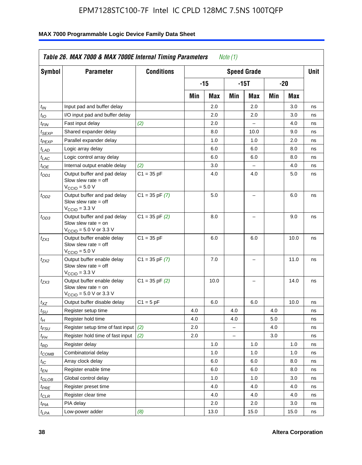| <b>Symbol</b>                 | <b>Parameter</b>                                                                                            | <b>Conditions</b>  |     |       |                          | <b>Speed Grade</b> |     |      | <b>Unit</b> |
|-------------------------------|-------------------------------------------------------------------------------------------------------------|--------------------|-----|-------|--------------------------|--------------------|-----|------|-------------|
|                               |                                                                                                             |                    |     | $-15$ |                          | $-15T$             |     | -20  |             |
|                               |                                                                                                             |                    | Min | Max   | Min                      | Max                | Min | Max  |             |
| $t_{IN}$                      | Input pad and buffer delay                                                                                  |                    |     | 2.0   |                          | 2.0                |     | 3.0  | ns          |
| $t_{IO}$                      | I/O input pad and buffer delay                                                                              |                    |     | 2.0   |                          | 2.0                |     | 3.0  | ns          |
| $t_{\textit{FIN}}$            | Fast input delay                                                                                            | (2)                |     | 2.0   |                          | $\equiv$           |     | 4.0  | ns          |
| $t_{SEXP}$                    | Shared expander delay                                                                                       |                    |     | 8.0   |                          | 10.0               |     | 9.0  | ns          |
| t <sub>PEXP</sub>             | Parallel expander delay                                                                                     |                    |     | 1.0   |                          | 1.0                |     | 2.0  | ns          |
| t <sub>LAD</sub>              | Logic array delay                                                                                           |                    |     | 6.0   |                          | 6.0                |     | 8.0  | ns          |
| $t_{LAC}$                     | Logic control array delay                                                                                   |                    |     | 6.0   |                          | 6.0                |     | 8.0  | ns          |
| $t_{IOE}$                     | Internal output enable delay                                                                                | (2)                |     | 3.0   |                          | $\overline{a}$     |     | 4.0  | ns          |
| $t_{OD1}$                     | Output buffer and pad delay<br>Slow slew rate $=$ off<br>$V_{\text{CCIO}} = 5.0 V$                          | $C1 = 35 pF$       |     | 4.0   |                          | 4.0                |     | 5.0  | ns          |
| $t_{OD2}$                     | Output buffer and pad delay<br>Slow slew rate $=$ off<br>$V_{\text{CCIO}} = 3.3 \text{ V}$                  | $C1 = 35 pF(7)$    |     | 5.0   |                          | L,                 |     | 6.0  | ns          |
| $t_{OD3}$                     | Output buffer and pad delay<br>Slow slew rate $=$ on<br>$V_{\text{CCIO}} = 5.0 \text{ V or } 3.3 \text{ V}$ | $C1 = 35$ pF $(2)$ |     | 8.0   |                          |                    |     | 9.0  | ns          |
| $t_{ZX1}$                     | Output buffer enable delay<br>Slow slew rate $=$ off<br>$V_{\text{CCIO}} = 5.0 V$                           | $C1 = 35 pF$       |     | 6.0   |                          | 6.0                |     | 10.0 | ns          |
| t <sub>ZX2</sub>              | Output buffer enable delay<br>Slow slew rate $=$ off<br>$V_{\text{CCIO}} = 3.3 \text{ V}$                   | $C1 = 35 pF(7)$    |     | 7.0   |                          | L,                 |     | 11.0 | ns          |
| t <sub>ZX3</sub>              | Output buffer enable delay<br>Slow slew rate $=$ on<br>$V_{\text{CCIO}} = 5.0 \text{ V or } 3.3 \text{ V}$  | $C1 = 35$ pF $(2)$ |     | 10.0  |                          |                    |     | 14.0 | ns          |
| $t_{\mathsf{XZ}}$             | Output buffer disable delay                                                                                 | $C1 = 5 pF$        |     | 6.0   |                          | 6.0                |     | 10.0 | ns          |
| $t_{\scriptstyle\text{SU}}$   | Register setup time                                                                                         |                    | 4.0 |       | 4.0                      |                    | 4.0 |      | ns          |
| tμ                            | Register hold time                                                                                          |                    | 4.0 |       | 4.0                      |                    | 5.0 |      | ns          |
| t <sub>FSU</sub>              | Register setup time of fast input                                                                           | (2)                | 2.0 |       | $\overline{\phantom{0}}$ |                    | 4.0 |      | ns          |
| t <sub>FH</sub>               | Register hold time of fast input                                                                            | (2)                | 2.0 |       | $\overline{\phantom{0}}$ |                    | 3.0 |      | ns          |
| $t_{RD}$                      | Register delay                                                                                              |                    |     | 1.0   |                          | 1.0                |     | 1.0  | ns          |
| $t_{COMB}$                    | Combinatorial delay                                                                                         |                    |     | 1.0   |                          | 1.0                |     | 1.0  | ns          |
| $t_{IC}$                      | Array clock delay                                                                                           |                    |     | 6.0   |                          | 6.0                |     | 8.0  | ns          |
| $t_{EN}$                      | Register enable time                                                                                        |                    |     | 6.0   |                          | 6.0                |     | 8.0  | ns          |
| $t_{\scriptstyle\text{GLOB}}$ | Global control delay                                                                                        |                    |     | 1.0   |                          | 1.0                |     | 3.0  | ns          |
| $t_{PRE}$                     | Register preset time                                                                                        |                    |     | 4.0   |                          | 4.0                |     | 4.0  | ns          |
| $t_{\sf CLR}$                 | Register clear time                                                                                         |                    |     | 4.0   |                          | 4.0                |     | 4.0  | ns          |
| $t_{PIA}$                     | PIA delay                                                                                                   |                    |     | 2.0   |                          | 2.0                |     | 3.0  | ns          |
| $t_{LPA}$                     | Low-power adder                                                                                             | (8)                |     | 13.0  |                          | 15.0               |     | 15.0 | ns          |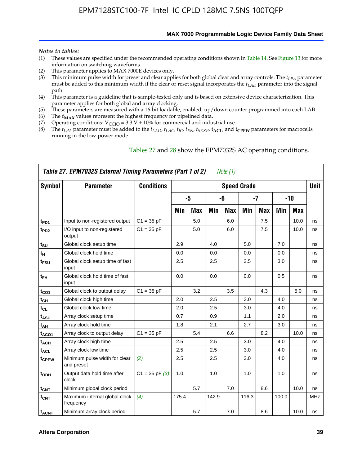**MAX 7000 Programmable Logic Device Family Data Sheet**

#### *Notes to tables:*

- (1) These values are specified under the recommended operating conditions shown in Table 14. See Figure 13 for more information on switching waveforms.
- (2) This parameter applies to MAX 7000E devices only.
- (3) This minimum pulse width for preset and clear applies for both global clear and array controls. The *tLPA* parameter must be added to this minimum width if the clear or reset signal incorporates the  $t_{LAD}$  parameter into the signal path.
- (4) This parameter is a guideline that is sample-tested only and is based on extensive device characterization. This parameter applies for both global and array clocking.
- (5) These parameters are measured with a 16-bit loadable, enabled, up/down counter programmed into each LAB.
- (6) The  $f_{MAX}$  values represent the highest frequency for pipelined data.
- (7) Operating conditions:  $V_{\text{CCIO}} = 3.3 \text{ V} \pm 10\%$  for commercial and industrial use.
- (8) The  $t_{LPA}$  parameter must be added to the  $t_{LAD}$ ,  $t_{LAC}$ ,  $t_{IC}$ ,  $t_{EN}$ ,  $t_{SEXP}$ ,  $t_{ACL}$ , and  $t_{CPPW}$  parameters for macrocells running in the low-power mode.

|                    | Table 27. EPM7032S External Timing Parameters (Part 1 of 2) |                    |       |            |       | Note (1) |                    |            |       |            |             |
|--------------------|-------------------------------------------------------------|--------------------|-------|------------|-------|----------|--------------------|------------|-------|------------|-------------|
| Symbol             | <b>Parameter</b>                                            | <b>Conditions</b>  |       |            |       |          | <b>Speed Grade</b> |            |       |            | <b>Unit</b> |
|                    |                                                             |                    |       | -5         |       | -6       |                    | -7         |       | $-10$      |             |
|                    |                                                             |                    | Min   | <b>Max</b> | Min   | Max      | Min                | <b>Max</b> | Min   | <b>Max</b> |             |
| t <sub>PD1</sub>   | Input to non-registered output                              | $C1 = 35 pF$       |       | 5.0        |       | 6.0      |                    | 7.5        |       | 10.0       | ns          |
| $t_{PD2}$          | I/O input to non-registered<br>output                       | $C1 = 35 pF$       |       | 5.0        |       | 6.0      |                    | 7.5        |       | 10.0       | ns          |
| tsu                | Global clock setup time                                     |                    | 2.9   |            | 4.0   |          | 5.0                |            | 7.0   |            | ns          |
| t <sub>H</sub>     | Global clock hold time                                      |                    | 0.0   |            | 0.0   |          | 0.0                |            | 0.0   |            | ns          |
| $t_{\text{FSU}}$   | Global clock setup time of fast<br>input                    |                    | 2.5   |            | 2.5   |          | 2.5                |            | 3.0   |            | ns          |
| $t_{FH}$           | Global clock hold time of fast<br>input                     |                    | 0.0   |            | 0.0   |          | 0.0                |            | 0.5   |            | ns          |
| $t_{CO1}$          | Global clock to output delay                                | $C1 = 35 pF$       |       | 3.2        |       | 3.5      |                    | 4.3        |       | 5.0        | ns          |
| $t_{\mathsf{CH}}$  | Global clock high time                                      |                    | 2.0   |            | 2.5   |          | 3.0                |            | 4.0   |            | ns          |
| $t_{CL}$           | Global clock low time                                       |                    | 2.0   |            | 2.5   |          | 3.0                |            | 4.0   |            | ns          |
| t <sub>ASU</sub>   | Array clock setup time                                      |                    | 0.7   |            | 0.9   |          | 1.1                |            | 2.0   |            | ns          |
| t <sub>АН</sub>    | Array clock hold time                                       |                    | 1.8   |            | 2.1   |          | 2.7                |            | 3.0   |            | ns          |
| t <sub>ACO1</sub>  | Array clock to output delay                                 | $C1 = 35 pF$       |       | 5.4        |       | 6.6      |                    | 8.2        |       | 10.0       | ns          |
| $t_{ACH}$          | Array clock high time                                       |                    | 2.5   |            | 2.5   |          | 3.0                |            | 4.0   |            | ns          |
| t <sub>ACL</sub>   | Array clock low time                                        |                    | 2.5   |            | 2.5   |          | 3.0                |            | 4.0   |            | ns          |
| t <sub>CPPW</sub>  | Minimum pulse width for clear<br>and preset                 | (2)                | 2.5   |            | 2.5   |          | 3.0                |            | 4.0   |            | ns          |
| t <sub>ODH</sub>   | Output data hold time after<br>clock                        | $C1 = 35$ pF $(3)$ | 1.0   |            | 1.0   |          | 1.0                |            | 1.0   |            | ns          |
| $t_{\mathsf{CNT}}$ | Minimum global clock period                                 |                    |       | 5.7        |       | 7.0      |                    | 8.6        |       | 10.0       | ns          |
| $f_{\mathsf{CNT}}$ | Maximum internal global clock<br>frequency                  | (4)                | 175.4 |            | 142.9 |          | 116.3              |            | 100.0 |            | <b>MHz</b>  |
| t <sub>ACNT</sub>  | Minimum array clock period                                  |                    |       | 5.7        |       | 7.0      |                    | 8.6        |       | 10.0       | ns          |

#### Tables 27 and 28 show the EPM7032S AC operating conditions.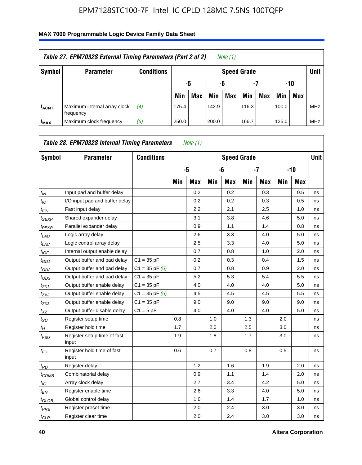| Table 27. EPM7032S External Timing Parameters (Part 2 of 2)<br>Note (1) |                                           |                   |       |                       |       |            |                    |     |       |            |            |  |  |
|-------------------------------------------------------------------------|-------------------------------------------|-------------------|-------|-----------------------|-------|------------|--------------------|-----|-------|------------|------------|--|--|
| Symbol                                                                  | <b>Parameter</b>                          | <b>Conditions</b> |       |                       |       |            | <b>Speed Grade</b> |     |       |            | Unit       |  |  |
|                                                                         |                                           |                   |       | -7<br>-10<br>-6<br>-5 |       |            |                    |     |       |            |            |  |  |
|                                                                         |                                           |                   | Min   | <b>Max</b>            | Min   | <b>Max</b> | Min                | Max | Min   | <b>Max</b> |            |  |  |
| <b>fACNT</b>                                                            | Maximum internal array clock<br>frequency | (4)               | 175.4 |                       | 142.9 |            | 116.3              |     | 100.0 |            | <b>MHz</b> |  |  |
| f <sub>MAX</sub>                                                        | Maximum clock frequency                   | (5)               | 250.0 |                       | 200.0 |            | 166.7              |     | 125.0 |            | <b>MHz</b> |  |  |

| Symbol                        | <b>Parameter</b>                     | <b>Conditions</b>  |     |            |     | <b>Speed Grade</b> |     |            |     |            | <b>Unit</b> |
|-------------------------------|--------------------------------------|--------------------|-----|------------|-----|--------------------|-----|------------|-----|------------|-------------|
|                               |                                      |                    |     | -5         |     | -6                 |     | $-7$       |     | $-10$      |             |
|                               |                                      |                    | Min | <b>Max</b> | Min | <b>Max</b>         | Min | <b>Max</b> | Min | <b>Max</b> |             |
| $t_{IN}$                      | Input pad and buffer delay           |                    |     | 0.2        |     | 0.2                |     | 0.3        |     | 0.5        | ns          |
| $t_{IO}$                      | I/O input pad and buffer delay       |                    |     | 0.2        |     | 0.2                |     | 0.3        |     | 0.5        | ns          |
| $t_{\textit{FIN}}$            | Fast input delay                     |                    |     | 2.2        |     | 2.1                |     | 2.5        |     | 1.0        | ns          |
| $t_{SEXP}$                    | Shared expander delay                |                    |     | 3.1        |     | 3.8                |     | 4.6        |     | 5.0        | ns          |
| $t_{PEXP}$                    | Parallel expander delay              |                    |     | 0.9        |     | 1.1                |     | 1.4        |     | 0.8        | ns          |
| $t_{LAD}$                     | Logic array delay                    |                    |     | 2.6        |     | 3.3                |     | 4.0        |     | 5.0        | ns          |
| $t_{LAC}$                     | Logic control array delay            |                    |     | 2.5        |     | 3.3                |     | 4.0        |     | 5.0        | ns          |
| $t_{IOE}$                     | Internal output enable delay         |                    |     | 0.7        |     | 0.8                |     | 1.0        |     | 2.0        | ns          |
| $t_{OD1}$                     | Output buffer and pad delay          | $C1 = 35 pF$       |     | 0.2        |     | 0.3                |     | 0.4        |     | 1.5        | ns          |
| $t_{OD2}$                     | Output buffer and pad delay          | $C1 = 35$ pF $(6)$ |     | 0.7        |     | 0.8                |     | 0.9        |     | 2.0        | ns          |
| $t_{OD3}$                     | Output buffer and pad delay          | $C1 = 35 pF$       |     | 5.2        |     | 5.3                |     | 5.4        |     | 5.5        | ns          |
| $t_{ZX1}$                     | Output buffer enable delay           | $C1 = 35 pF$       |     | 4.0        |     | 4.0                |     | 4.0        |     | 5.0        | ns          |
| t <sub>ZX2</sub>              | Output buffer enable delay           | $C1 = 35$ pF $(6)$ |     | 4.5        |     | 4.5                |     | 4.5        |     | 5.5        | ns          |
| $t_{ZX3}$                     | Output buffer enable delay           | $C1 = 35 pF$       |     | 9.0        |     | 9.0                |     | 9.0        |     | 9.0        | ns          |
| $t_{XZ}$                      | Output buffer disable delay          | $C1 = 5pF$         |     | 4.0        |     | 4.0                |     | 4.0        |     | 5.0        | ns          |
| $t_{\rm SU}$                  | Register setup time                  |                    | 0.8 |            | 1.0 |                    | 1.3 |            | 2.0 |            | ns          |
| $t_{H}$                       | Register hold time                   |                    | 1.7 |            | 2.0 |                    | 2.5 |            | 3.0 |            | ns          |
| $t_{\mathit{FSU}}$            | Register setup time of fast<br>input |                    | 1.9 |            | 1.8 |                    | 1.7 |            | 3.0 |            | ns          |
| $t_{FH}$                      | Register hold time of fast<br>input  |                    | 0.6 |            | 0.7 |                    | 0.8 |            | 0.5 |            | ns          |
| $t_{RD}$                      | Register delay                       |                    |     | 1.2        |     | 1.6                |     | 1.9        |     | 2.0        | ns          |
| $t_{COMB}$                    | Combinatorial delay                  |                    |     | 0.9        |     | 1.1                |     | 1.4        |     | 2.0        | ns          |
| $t_{IC}$                      | Array clock delay                    |                    |     | 2.7        |     | 3.4                |     | 4.2        |     | 5.0        | ns          |
| $t_{EN}$                      | Register enable time                 |                    |     | 2.6        |     | 3.3                |     | 4.0        |     | 5.0        | ns          |
| $t_{\scriptstyle\text{GLOB}}$ | Global control delay                 |                    |     | 1.6        |     | 1.4                |     | 1.7        |     | 1.0        | ns          |
| $t_{PRE}$                     | Register preset time                 |                    |     | 2.0        |     | 2.4                |     | 3.0        |     | 3.0        | ns          |
| $t_{CLR}$                     | Register clear time                  |                    |     | 2.0        |     | 2.4                |     | 3.0        |     | 3.0        | ns          |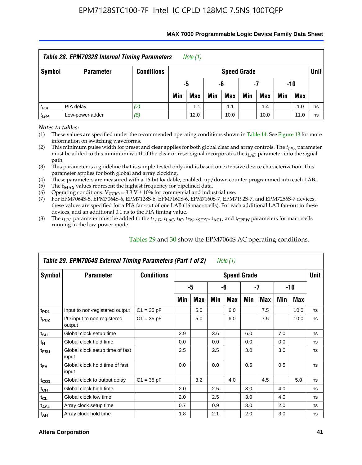| <b>Table 28. EPM7032S Internal Timing Parameters</b><br>Note $(1)$  |                  |                   |                          |                       |     |                    |     |            |     |            |      |  |
|---------------------------------------------------------------------|------------------|-------------------|--------------------------|-----------------------|-----|--------------------|-----|------------|-----|------------|------|--|
| Symbol                                                              | <b>Parameter</b> | <b>Conditions</b> |                          |                       |     | <b>Speed Grade</b> |     |            |     |            | Unit |  |
|                                                                     |                  |                   |                          | -5<br>-10<br>-6<br>-7 |     |                    |     |            |     |            |      |  |
|                                                                     |                  |                   | Min                      | Max                   | Min | Max                | Min | <b>Max</b> | Min | <b>Max</b> |      |  |
| $t_{PIA}$                                                           | PIA delay        |                   | 1.0<br>1.1<br>1.4<br>1.1 |                       |     |                    |     |            |     |            | ns   |  |
| Low-power adder<br>(8)<br>$t_{LPA}$<br>12.0<br>10.0<br>10.0<br>11.0 |                  |                   |                          |                       |     |                    |     |            |     |            | ns   |  |

#### **MAX 7000 Programmable Logic Device Family Data Sheet**

*Notes to tables:*

(1) These values are specified under the recommended operating conditions shown in Table 14. See Figure 13 for more information on switching waveforms.

(2) This minimum pulse width for preset and clear applies for both global clear and array controls. The  $t_{LPA}$  parameter must be added to this minimum width if the clear or reset signal incorporates the *t<sub>LAD</sub>* parameter into the signal path.

(3) This parameter is a guideline that is sample-tested only and is based on extensive device characterization. This parameter applies for both global and array clocking.

(4) These parameters are measured with a 16-bit loadable, enabled, up/down counter programmed into each LAB.

(5) The  $f_{MAX}$  values represent the highest frequency for pipelined data.

(6) Operating conditions:  $V_{\text{CCIO}} = 3.3 \text{ V} \pm 10\%$  for commercial and industrial use.

(7) For EPM7064S-5, EPM7064S-6, EPM7128S-6, EPM7160S-6, EPM7160S-7, EPM7192S-7, and EPM7256S-7 devices, these values are specified for a PIA fan-out of one LAB (16 macrocells). For each additional LAB fan-out in these devices, add an additional 0.1 ns to the PIA timing value.

(8) The  $t_{LPA}$  parameter must be added to the  $t_{LAD}$ ,  $t_{LAC}$ ,  $t_{IC}$ ,  $t_{EN}$ ,  $t_{SEXP}$ ,  $t_{ACL}$ , and  $t_{CPPW}$  parameters for macrocells running in the low-power mode.

|                  | Table 29. EPM7064S External Timing Parameters (Part 1 of 2) |                   |     |     |     | Note (1)           |     |      |     |      |      |
|------------------|-------------------------------------------------------------|-------------------|-----|-----|-----|--------------------|-----|------|-----|------|------|
| Symbol           | <b>Parameter</b>                                            | <b>Conditions</b> |     |     |     | <b>Speed Grade</b> |     |      |     |      | Unit |
|                  |                                                             |                   |     | -5  |     | -6                 |     | $-7$ |     | -10  |      |
|                  |                                                             |                   | Min | Max | Min | Max                | Min | Max  | Min | Max  |      |
| t <sub>PD1</sub> | Input to non-registered output                              | $C1 = 35 pF$      |     | 5.0 |     | 6.0                |     | 7.5  |     | 10.0 | ns   |
| t <sub>PD2</sub> | I/O input to non-registered<br>output                       | $C1 = 35 pF$      |     | 5.0 |     | 6.0                |     | 7.5  |     | 10.0 | ns   |
| $t_{\text{SU}}$  | Global clock setup time                                     |                   | 2.9 |     | 3.6 |                    | 6.0 |      | 7.0 |      | ns   |
| $t_H$            | Global clock hold time                                      |                   | 0.0 |     | 0.0 |                    | 0.0 |      | 0.0 |      | ns   |
| t <sub>FSU</sub> | Global clock setup time of fast<br>input                    |                   | 2.5 |     | 2.5 |                    | 3.0 |      | 3.0 |      | ns   |
| $t_{FH}$         | Global clock hold time of fast<br>input                     |                   | 0.0 |     | 0.0 |                    | 0.5 |      | 0.5 |      | ns   |
| $t_{CO1}$        | Global clock to output delay                                | $C1 = 35 pF$      |     | 3.2 |     | 4.0                |     | 4.5  |     | 5.0  | ns   |
| $t_{CH}$         | Global clock high time                                      |                   | 2.0 |     | 2.5 |                    | 3.0 |      | 4.0 |      | ns   |
| $t_{CL}$         | Global clock low time                                       |                   | 2.0 |     | 2.5 |                    | 3.0 |      | 4.0 |      | ns   |
| t <sub>ASU</sub> | Array clock setup time                                      |                   | 0.7 |     | 0.9 |                    | 3.0 |      | 2.0 |      | ns   |
| $t_{AH}$         | Array clock hold time                                       |                   | 1.8 |     | 2.1 |                    | 2.0 |      | 3.0 |      | ns   |

Tables 29 and 30 show the EPM7064S AC operating conditions.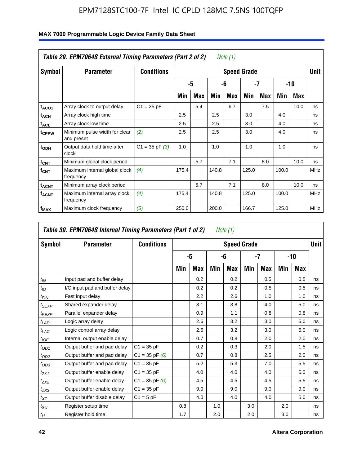|                         | Table 29. EPM7064S External Timing Parameters (Part 2 of 2) |                    |       |     |       | Note (1) |                    |     |       |      |             |
|-------------------------|-------------------------------------------------------------|--------------------|-------|-----|-------|----------|--------------------|-----|-------|------|-------------|
| Symbol                  | <b>Parameter</b>                                            | <b>Conditions</b>  |       |     |       |          | <b>Speed Grade</b> |     |       |      | <b>Unit</b> |
|                         |                                                             |                    |       | -5  |       | -6       | -7                 |     |       | -10  |             |
|                         |                                                             |                    | Min   | Max | Min   | Max      | Min                | Max | Min   | Max  |             |
| t <sub>ACO1</sub>       | Array clock to output delay                                 | $C1 = 35 pF$       |       | 5.4 |       | 6.7      |                    | 7.5 |       | 10.0 | ns          |
| $t_{\sf ACH}$           | Array clock high time                                       |                    | 2.5   |     | 2.5   |          | 3.0                |     | 4.0   |      | ns          |
| t <sub>ACL</sub>        | Array clock low time                                        |                    | 2.5   |     | 2.5   |          | 3.0                |     | 4.0   |      | ns          |
| t <sub>CPPW</sub>       | Minimum pulse width for clear<br>and preset                 | (2)                | 2.5   |     | 2.5   |          | 3.0                |     | 4.0   |      | ns          |
| $t_{ODH}$               | Output data hold time after<br>clock                        | $C1 = 35$ pF $(3)$ | 1.0   |     | 1.0   |          | 1.0                |     | 1.0   |      | ns          |
| $t_{\text{CNT}}$        | Minimum global clock period                                 |                    |       | 5.7 |       | 7.1      |                    | 8.0 |       | 10.0 | ns          |
| <b>f</b> <sub>CNT</sub> | Maximum internal global clock<br>frequency                  | (4)                | 175.4 |     | 140.8 |          | 125.0              |     | 100.0 |      | <b>MHz</b>  |
| t <sub>ACNT</sub>       | Minimum array clock period                                  |                    |       | 5.7 |       | 7.1      |                    | 8.0 |       | 10.0 | ns          |
| <b>f<sub>ACNT</sub></b> | Maximum internal array clock<br>frequency                   | (4)                | 175.4 |     | 140.8 |          | 125.0              |     | 100.0 |      | <b>MHz</b>  |
| $f_{MAX}$               | Maximum clock frequency                                     | (5)                | 250.0 |     | 200.0 |          | 166.7              |     | 125.0 |      | <b>MHz</b>  |

# **MAX 7000 Programmable Logic Device Family Data Sheet**

| Symbol           | <b>Parameter</b>               | <b>Conditions</b>  |     |     |     | <b>Speed Grade</b> |     |     |     |     | <b>Unit</b> |
|------------------|--------------------------------|--------------------|-----|-----|-----|--------------------|-----|-----|-----|-----|-------------|
|                  |                                |                    |     | -5  |     | -6                 |     | -7  |     | -10 |             |
|                  |                                |                    | Min | Max | Min | Max                | Min | Max | Min | Max |             |
| $t_{IN}$         | Input pad and buffer delay     |                    |     | 0.2 |     | 0.2                |     | 0.5 |     | 0.5 | ns          |
| $t_{IO}$         | I/O input pad and buffer delay |                    |     | 0.2 |     | 0.2                |     | 0.5 |     | 0.5 | ns          |
| t <sub>FIN</sub> | Fast input delay               |                    |     | 2.2 |     | 2.6                |     | 1.0 |     | 1.0 | ns          |
| $t_{SEXP}$       | Shared expander delay          |                    |     | 3.1 |     | 3.8                |     | 4.0 |     | 5.0 | ns          |
| $t_{PEXP}$       | Parallel expander delay        |                    |     | 0.9 |     | 1.1                |     | 0.8 |     | 0.8 | ns          |
| $t_{LAD}$        | Logic array delay              |                    |     | 2.6 |     | 3.2                |     | 3.0 |     | 5.0 | ns          |
| $t_{LAC}$        | Logic control array delay      |                    |     | 2.5 |     | 3.2                |     | 3.0 |     | 5.0 | ns          |
| $t_{IOE}$        | Internal output enable delay   |                    |     | 0.7 |     | 0.8                |     | 2.0 |     | 2.0 | ns          |
| $t_{OD1}$        | Output buffer and pad delay    | $C1 = 35 pF$       |     | 0.2 |     | 0.3                |     | 2.0 |     | 1.5 | ns          |
| $t_{OD2}$        | Output buffer and pad delay    | $C1 = 35$ pF $(6)$ |     | 0.7 |     | 0.8                |     | 2.5 |     | 2.0 | ns          |
| $t_{OD3}$        | Output buffer and pad delay    | $C1 = 35 pF$       |     | 5.2 |     | 5.3                |     | 7.0 |     | 5.5 | ns          |
| $t_{ZX1}$        | Output buffer enable delay     | $C1 = 35 pF$       |     | 4.0 |     | 4.0                |     | 4.0 |     | 5.0 | ns          |
| $t_{ZX2}$        | Output buffer enable delay     | $C1 = 35$ pF $(6)$ |     | 4.5 |     | 4.5                |     | 4.5 |     | 5.5 | ns          |
| $t_{ZX3}$        | Output buffer enable delay     | $C1 = 35 pF$       |     | 9.0 |     | 9.0                |     | 9.0 |     | 9.0 | ns          |
| $t_{XZ}$         | Output buffer disable delay    | $C1 = 5pF$         |     | 4.0 |     | 4.0                |     | 4.0 |     | 5.0 | ns          |
| $t_{\rm SU}$     | Register setup time            |                    | 0.8 |     | 1.0 |                    | 3.0 |     | 2.0 |     | ns          |
| $t_H\,$          | Register hold time             |                    | 1.7 |     | 2.0 |                    | 2.0 |     | 3.0 |     | ns          |

 $\Gamma$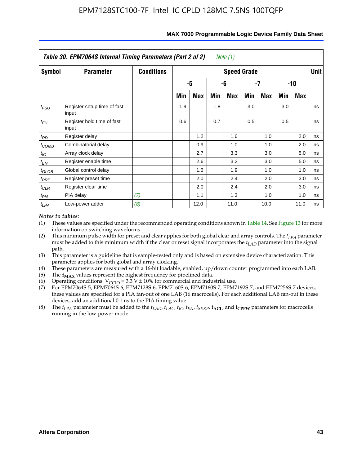|                   | Table 30. EPM7064S Internal Timing Parameters (Part 2 of 2) |                   |     |      |     | Note (1)           |     |      |     |            |             |
|-------------------|-------------------------------------------------------------|-------------------|-----|------|-----|--------------------|-----|------|-----|------------|-------------|
| Symbol            | <b>Parameter</b>                                            | <b>Conditions</b> |     |      |     | <b>Speed Grade</b> |     |      |     |            | <b>Unit</b> |
|                   |                                                             |                   |     | -5   |     | -6                 |     | -7   |     | $-10$      |             |
|                   |                                                             |                   | Min | Max  | Min | Max                | Min | Max  | Min | <b>Max</b> |             |
| $t_{FSU}$         | Register setup time of fast<br>input                        |                   | 1.9 |      | 1.8 |                    | 3.0 |      | 3.0 |            | ns          |
| $t_{FH}$          | Register hold time of fast<br>input                         |                   | 0.6 |      | 0.7 |                    | 0.5 |      | 0.5 |            | ns          |
| $t_{RD}$          | Register delay                                              |                   |     | 1.2  |     | 1.6                |     | 1.0  |     | 2.0        | ns          |
| $t_{COMB}$        | Combinatorial delay                                         |                   |     | 0.9  |     | 1.0                |     | 1.0  |     | 2.0        | ns          |
| $t_{IC}$          | Array clock delay                                           |                   |     | 2.7  |     | 3.3                |     | 3.0  |     | 5.0        | ns          |
| $t_{EN}$          | Register enable time                                        |                   |     | 2.6  |     | 3.2                |     | 3.0  |     | 5.0        | ns          |
| $t_{\text{GLOB}}$ | Global control delay                                        |                   |     | 1.6  |     | 1.9                |     | 1.0  |     | 1.0        | ns          |
| $t_{PRE}$         | Register preset time                                        |                   |     | 2.0  |     | 2.4                |     | 2.0  |     | 3.0        | ns          |
| $t_{CLR}$         | Register clear time                                         |                   |     | 2.0  |     | 2.4                |     | 2.0  |     | 3.0        | ns          |
| $t_{PIA}$         | PIA delay                                                   | (7)               |     | 1.1  |     | 1.3                |     | 1.0  |     | 1.0        | ns          |
| $t_{LPA}$         | Low-power adder                                             | (8)               |     | 12.0 |     | 11.0               |     | 10.0 |     | 11.0       | ns          |

#### **MAX 7000 Programmable Logic Device Family Data Sheet**

#### *Notes to tables:*

- (1) These values are specified under the recommended operating conditions shown in Table 14. See Figure 13 for more information on switching waveforms.
- (2) This minimum pulse width for preset and clear applies for both global clear and array controls. The  $t_{LPA}$  parameter must be added to this minimum width if the clear or reset signal incorporates the *t<sub>LAD</sub>* parameter into the signal path.
- (3) This parameter is a guideline that is sample-tested only and is based on extensive device characterization. This parameter applies for both global and array clocking.
- (4) These parameters are measured with a 16-bit loadable, enabled, up/down counter programmed into each LAB.
- (5) The  $f_{MAX}$  values represent the highest frequency for pipelined data.
- (6) Operating conditions:  $V_{\text{CGO}} = 3.3 \text{ V} \pm 10\%$  for commercial and industrial use.
- (7) For EPM7064S-5, EPM7064S-6, EPM7128S-6, EPM7160S-6, EPM7160S-7, EPM7192S-7, and EPM7256S-7 devices, these values are specified for a PIA fan-out of one LAB (16 macrocells). For each additional LAB fan-out in these devices, add an additional 0.1 ns to the PIA timing value.
- (8) The  $t_{LPA}$  parameter must be added to the  $t_{LAD}$ ,  $t_{LAC}$ ,  $t_{IC}$ ,  $t_{EN}$ ,  $t_{SEXP}$ ,  $t_{ACL}$ , and  $t_{CPPW}$  parameters for macrocells running in the low-power mode.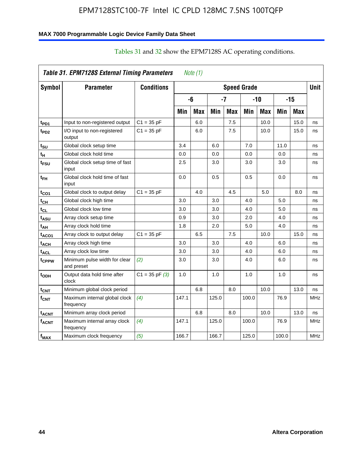# **MAX 7000 Programmable Logic Device Family Data Sheet**

|                         | Table 31. EPM7128S External Timing Parameters |                    |       | Note (1)   |       |            |                    |       |       |       |             |
|-------------------------|-----------------------------------------------|--------------------|-------|------------|-------|------------|--------------------|-------|-------|-------|-------------|
| Symbol                  | <b>Parameter</b>                              | <b>Conditions</b>  |       |            |       |            | <b>Speed Grade</b> |       |       |       | <b>Unit</b> |
|                         |                                               |                    |       | -6         |       | -7         |                    | $-10$ |       | $-15$ |             |
|                         |                                               |                    | Min   | <b>Max</b> | Min   | <b>Max</b> | Min                | Max   | Min   | Max   |             |
| t <sub>PD1</sub>        | Input to non-registered output                | $C1 = 35 pF$       |       | 6.0        |       | 7.5        |                    | 10.0  |       | 15.0  | ns          |
| $t_{PD2}$               | I/O input to non-registered<br>output         | $C1 = 35 pF$       |       | 6.0        |       | 7.5        |                    | 10.0  |       | 15.0  | ns          |
| t <sub>SU</sub>         | Global clock setup time                       |                    | 3.4   |            | 6.0   |            | 7.0                |       | 11.0  |       | ns          |
| t <sub>H</sub>          | Global clock hold time                        |                    | 0.0   |            | 0.0   |            | 0.0                |       | 0.0   |       | ns          |
| t <sub>FSU</sub>        | Global clock setup time of fast<br>input      |                    | 2.5   |            | 3.0   |            | 3.0                |       | 3.0   |       | ns          |
| t <sub>ЕН</sub>         | Global clock hold time of fast<br>input       |                    | 0.0   |            | 0.5   |            | 0.5                |       | 0.0   |       | ns          |
| t <sub>CO1</sub>        | Global clock to output delay                  | $C1 = 35 pF$       |       | 4.0        |       | 4.5        |                    | 5.0   |       | 8.0   | ns          |
| $t_{\mathsf{CH}}$       | Global clock high time                        |                    | 3.0   |            | 3.0   |            | 4.0                |       | 5.0   |       | ns          |
| $t_{CL}$                | Global clock low time                         |                    | 3.0   |            | 3.0   |            | 4.0                |       | 5.0   |       | ns          |
| $t_{ASU}$               | Array clock setup time                        |                    | 0.9   |            | 3.0   |            | 2.0                |       | 4.0   |       | ns          |
| t <sub>АН</sub>         | Array clock hold time                         |                    | 1.8   |            | 2.0   |            | 5.0                |       | 4.0   |       | ns          |
| t <sub>ACO1</sub>       | Array clock to output delay                   | $C1 = 35 pF$       |       | 6.5        |       | 7.5        |                    | 10.0  |       | 15.0  | ns          |
| t <sub>АСН</sub>        | Array clock high time                         |                    | 3.0   |            | 3.0   |            | 4.0                |       | 6.0   |       | ns          |
| t <sub>ACL</sub>        | Array clock low time                          |                    | 3.0   |            | 3.0   |            | 4.0                |       | 6.0   |       | ns          |
| tcppw                   | Minimum pulse width for clear<br>and preset   | (2)                | 3.0   |            | 3.0   |            | 4.0                |       | 6.0   |       | ns          |
| t <sub>ODH</sub>        | Output data hold time after<br>clock          | $C1 = 35$ pF $(3)$ | 1.0   |            | 1.0   |            | 1.0                |       | 1.0   |       | ns          |
| $t_{\mathsf{CNT}}$      | Minimum global clock period                   |                    |       | 6.8        |       | 8.0        |                    | 10.0  |       | 13.0  | ns          |
| $f_{\text{CNT}}$        | Maximum internal global clock<br>frequency    | (4)                | 147.1 |            | 125.0 |            | 100.0              |       | 76.9  |       | MHz         |
| t <sub>ACNT</sub>       | Minimum array clock period                    |                    |       | 6.8        |       | 8.0        |                    | 10.0  |       | 13.0  | ns          |
| <b>f<sub>ACNT</sub></b> | Maximum internal array clock<br>frequency     | (4)                | 147.1 |            | 125.0 |            | 100.0              |       | 76.9  |       | <b>MHz</b>  |
| f <sub>MAX</sub>        | Maximum clock frequency                       | (5)                | 166.7 |            | 166.7 |            | 125.0              |       | 100.0 |       | <b>MHz</b>  |

# Tables 31 and 32 show the EPM7128S AC operating conditions.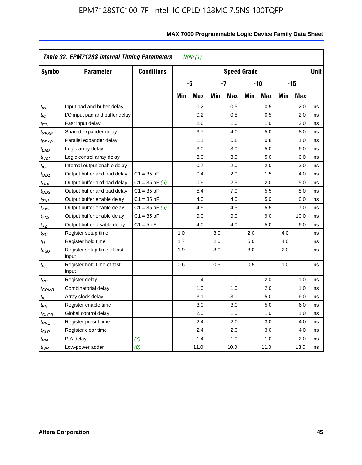|                             | Table 32. EPM7128S Internal Timing Parameters |                    |     | Note $(1)$ |     |                    |     |            |     |            |             |
|-----------------------------|-----------------------------------------------|--------------------|-----|------------|-----|--------------------|-----|------------|-----|------------|-------------|
| Symbol                      | <b>Parameter</b>                              | <b>Conditions</b>  |     |            |     | <b>Speed Grade</b> |     |            |     |            | <b>Unit</b> |
|                             |                                               |                    |     | -6         |     | -7                 |     | -10        |     | $-15$      |             |
|                             |                                               |                    | Min | <b>Max</b> | Min | <b>Max</b>         | Min | <b>Max</b> | Min | <b>Max</b> |             |
| $t_{IN}$                    | Input pad and buffer delay                    |                    |     | 0.2        |     | 0.5                |     | 0.5        |     | 2.0        | ns          |
| $t_{IO}$                    | I/O input pad and buffer delay                |                    |     | 0.2        |     | 0.5                |     | 0.5        |     | 2.0        | ns          |
| $t_{\textit{FIN}}$          | Fast input delay                              |                    |     | 2.6        |     | 1.0                |     | 1.0        |     | 2.0        | ns          |
| $t_{SEXP}$                  | Shared expander delay                         |                    |     | 3.7        |     | 4.0                |     | 5.0        |     | 8.0        | ns          |
| t <sub>PEXP</sub>           | Parallel expander delay                       |                    |     | 1.1        |     | 0.8                |     | 0.8        |     | 1.0        | ns          |
| t <sub>LAD</sub>            | Logic array delay                             |                    |     | 3.0        |     | 3.0                |     | 5.0        |     | 6.0        | ns          |
| $t_{LAC}$                   | Logic control array delay                     |                    |     | 3.0        |     | 3.0                |     | 5.0        |     | 6.0        | ns          |
| $t_{IOE}$                   | Internal output enable delay                  |                    |     | 0.7        |     | 2.0                |     | 2.0        |     | 3.0        | ns          |
| $t_{OD1}$                   | Output buffer and pad delay                   | $C1 = 35 pF$       |     | 0.4        |     | 2.0                |     | 1.5        |     | 4.0        | ns          |
| $t_{OD2}$                   | Output buffer and pad delay                   | $C1 = 35$ pF $(6)$ |     | 0.9        |     | 2.5                |     | 2.0        |     | 5.0        | ns          |
| $t_{OD3}$                   | Output buffer and pad delay                   | $C1 = 35 pF$       |     | 5.4        |     | 7.0                |     | 5.5        |     | 8.0        | ns          |
| t <sub>ZX1</sub>            | Output buffer enable delay                    | $C1 = 35 pF$       |     | 4.0        |     | 4.0                |     | 5.0        |     | 6.0        | ns          |
| t <sub>ZX2</sub>            | Output buffer enable delay                    | $C1 = 35$ pF $(6)$ |     | 4.5        |     | 4.5                |     | 5.5        |     | 7.0        | ns          |
| t <sub>ZX3</sub>            | Output buffer enable delay                    | $C1 = 35 pF$       |     | 9.0        |     | 9.0                |     | 9.0        |     | 10.0       | ns          |
| $t_{\mathsf{XZ}}$           | Output buffer disable delay                   | $C1 = 5$ pF        |     | 4.0        |     | 4.0                |     | 5.0        |     | 6.0        | ns          |
| $t_{\scriptstyle\text{SU}}$ | Register setup time                           |                    | 1.0 |            | 3.0 |                    | 2.0 |            | 4.0 |            | ns          |
| $t_H$                       | Register hold time                            |                    | 1.7 |            | 2.0 |                    | 5.0 |            | 4.0 |            | ns          |
| $t_{\it FSU}$               | Register setup time of fast<br>input          |                    | 1.9 |            | 3.0 |                    | 3.0 |            | 2.0 |            | ns          |
| $t_{FH}$                    | Register hold time of fast<br>input           |                    | 0.6 |            | 0.5 |                    | 0.5 |            | 1.0 |            | ns          |
| $t_{RD}$                    | Register delay                                |                    |     | 1.4        |     | 1.0                |     | 2.0        |     | 1.0        | ns          |
| t <sub>COMB</sub>           | Combinatorial delay                           |                    |     | 1.0        |     | 1.0                |     | 2.0        |     | 1.0        | ns          |
| $t_{\text{IC}}$             | Array clock delay                             |                    |     | 3.1        |     | 3.0                |     | 5.0        |     | 6.0        | ns          |
| $t_{EN}$                    | Register enable time                          |                    |     | 3.0        |     | 3.0                |     | 5.0        |     | 6.0        | ns          |
| $t_{\scriptstyle\rm GLOB}$  | Global control delay                          |                    |     | 2.0        |     | 1.0                |     | 1.0        |     | 1.0        | ns          |
| $t_{PRE}$                   | Register preset time                          |                    |     | 2.4        |     | 2.0                |     | 3.0        |     | 4.0        | ns          |
| $t_{CLR}$                   | Register clear time                           |                    |     | 2.4        |     | 2.0                |     | 3.0        |     | 4.0        | ns          |
| t <sub>PIA</sub>            | PIA delay                                     | (7)                |     | 1.4        |     | 1.0                |     | 1.0        |     | 2.0        | ns          |
| $t_{LPA}$                   | Low-power adder                               | (8)                |     | 11.0       |     | 10.0               |     | 11.0       |     | 13.0       | ns          |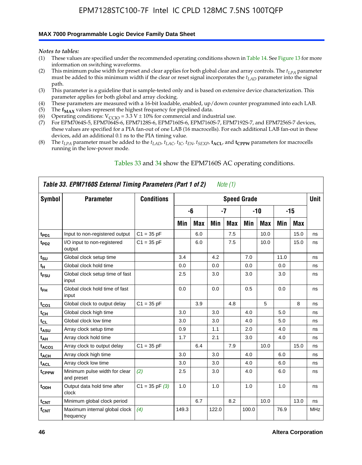#### **MAX 7000 Programmable Logic Device Family Data Sheet**

*Notes to tables:*

- (1) These values are specified under the recommended operating conditions shown in Table 14. See Figure 13 for more information on switching waveforms.
- (2) This minimum pulse width for preset and clear applies for both global clear and array controls. The  $t_{LPA}$  parameter must be added to this minimum width if the clear or reset signal incorporates the *tLAD* parameter into the signal path.
- (3) This parameter is a guideline that is sample-tested only and is based on extensive device characterization. This parameter applies for both global and array clocking.
- (4) These parameters are measured with a 16-bit loadable, enabled, up/down counter programmed into each LAB.
- (5) The  $f_{MAX}$  values represent the highest frequency for pipelined data.
- (6) Operating conditions:  $V_{\text{CCIO}} = 3.3 \text{ V} \pm 10\%$  for commercial and industrial use.
- (7) For EPM7064S-5, EPM7064S-6, EPM7128S-6, EPM7160S-6, EPM7160S-7, EPM7192S-7, and EPM7256S-7 devices, these values are specified for a PIA fan-out of one LAB (16 macrocells). For each additional LAB fan-out in these devices, add an additional 0.1 ns to the PIA timing value.
- (8) The  $t_{LPA}$  parameter must be added to the  $t_{LAD}$ ,  $t_{LAC}$ ,  $t_{IC}$ ,  $t_{EN}$ ,  $t_{SEXP}$ ,  $t_{ACL}$ , and  $t_{CPPW}$  parameters for macrocells running in the low-power mode.

|                  | Table 33. EPM7160S External Timing Parameters (Part 1 of 2) |                    |       |            |       | Note $(1)$ |                    |            |      |      |            |
|------------------|-------------------------------------------------------------|--------------------|-------|------------|-------|------------|--------------------|------------|------|------|------------|
| Symbol           | <b>Parameter</b>                                            | <b>Conditions</b>  |       |            |       |            | <b>Speed Grade</b> |            |      |      | Unit       |
|                  |                                                             |                    |       | -6         |       | -7         |                    | -10        |      | -15  |            |
|                  |                                                             |                    | Min   | <b>Max</b> | Min   | <b>Max</b> | Min                | <b>Max</b> | Min  | Max  |            |
| t <sub>PD1</sub> | Input to non-registered output                              | $C1 = 35 pF$       |       | 6.0        |       | 7.5        |                    | 10.0       |      | 15.0 | ns         |
| t <sub>PD2</sub> | I/O input to non-registered<br>output                       | $C1 = 35 pF$       |       | 6.0        |       | 7.5        |                    | 10.0       |      | 15.0 | ns         |
| $t_{\text{SU}}$  | Global clock setup time                                     |                    | 3.4   |            | 4.2   |            | 7.0                |            | 11.0 |      | ns         |
| $t_H$            | Global clock hold time                                      |                    | 0.0   |            | 0.0   |            | 0.0                |            | 0.0  |      | ns         |
| t <sub>FSU</sub> | Global clock setup time of fast<br>input                    |                    | 2.5   |            | 3.0   |            | 3.0                |            | 3.0  |      | ns         |
| $t_{FH}$         | Global clock hold time of fast<br>input                     |                    | 0.0   |            | 0.0   |            | 0.5                |            | 0.0  |      | ns         |
| $t_{CO1}$        | Global clock to output delay                                | $C1 = 35 pF$       |       | 3.9        |       | 4.8        |                    | 5          |      | 8    | ns         |
| $t_{CH}$         | Global clock high time                                      |                    | 3.0   |            | 3.0   |            | 4.0                |            | 5.0  |      | ns         |
| $t_{CL}$         | Global clock low time                                       |                    | 3.0   |            | 3.0   |            | 4.0                |            | 5.0  |      | ns         |
| t <sub>ASU</sub> | Array clock setup time                                      |                    | 0.9   |            | 1.1   |            | 2.0                |            | 4.0  |      | ns         |
| t <sub>АН</sub>  | Array clock hold time                                       |                    | 1.7   |            | 2.1   |            | 3.0                |            | 4.0  |      | ns         |
| $t_{ACO1}$       | Array clock to output delay                                 | $C1 = 35 pF$       |       | 6.4        |       | 7.9        |                    | 10.0       |      | 15.0 | ns         |
| $t_{ACH}$        | Array clock high time                                       |                    | 3.0   |            | 3.0   |            | 4.0                |            | 6.0  |      | ns         |
| $t_{\sf ACL}$    | Array clock low time                                        |                    | 3.0   |            | 3.0   |            | 4.0                |            | 6.0  |      | ns         |
| tcppw            | Minimum pulse width for clear<br>and preset                 | (2)                | 2.5   |            | 3.0   |            | 4.0                |            | 6.0  |      | ns         |
| t <sub>ODH</sub> | Output data hold time after<br>clock                        | $C1 = 35$ pF $(3)$ | 1.0   |            | 1.0   |            | 1.0                |            | 1.0  |      | ns         |
| $t_{\text{CNT}}$ | Minimum global clock period                                 |                    |       | 6.7        |       | 8.2        |                    | 10.0       |      | 13.0 | ns         |
| $f_{\text{CNT}}$ | Maximum internal global clock<br>frequency                  | (4)                | 149.3 |            | 122.0 |            | 100.0              |            | 76.9 |      | <b>MHz</b> |

#### Tables 33 and 34 show the EPM7160S AC operating conditions.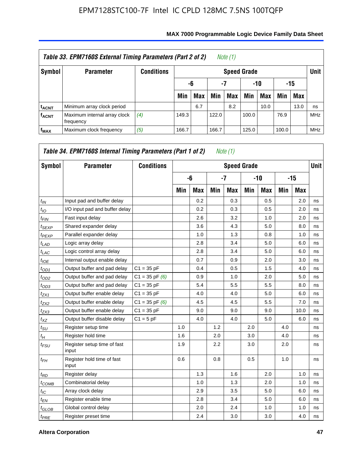|                         | Table 33. EPM7160S External Timing Parameters (Part 2 of 2) |                   |                    |                        |       | Note (1)   |       |      |       |            |            |  |  |
|-------------------------|-------------------------------------------------------------|-------------------|--------------------|------------------------|-------|------------|-------|------|-------|------------|------------|--|--|
| Symbol                  | <b>Parameter</b>                                            | <b>Conditions</b> | <b>Speed Grade</b> |                        |       |            |       |      |       |            |            |  |  |
|                         |                                                             |                   |                    | -7<br>-10<br>-15<br>-6 |       |            |       |      |       |            |            |  |  |
|                         |                                                             |                   | Min                | <b>Max</b>             | Min   | <b>Max</b> | Min   | Max  | Min   | <b>Max</b> |            |  |  |
| <sup>t</sup> acnt       | Minimum array clock period                                  |                   |                    | 6.7                    |       | 8.2        |       | 10.0 |       | 13.0       | ns         |  |  |
| <b>f<sub>ACNT</sub></b> | Maximum internal array clock<br>frequency                   | (4)               | 149.3              |                        | 122.0 |            | 100.0 |      | 76.9  |            | <b>MHz</b> |  |  |
| $f_{MAX}$               | Maximum clock frequency                                     | (5)               | 166.7              |                        | 166.7 |            | 125.0 |      | 100.0 |            | <b>MHz</b> |  |  |

| Symbol            | <b>Parameter</b>                     | <b>Conditions</b>  |     |            |     | <b>Speed Grade</b> |     |            |     |       | <b>Unit</b> |
|-------------------|--------------------------------------|--------------------|-----|------------|-----|--------------------|-----|------------|-----|-------|-------------|
|                   |                                      |                    |     | -6         |     | $-7$               |     | -10        |     | $-15$ |             |
|                   |                                      |                    | Min | <b>Max</b> | Min | <b>Max</b>         | Min | <b>Max</b> | Min | Max   |             |
| $t_{IN}$          | Input pad and buffer delay           |                    |     | 0.2        |     | 0.3                |     | 0.5        |     | 2.0   | ns          |
| $t_{IO}$          | I/O input pad and buffer delay       |                    |     | 0.2        |     | 0.3                |     | 0.5        |     | 2.0   | ns          |
| $t_{FIN}$         | Fast input delay                     |                    |     | 2.6        |     | 3.2                |     | 1.0        |     | 2.0   | ns          |
| $t_{SEXP}$        | Shared expander delay                |                    |     | 3.6        |     | 4.3                |     | 5.0        |     | 8.0   | ns          |
| <sup>t</sup> PEXP | Parallel expander delay              |                    |     | 1.0        |     | 1.3                |     | 0.8        |     | 1.0   | ns          |
| $t_{LAD}$         | Logic array delay                    |                    |     | 2.8        |     | 3.4                |     | 5.0        |     | 6.0   | ns          |
| $t_{LAC}$         | Logic control array delay            |                    |     | 2.8        |     | 3.4                |     | 5.0        |     | 6.0   | ns          |
| $t_{IOE}$         | Internal output enable delay         |                    |     | 0.7        |     | 0.9                |     | 2.0        |     | 3.0   | ns          |
| $t_{OD1}$         | Output buffer and pad delay          | $C1 = 35 pF$       |     | 0.4        |     | 0.5                |     | 1.5        |     | 4.0   | ns          |
| $t_{OD2}$         | Output buffer and pad delay          | $C1 = 35$ pF $(6)$ |     | 0.9        |     | 1.0                |     | 2.0        |     | 5.0   | ns          |
| $t_{OD3}$         | Output buffer and pad delay          | $C1 = 35 pF$       |     | 5.4        |     | 5.5                |     | 5.5        |     | 8.0   | ns          |
| $t_{ZX1}$         | Output buffer enable delay           | $C1 = 35 pF$       |     | 4.0        |     | 4.0                |     | 5.0        |     | 6.0   | ns          |
| $t_{ZX2}$         | Output buffer enable delay           | $C1 = 35$ pF $(6)$ |     | 4.5        |     | 4.5                |     | 5.5        |     | 7.0   | ns          |
| $t_{ZX3}$         | Output buffer enable delay           | $C1 = 35 pF$       |     | 9.0        |     | 9.0                |     | 9.0        |     | 10.0  | ns          |
| $t_{XZ}$          | Output buffer disable delay          | $C1 = 5pF$         |     | 4.0        |     | 4.0                |     | 5.0        |     | 6.0   | ns          |
| $t_{\rm SU}$      | Register setup time                  |                    | 1.0 |            | 1.2 |                    | 2.0 |            | 4.0 |       | ns          |
| $t_H$             | Register hold time                   |                    | 1.6 |            | 2.0 |                    | 3.0 |            | 4.0 |       | ns          |
| $t_{FSU}$         | Register setup time of fast<br>input |                    | 1.9 |            | 2.2 |                    | 3.0 |            | 2.0 |       | ns          |
| $t_{FH}$          | Register hold time of fast<br>input  |                    | 0.6 |            | 0.8 |                    | 0.5 |            | 1.0 |       | ns          |
| $t_{RD}$          | Register delay                       |                    |     | 1.3        |     | 1.6                |     | 2.0        |     | 1.0   | ns          |
| $t_{COMB}$        | Combinatorial delay                  |                    |     | 1.0        |     | 1.3                |     | 2.0        |     | 1.0   | ns          |
| $t_{\text{IC}}$   | Array clock delay                    |                    |     | 2.9        |     | 3.5                |     | 5.0        |     | 6.0   | ns          |
| $t_{EN}$          | Register enable time                 |                    |     | 2.8        |     | 3.4                |     | 5.0        |     | 6.0   | ns          |
| $t_{GLOB}$        | Global control delay                 |                    |     | 2.0        |     | 2.4                |     | 1.0        |     | 1.0   | ns          |
| $t_{PRE}$         | Register preset time                 |                    |     | 2.4        |     | 3.0                |     | 3.0        |     | 4.0   | ns          |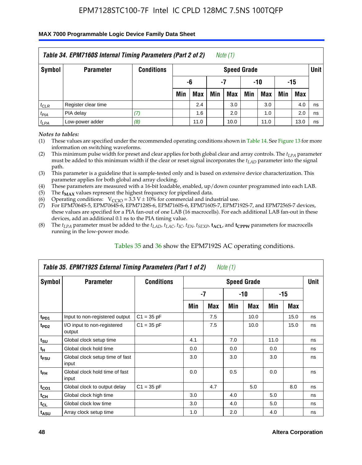#### **MAX 7000 Programmable Logic Device Family Data Sheet**

|               | Table 34. EPM7160S Internal Timing Parameters (Part 2 of 2) |                   |     |                          |     | Note $(1)$         |     |            |     |            |             |  |  |
|---------------|-------------------------------------------------------------|-------------------|-----|--------------------------|-----|--------------------|-----|------------|-----|------------|-------------|--|--|
| <b>Symbol</b> | <b>Parameter</b>                                            | <b>Conditions</b> |     |                          |     | <b>Speed Grade</b> |     |            |     |            | <b>Unit</b> |  |  |
|               |                                                             |                   |     | $-10$<br>-6<br>-15<br>-7 |     |                    |     |            |     |            |             |  |  |
|               |                                                             |                   | Min | Max                      | Min | <b>Max</b>         | Min | <b>Max</b> | Min | <b>Max</b> |             |  |  |
| $t_{CLR}$     | Register clear time                                         |                   |     | 2.4                      |     | 3.0                |     | 3.0        |     | 4.0        | ns          |  |  |
| $t_{PIA}$     | PIA delay                                                   | (7)               |     | 1.6                      |     | 2.0                |     | 1.0        |     | 2.0        | ns          |  |  |
| $t_{LPA}$     | Low-power adder                                             | (8)               |     | 11.0                     |     | 10.0               |     | 11.0       |     | 13.0       | ns          |  |  |

*Notes to tables:*

- (1) These values are specified under the recommended operating conditions shown in Table 14. See Figure 13 for more information on switching waveforms.
- (2) This minimum pulse width for preset and clear applies for both global clear and array controls. The  $t_{LPA}$  parameter must be added to this minimum width if the clear or reset signal incorporates the *t<sub>LAD</sub>* parameter into the signal path.
- (3) This parameter is a guideline that is sample-tested only and is based on extensive device characterization. This parameter applies for both global and array clocking.
- (4) These parameters are measured with a 16-bit loadable, enabled, up/down counter programmed into each LAB.
- (5) The  $f_{MAX}$  values represent the highest frequency for pipelined data.
- (6) Operating conditions:  $V_{\text{CCIO}} = 3.3 V \pm 10\%$  for commercial and industrial use.
- (7) For EPM7064S-5, EPM7064S-6, EPM7128S-6, EPM7160S-6, EPM7160S-7, EPM7192S-7, and EPM7256S-7 devices, these values are specified for a PIA fan-out of one LAB (16 macrocells). For each additional LAB fan-out in these devices, add an additional 0.1 ns to the PIA timing value.
- (8) The  $t_{LPA}$  parameter must be added to the  $t_{LAP}$ ,  $t_{LAC}$ ,  $t_{IC}$ ,  $t_{EN}$ ,  $t_{SEXP}$ ,  $t_{ACL}$ , and  $t_{CPPW}$  parameters for macrocells running in the low-power mode.

|                             | Table 35. EPM7192S External Timing Parameters (Part 1 of 2) |                   |     |      | Note (1) |             |      |       |    |
|-----------------------------|-------------------------------------------------------------|-------------------|-----|------|----------|-------------|------|-------|----|
| Symbol                      | <b>Parameter</b>                                            | <b>Conditions</b> |     |      |          | <b>Unit</b> |      |       |    |
|                             |                                                             |                   |     | $-7$ |          | -10         |      | $-15$ |    |
|                             |                                                             |                   | Min | Max  | Min      | <b>Max</b>  | Min  | Max   |    |
| t <sub>PD1</sub>            | Input to non-registered output                              | $C1 = 35 pF$      |     | 7.5  |          | 10.0        |      | 15.0  | ns |
| $t_{PD2}$                   | I/O input to non-registered<br>output                       | $C1 = 35 pF$      |     | 7.5  |          | 10.0        |      | 15.0  | ns |
| $t_{\scriptstyle\text{SU}}$ | Global clock setup time                                     |                   | 4.1 |      | 7.0      |             | 11.0 |       | ns |
| $t_H$                       | Global clock hold time                                      |                   | 0.0 |      | 0.0      |             | 0.0  |       | ns |
| t <sub>FSU</sub>            | Global clock setup time of fast<br>input                    |                   | 3.0 |      | 3.0      |             | 3.0  |       | ns |
| $t_{FH}$                    | Global clock hold time of fast<br>input                     |                   | 0.0 |      | 0.5      |             | 0.0  |       | ns |
| $t_{CO1}$                   | Global clock to output delay                                | $C1 = 35 pF$      |     | 4.7  |          | 5.0         |      | 8.0   | ns |
| $t_{CH}$                    | Global clock high time                                      |                   | 3.0 |      | 4.0      |             | 5.0  |       | ns |
| $t_{CL}$                    | Global clock low time                                       |                   | 3.0 |      | 4.0      |             | 5.0  |       | ns |
| t <sub>ASU</sub>            | Array clock setup time                                      |                   | 1.0 |      | 2.0      |             | 4.0  |       | ns |

#### Tables 35 and 36 show the EPM7192S AC operating conditions.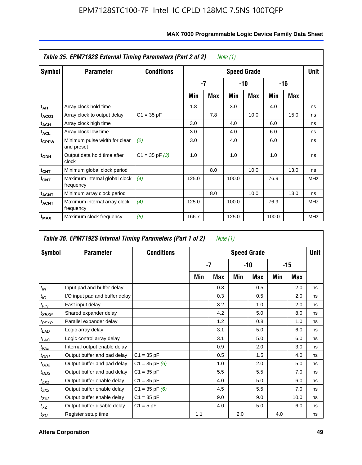|                         | Table 35. EPM7192S External Timing Parameters (Part 2 of 2) |                   |       |     | Note (1) |                    |       |      |             |
|-------------------------|-------------------------------------------------------------|-------------------|-------|-----|----------|--------------------|-------|------|-------------|
| Symbol                  | <b>Parameter</b>                                            | <b>Conditions</b> |       |     |          | <b>Speed Grade</b> |       |      | <b>Unit</b> |
|                         |                                                             |                   |       | -7  |          | -10                |       | -15  |             |
|                         |                                                             |                   | Min   | Max | Min      | Max                | Min   | Max  |             |
| t <sub>АН</sub>         | Array clock hold time                                       |                   | 1.8   |     | 3.0      |                    | 4.0   |      | ns          |
| t <sub>ACO1</sub>       | Array clock to output delay                                 | $C1 = 35 pF$      |       | 7.8 |          | 10.0               |       | 15.0 | ns          |
| $t_{\sf ACH}$           | Array clock high time                                       |                   | 3.0   |     | 4.0      |                    | 6.0   |      | ns          |
| $t_{\sf ACL}$           | Array clock low time                                        |                   | 3.0   |     | 4.0      |                    | 6.0   |      | ns          |
| t <sub>CPPW</sub>       | Minimum pulse width for clear<br>and preset                 | (2)               | 3.0   |     | 4.0      |                    | 6.0   |      | ns          |
| $t_{ODH}$               | Output data hold time after<br>clock                        | $C1 = 35 pF(3)$   | 1.0   |     | 1.0      |                    | 1.0   |      | ns          |
| $t_{\mathsf{CNT}}$      | Minimum global clock period                                 |                   |       | 8.0 |          | 10.0               |       | 13.0 | ns          |
| $f_{\text{CNT}}$        | Maximum internal global clock<br>frequency                  | (4)               | 125.0 |     | 100.0    |                    | 76.9  |      | <b>MHz</b>  |
| $t_{ACNT}$              | Minimum array clock period                                  |                   |       | 8.0 |          | 10.0               |       | 13.0 | ns          |
| <b>f<sub>ACNT</sub></b> | Maximum internal array clock<br>frequency                   | (4)               | 125.0 |     | 100.0    |                    | 76.9  |      | <b>MHz</b>  |
| f <sub>MAX</sub>        | Maximum clock frequency                                     | (5)               | 166.7 |     | 125.0    |                    | 100.0 |      | <b>MHz</b>  |

|                   | Table 36. EPM7192S Internal Timing Parameters (Part 1 of 2) |                    |     | Note (1) |     |                    |     |       |      |
|-------------------|-------------------------------------------------------------|--------------------|-----|----------|-----|--------------------|-----|-------|------|
| Symbol            | <b>Parameter</b>                                            | <b>Conditions</b>  |     |          |     | <b>Speed Grade</b> |     |       | Unit |
|                   |                                                             |                    |     | -7       |     | -10                |     | $-15$ |      |
|                   |                                                             |                    | Min | Max      | Min | <b>Max</b>         | Min | Max   |      |
| $t_{IN}$          | Input pad and buffer delay                                  |                    |     | 0.3      |     | 0.5                |     | 2.0   | ns   |
| $t_{IO}$          | I/O input pad and buffer delay                              |                    |     | 0.3      |     | 0.5                |     | 2.0   | ns   |
| $t_{FIN}$         | Fast input delay                                            |                    |     | 3.2      |     | 1.0                |     | 2.0   | ns   |
| t <sub>SEXP</sub> | Shared expander delay                                       |                    |     | 4.2      |     | 5.0                |     | 8.0   | ns   |
| $t_{PEXP}$        | Parallel expander delay                                     |                    |     | 1.2      |     | 0.8                |     | 1.0   | ns   |
| $t_{LAD}$         | Logic array delay                                           |                    |     | 3.1      |     | 5.0                |     | 6.0   | ns   |
| $t_{LAC}$         | Logic control array delay                                   |                    |     | 3.1      |     | 5.0                |     | 6.0   | ns   |
| $t_{IOE}$         | Internal output enable delay                                |                    |     | 0.9      |     | 2.0                |     | 3.0   | ns   |
| $t_{OD1}$         | Output buffer and pad delay                                 | $C1 = 35 pF$       |     | 0.5      |     | 1.5                |     | 4.0   | ns   |
| $t_{OD2}$         | Output buffer and pad delay                                 | $C1 = 35$ pF $(6)$ |     | 1.0      |     | 2.0                |     | 5.0   | ns   |
| $t_{OD3}$         | Output buffer and pad delay                                 | $C1 = 35 pF$       |     | 5.5      |     | 5.5                |     | 7.0   | ns   |
| $t_{ZX1}$         | Output buffer enable delay                                  | $C1 = 35 pF$       |     | 4.0      |     | 5.0                |     | 6.0   | ns   |
| $t_{ZX2}$         | Output buffer enable delay                                  | $C1 = 35$ pF $(6)$ |     | 4.5      |     | 5.5                |     | 7.0   | ns   |
| $t_{ZX3}$         | Output buffer enable delay                                  | $C1 = 35 pF$       |     | 9.0      |     | 9.0                |     | 10.0  | ns   |
| $t_{XZ}$          | Output buffer disable delay                                 | $C1 = 5pF$         |     | 4.0      |     | 5.0                |     | 6.0   | ns   |
| $t_{\text{SU}}$   | Register setup time                                         |                    | 1.1 |          | 2.0 |                    | 4.0 |       | ns   |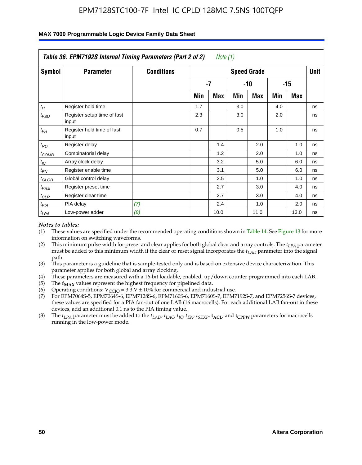|                    | Table 36. EPM7192S Internal Timing Parameters (Part 2 of 2) |                   |     | Note (1) |     |                    |     |       |      |
|--------------------|-------------------------------------------------------------|-------------------|-----|----------|-----|--------------------|-----|-------|------|
| Symbol             | <b>Parameter</b>                                            | <b>Conditions</b> |     |          |     | <b>Speed Grade</b> |     |       | Unit |
|                    |                                                             |                   |     | -7       |     | -10                |     | $-15$ |      |
|                    |                                                             |                   | Min | Max      | Min | Max                | Min | Max   |      |
| $t_H$              | Register hold time                                          |                   | 1.7 |          | 3.0 |                    | 4.0 |       | ns   |
| $t_{\mathit{FSU}}$ | Register setup time of fast<br>input                        |                   | 2.3 |          | 3.0 |                    | 2.0 |       | ns   |
| $t_{FH}$           | Register hold time of fast<br>input                         |                   | 0.7 |          | 0.5 |                    | 1.0 |       | ns   |
| $t_{RD}$           | Register delay                                              |                   |     | 1.4      |     | 2.0                |     | 1.0   | ns   |
| $t_{\text{COMB}}$  | Combinatorial delay                                         |                   |     | 1.2      |     | 2.0                |     | 1.0   | ns   |
| $t_{IC}$           | Array clock delay                                           |                   |     | 3.2      |     | 5.0                |     | 6.0   | ns   |
| $t_{EN}$           | Register enable time                                        |                   |     | 3.1      |     | 5.0                |     | 6.0   | ns   |
| $t_{GLOB}$         | Global control delay                                        |                   |     | 2.5      |     | 1.0                |     | 1.0   | ns   |
| $t_{PRE}$          | Register preset time                                        |                   |     | 2.7      |     | 3.0                |     | 4.0   | ns   |
| $t_{CLR}$          | Register clear time                                         |                   |     | 2.7      |     | 3.0                |     | 4.0   | ns   |
| t <sub>PIA</sub>   | PIA delay                                                   | (7)               |     | 2.4      |     | 1.0                |     | 2.0   | ns   |
| $t_{LPA}$          | Low-power adder                                             | (8)               |     | 10.0     |     | 11.0               |     | 13.0  | ns   |

#### **MAX 7000 Programmable Logic Device Family Data Sheet**

#### *Notes to tables:*

- (1) These values are specified under the recommended operating conditions shown in Table 14. See Figure 13 for more information on switching waveforms.
- (2) This minimum pulse width for preset and clear applies for both global clear and array controls. The *tLPA* parameter must be added to this minimum width if the clear or reset signal incorporates the *t<sub>LAD</sub>* parameter into the signal path.
- (3) This parameter is a guideline that is sample-tested only and is based on extensive device characterization. This parameter applies for both global and array clocking.
- (4) These parameters are measured with a 16-bit loadable, enabled, up/down counter programmed into each LAB.
- (5) The  $f_{MAX}$  values represent the highest frequency for pipelined data.
- (6) Operating conditions:  $V_{\text{CCIO}} = 3.3 \text{ V} \pm 10\%$  for commercial and industrial use.
- (7) For EPM7064S-5, EPM7064S-6, EPM7128S-6, EPM7160S-6, EPM7160S-7, EPM7192S-7, and EPM7256S-7 devices, these values are specified for a PIA fan-out of one LAB (16 macrocells). For each additional LAB fan-out in these devices, add an additional 0.1 ns to the PIA timing value.
- (8) The  $t_{LPA}$  parameter must be added to the  $t_{LAD}$ ,  $t_{LAC}$ ,  $t_{IC}$ ,  $t_{EN}$ ,  $t_{SIX}$ ,  $t_{ACL}$ , and  $t_{CPW}$  parameters for macrocells running in the low-power mode.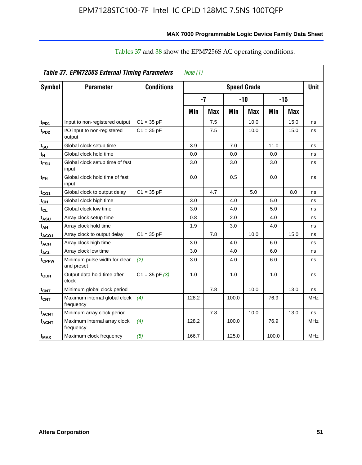|                         | Table 37. EPM7256S External Timing Parameters |                    | Note $(1)$ |     |       |                    |       |            |             |
|-------------------------|-----------------------------------------------|--------------------|------------|-----|-------|--------------------|-------|------------|-------------|
| <b>Symbol</b>           | <b>Parameter</b>                              | <b>Conditions</b>  |            |     |       | <b>Speed Grade</b> |       |            | <b>Unit</b> |
|                         |                                               |                    | $-7$       |     | $-10$ |                    | $-15$ |            |             |
|                         |                                               |                    | Min        | Max | Min   | <b>Max</b>         | Min   | <b>Max</b> |             |
| t <sub>PD1</sub>        | Input to non-registered output                | $C1 = 35 pF$       |            | 7.5 |       | 10.0               |       | 15.0       | ns          |
| t <sub>PD2</sub>        | I/O input to non-registered<br>output         | $C1 = 35 pF$       |            | 7.5 |       | 10.0               |       | 15.0       | ns          |
| t <sub>su</sub>         | Global clock setup time                       |                    | 3.9        |     | 7.0   |                    | 11.0  |            | ns          |
| tμ                      | Global clock hold time                        |                    | 0.0        |     | 0.0   |                    | 0.0   |            | ns          |
| $t_{FSU}$               | Global clock setup time of fast<br>input      |                    | 3.0        |     | 3.0   |                    | 3.0   |            | ns          |
| $t_{\sf FH}$            | Global clock hold time of fast<br>input       |                    | 0.0        |     | 0.5   |                    | 0.0   |            | ns          |
| $t_{CO1}$               | Global clock to output delay                  | $C1 = 35 pF$       |            | 4.7 |       | 5.0                |       | 8.0        | ns          |
| $t_{CH}$                | Global clock high time                        |                    | 3.0        |     | 4.0   |                    | 5.0   |            | ns          |
| $t_{CL}$                | Global clock low time                         |                    | 3.0        |     | 4.0   |                    | 5.0   |            | ns          |
| t <sub>ASU</sub>        | Array clock setup time                        |                    | 0.8        |     | 2.0   |                    | 4.0   |            | ns          |
| $t_{AH}$                | Array clock hold time                         |                    | 1.9        |     | 3.0   |                    | 4.0   |            | ns          |
| t <sub>ACO1</sub>       | Array clock to output delay                   | $C1 = 35 pF$       |            | 7.8 |       | 10.0               |       | 15.0       | ns          |
| t <sub>ACH</sub>        | Array clock high time                         |                    | 3.0        |     | 4.0   |                    | 6.0   |            | ns          |
| $t_{\text{ACL}}$        | Array clock low time                          |                    | 3.0        |     | 4.0   |                    | 6.0   |            | ns          |
| t <sub>CPPW</sub>       | Minimum pulse width for clear<br>and preset   | (2)                | 3.0        |     | 4.0   |                    | 6.0   |            | ns          |
| t <sub>ODH</sub>        | Output data hold time after<br>clock          | $C1 = 35$ pF $(3)$ | 1.0        |     | 1.0   |                    | 1.0   |            | ns          |
| $t_{CNT}$               | Minimum global clock period                   |                    |            | 7.8 |       | 10.0               |       | 13.0       | ns          |
| $f_{\text{CNT}}$        | Maximum internal global clock<br>frequency    | (4)                | 128.2      |     | 100.0 |                    | 76.9  |            | MHz         |
| <b>t<sub>ACNT</sub></b> | Minimum array clock period                    |                    |            | 7.8 |       | 10.0               |       | 13.0       | ns          |
| $f_{ACNT}$              | Maximum internal array clock<br>frequency     | (4)                | 128.2      |     | 100.0 |                    | 76.9  |            | MHz         |
| $f_{\text{MAX}}$        | Maximum clock frequency                       | (5)                | 166.7      |     | 125.0 |                    | 100.0 |            | <b>MHz</b>  |

# Tables 37 and 38 show the EPM7256S AC operating conditions.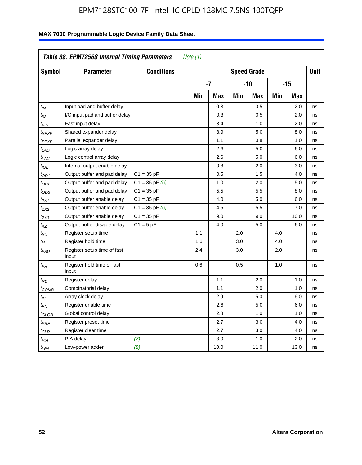| Symbol                      | <b>Parameter</b>                     | <b>Conditions</b>  |     |            |     | <b>Speed Grade</b> |            |            | <b>Unit</b> |
|-----------------------------|--------------------------------------|--------------------|-----|------------|-----|--------------------|------------|------------|-------------|
|                             |                                      |                    |     | $-7$       |     | -10                |            | $-15$      |             |
|                             |                                      |                    | Min | <b>Max</b> | Min | <b>Max</b>         | <b>Min</b> | <b>Max</b> |             |
| $t_{IN}$                    | Input pad and buffer delay           |                    |     | 0.3        |     | 0.5                |            | 2.0        | ns          |
| $t_{IO}$                    | I/O input pad and buffer delay       |                    |     | 0.3        |     | 0.5                |            | 2.0        | ns          |
| $t_{FIN}$                   | Fast input delay                     |                    |     | 3.4        |     | 1.0                |            | 2.0        | ns          |
| t <sub>SEXP</sub>           | Shared expander delay                |                    |     | 3.9        |     | 5.0                |            | 8.0        | ns          |
| <sup>t</sup> PEXP           | Parallel expander delay              |                    |     | 1.1        |     | 0.8                |            | 1.0        | ns          |
| $t_{LAD}$                   | Logic array delay                    |                    |     | 2.6        |     | 5.0                |            | 6.0        | ns          |
| $t_{LAC}$                   | Logic control array delay            |                    |     | 2.6        |     | 5.0                |            | 6.0        | ns          |
| $t_{IOE}$                   | Internal output enable delay         |                    |     | 0.8        |     | 2.0                |            | 3.0        | ns          |
| $t_{OD1}$                   | Output buffer and pad delay          | $C1 = 35 pF$       |     | 0.5        |     | 1.5                |            | 4.0        | ns          |
| $t_{OD2}$                   | Output buffer and pad delay          | $C1 = 35$ pF $(6)$ |     | 1.0        |     | 2.0                |            | 5.0        | ns          |
| $t_{OD3}$                   | Output buffer and pad delay          | $C1 = 35 pF$       |     | 5.5        |     | 5.5                |            | 8.0        | ns          |
| $t_{ZX1}$                   | Output buffer enable delay           | $C1 = 35 pF$       |     | 4.0        |     | 5.0                |            | 6.0        | ns          |
| t <sub>ZX2</sub>            | Output buffer enable delay           | $C1 = 35 pF(6)$    |     | 4.5        |     | 5.5                |            | 7.0        | ns          |
| t <sub>ZX3</sub>            | Output buffer enable delay           | $C1 = 35 pF$       |     | 9.0        |     | 9.0                |            | 10.0       | ns          |
| $t_{XZ}$                    | Output buffer disable delay          | $C1 = 5$ pF        |     | 4.0        |     | 5.0                |            | 6.0        | ns          |
| $t_{\scriptstyle\text{SU}}$ | Register setup time                  |                    | 1.1 |            | 2.0 |                    | 4.0        |            | ns          |
| $t_H$                       | Register hold time                   |                    | 1.6 |            | 3.0 |                    | 4.0        |            | ns          |
| $t_{\it FSU}$               | Register setup time of fast<br>input |                    | 2.4 |            | 3.0 |                    | 2.0        |            | ns          |
| $t_{FH}$                    | Register hold time of fast<br>input  |                    | 0.6 |            | 0.5 |                    | 1.0        |            | ns          |
| $t_{RD}$                    | Register delay                       |                    |     | 1.1        |     | 2.0                |            | 1.0        | ns          |
| $t_{COMB}$                  | Combinatorial delay                  |                    |     | 1.1        |     | 2.0                |            | 1.0        | ns          |
| $t_{IC}$                    | Array clock delay                    |                    |     | 2.9        |     | 5.0                |            | 6.0        | ns          |
| $t_{EN}$                    | Register enable time                 |                    |     | 2.6        |     | 5.0                |            | 6.0        | ns          |
| $t_{GLOB}$                  | Global control delay                 |                    |     | 2.8        |     | 1.0                |            | 1.0        | ns          |
| $t_{PRE}$                   | Register preset time                 |                    |     | 2.7        |     | 3.0                |            | 4.0        | ns          |
| $t_{\text{CLR}}$            | Register clear time                  |                    |     | 2.7        |     | 3.0                |            | 4.0        | ns          |
| t <sub>PIA</sub>            | PIA delay                            | (7)                |     | 3.0        |     | 1.0                |            | 2.0        | ns          |
| $t_{LPA}$                   | Low-power adder                      | (8)                |     | 10.0       |     | 11.0               |            | 13.0       | ns          |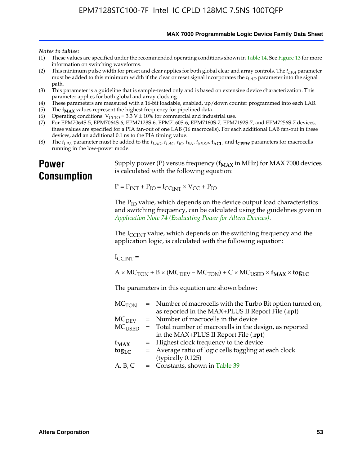**MAX 7000 Programmable Logic Device Family Data Sheet**

#### *Notes to tables:*

- (1) These values are specified under the recommended operating conditions shown in Table 14. See Figure 13 for more information on switching waveforms.
- (2) This minimum pulse width for preset and clear applies for both global clear and array controls. The  $t_{LPA}$  parameter must be added to this minimum width if the clear or reset signal incorporates the *tLAD* parameter into the signal path.
- (3) This parameter is a guideline that is sample-tested only and is based on extensive device characterization. This parameter applies for both global and array clocking.
- (4) These parameters are measured with a 16-bit loadable, enabled, up/down counter programmed into each LAB.
- (5) The  $f_{MAX}$  values represent the highest frequency for pipelined data.
- (6) Operating conditions:  $V_{\text{CCIO}} = 3.3 \text{ V} \pm 10\%$  for commercial and industrial use.
- (7) For EPM7064S-5, EPM7064S-6, EPM7128S-6, EPM7160S-6, EPM7160S-7, EPM7192S-7, and EPM7256S-7 devices, these values are specified for a PIA fan-out of one LAB (16 macrocells). For each additional LAB fan-out in these devices, add an additional 0.1 ns to the PIA timing value.
- (8) The  $t_{LPA}$  parameter must be added to the  $t_{LAD}$ ,  $t_{LAC}$ ,  $t_{IC}$ ,  $t_{EN}$ ,  $t_{SEXP}$ ,  $t_{ACL}$ , and  $t_{CPPW}$  parameters for macrocells running in the low-power mode.

# **Power Consumption**

[Supply power \(P\) versus frequency \(](http://www.altera.com/literature/an/an074.pdf) $f_{MAX}$  in MHz) for MAX 7000 devices is calculated with the following equation:

 $P = P_{INT} + P_{IO} = I_{CCLNT} \times V_{CC} + P_{IO}$ 

The  $P_{IO}$  value, which depends on the device output load characteristics and switching frequency, can be calculated using the guidelines given in *Application Note 74 (Evaluating Power for Altera Devices)*.

The  $I_{\text{CCINT}}$  value, which depends on the switching frequency and the application logic, is calculated with the following equation:

 $I_{\text{CCTNT}} =$ 

 $A \times MC_{TON} + B \times (MC_{DEFU} - MC_{TON}) + C \times MC_{LISED} \times f_{MAX} \times tog_{LC}$ 

The parameters in this equation are shown below:

| $MC$ <sub>TON</sub> | = Number of macrocells with the Turbo Bit option turned on,                |
|---------------------|----------------------------------------------------------------------------|
|                     | as reported in the MAX+PLUS II Report File (.rpt)                          |
| MC <sub>DFV</sub>   | = Number of macrocells in the device                                       |
|                     | $MC_{\text{USED}}$ = Total number of macrocells in the design, as reported |
|                     | in the MAX+PLUS II Report File (.rpt)                                      |
| $f_{MAX}$           | = Highest clock frequency to the device                                    |
| $tog_{LC}$          | = Average ratio of logic cells toggling at each clock                      |
|                     | (typically 0.125)                                                          |
| A, B, C             | = Constants, shown in Table 39                                             |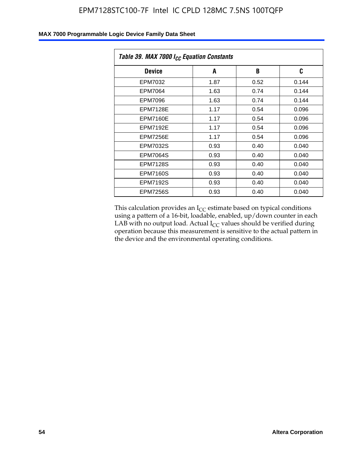| Table 39. MAX 7000 I <sub>CC</sub> Equation Constants |      |      |       |  |  |
|-------------------------------------------------------|------|------|-------|--|--|
| <b>Device</b>                                         | A    | B    | C     |  |  |
| EPM7032                                               | 1.87 | 0.52 | 0.144 |  |  |
| EPM7064                                               | 1.63 | 0.74 | 0.144 |  |  |
| EPM7096                                               | 1.63 | 0.74 | 0.144 |  |  |
| <b>EPM7128E</b>                                       | 1.17 | 0.54 | 0.096 |  |  |
| <b>EPM7160E</b>                                       | 1.17 | 0.54 | 0.096 |  |  |
| <b>EPM7192E</b>                                       | 1.17 | 0.54 | 0.096 |  |  |
| <b>EPM7256E</b>                                       | 1.17 | 0.54 | 0.096 |  |  |
| <b>EPM7032S</b>                                       | 0.93 | 0.40 | 0.040 |  |  |
| EPM7064S                                              | 0.93 | 0.40 | 0.040 |  |  |
| <b>EPM7128S</b>                                       | 0.93 | 0.40 | 0.040 |  |  |
| <b>EPM7160S</b>                                       | 0.93 | 0.40 | 0.040 |  |  |
| <b>EPM7192S</b>                                       | 0.93 | 0.40 | 0.040 |  |  |
| <b>EPM7256S</b>                                       | 0.93 | 0.40 | 0.040 |  |  |

This calculation provides an  $I_{CC}$  estimate based on typical conditions using a pattern of a 16-bit, loadable, enabled, up/down counter in each LAB with no output load. Actual  $I_{CC}$  values should be verified during operation because this measurement is sensitive to the actual pattern in the device and the environmental operating conditions.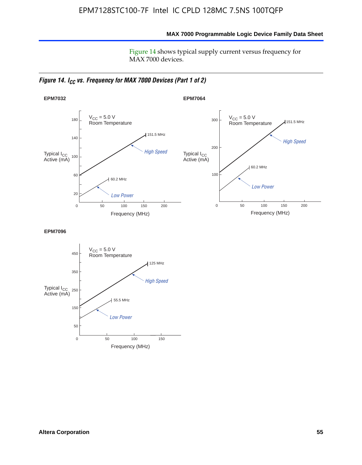**MAX 7000 Programmable Logic Device Family Data Sheet**

Figure 14 shows typical supply current versus frequency for MAX 7000 devices.

*Figure 14. I<sub>CC</sub> vs. Frequency for MAX 7000 Devices (Part 1 of 2)* 



**EPM7096**

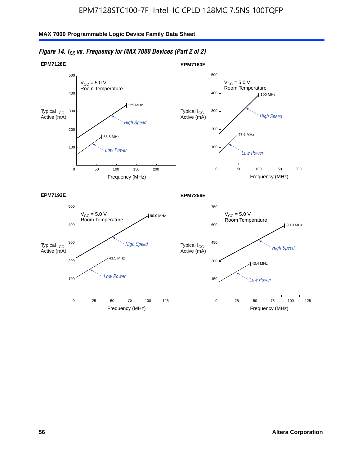

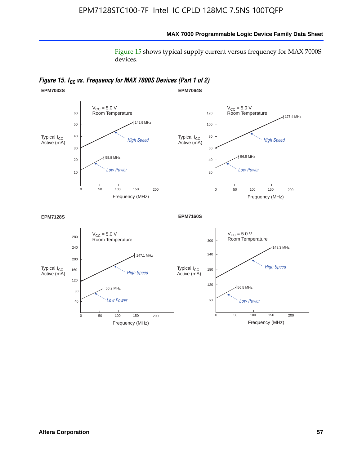# **MAX 7000 Programmable Logic Device Family Data Sheet**

Figure 15 shows typical supply current versus frequency for MAX 7000S devices.

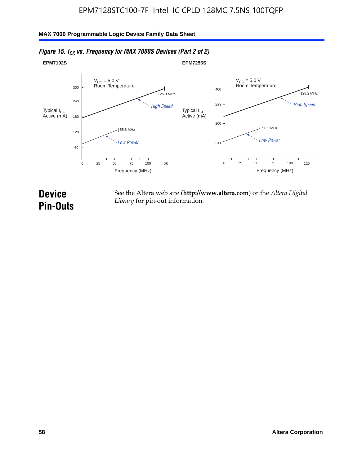#### **EPM7192S** V<sub>CC</sub> = 5.0 V<br>Room Temperature 0 Frequency (MHz) High Speed Low Power 25 100 125 125.0 MHz 55.6 MHz 60 120 180 240 300 50 75 **EPM7256S** V<sub>CC</sub> = 5.0 V<br>Room Temperature 0 Frequency (MHz) High Speed Low Power 25 100 125 128.2 MHz 56.2 MHz 100 200 300 400 50 75 Typical I<sub>CC</sub><br>Active (mA) Typical I<sub>CC</sub> Typical I<sub>CC</sub> Typical I<sub>C</sub> Typical I<sub>C</sub> Typical I<sub>C</sub> Typical I<sub>C</sub> Typical I<sub>C</sub> Typical I<sub>C</sub> Typical I<sub>C</sub> Typical I<sub>C</sub> Typical I<sub>C</sub> Typical I<sub>C</sub> Typical I<sub>C</sub> Typical I<sub>C</sub> Typical I<sub>C</sub> Typical I<sub>C</sub> Typical I<sub>C</sub> Typical I<sub>CC</sub><br>Active (mA)

# *Figure 15. I<sub>CC</sub> vs. Frequency for MAX 7000S Devices (Part 2 of 2)*

# **Device Pin-Outs**

See the Altera web site (**http://www.altera.com**) or the *Altera Digital Library* for pin-out information.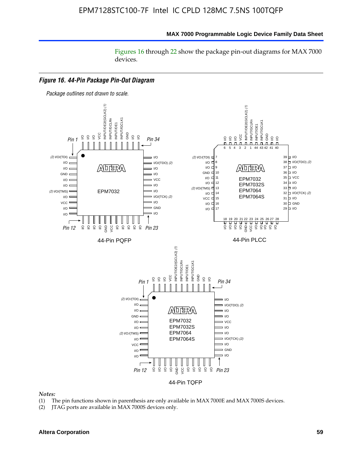#### **MAX 7000 Programmable Logic Device Family Data Sheet**

Figures 16 through 22 show the package pin-out diagrams for MAX 7000 devices.



#### *Notes:*

- (1) The pin functions shown in parenthesis are only available in MAX 7000E and MAX 7000S devices.
- (2) JTAG ports are available in MAX 7000S devices only.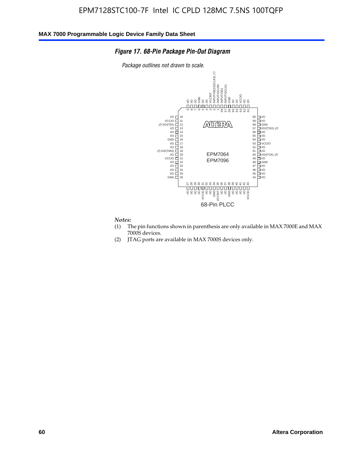#### *Figure 17. 68-Pin Package Pin-Out Diagram*

*Package outlines not drawn to scale.*



#### *Notes:*

- (1) The pin functions shown in parenthesis are only available in MAX 7000E and MAX 7000S devices.
- (2) JTAG ports are available in MAX 7000S devices only.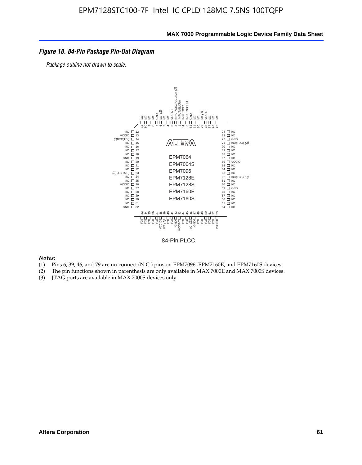#### *Figure 18. 84-Pin Package Pin-Out Diagram*

*Package outline not drawn to scale.*



84-Pin PLCC

*Notes:*

- (1) Pins 6, 39, 46, and 79 are no-connect (N.C.) pins on EPM7096, EPM7160E, and EPM7160S devices.
- (2) The pin functions shown in parenthesis are only available in MAX 7000E and MAX 7000S devices.
-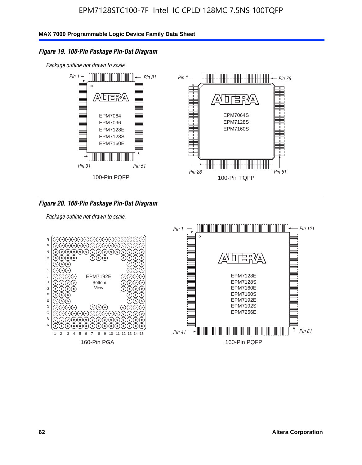# *Figure 19. 100-Pin Package Pin-Out Diagram*

*Package outline not drawn to scale.*



### *Figure 20. 160-Pin Package Pin-Out Diagram*

*Package outline not drawn to scale.*

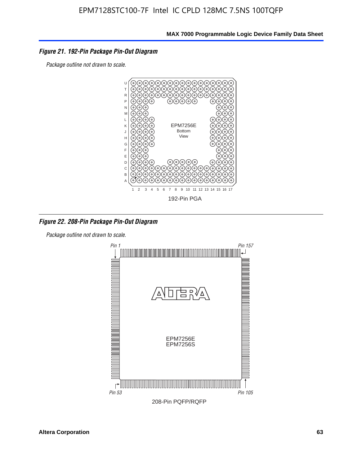#### *Figure 21. 192-Pin Package Pin-Out Diagram*

*Package outline not drawn to scale.*



*Figure 22. 208-Pin Package Pin-Out Diagram*

*Package outline not drawn to scale.*

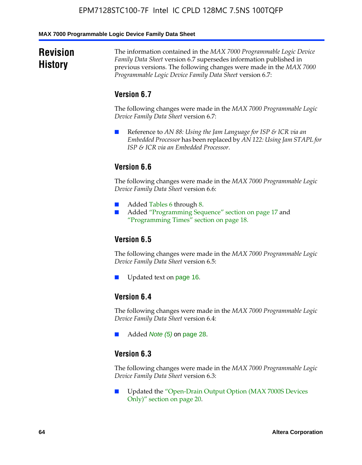#### **MAX 7000 Programmable Logic Device Family Data Sheet**

# **Revision History**

The information contained in the *MAX 7000 Programmable Logic Device Family Data Sheet* version 6.7 supersedes information published in previous versions. The following changes were made in the *MAX 7000 Programmable Logic Device Family Data Sheet* version 6.7:

# **Version 6.7**

The following changes were made in the *MAX 7000 Programmable Logic Device Family Data Sheet* version 6.7:

■ Reference to *AN 88: Using the Jam Language for ISP & ICR via an Embedded Processor* has been replaced by *AN 122: Using Jam STAPL for ISP & ICR via an Embedded Processor*.

# **Version 6.6**

The following changes were made in the *MAX 7000 Programmable Logic Device Family Data Sheet* version 6.6:

- Added Tables 6 through 8.
- Added "Programming Sequence" section on page 17 and "Programming Times" section on page 18.

# **Version 6.5**

The following changes were made in the *MAX 7000 Programmable Logic Device Family Data Sheet* version 6.5:

Updated text on page 16.

# **Version 6.4**

The following changes were made in the *MAX 7000 Programmable Logic Device Family Data Sheet* version 6.4:

■ Added *Note (5)* on page 28.

### **Version 6.3**

The following changes were made in the *MAX 7000 Programmable Logic Device Family Data Sheet* version 6.3:

■ Updated the "Open-Drain Output Option (MAX 7000S Devices Only)" section on page 20.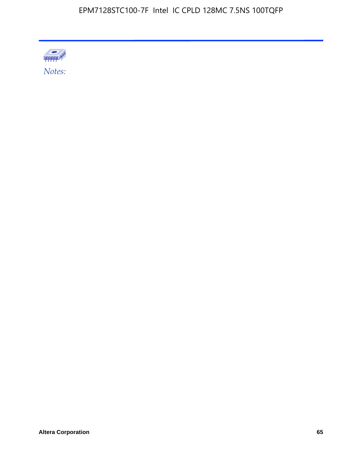

Altera Corporation 65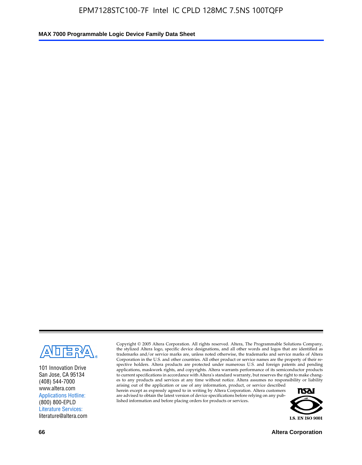

101 Innovation Drive San Jose, CA 95134 (408) 544-7000 www.altera.com Applications Hotline: (800) 800-EPLD Literature Services: literature@altera.com

Copyright © 2005 Altera Corporation. All rights reserved. Altera, The Programmable Solutions Company, the stylized Altera logo, specific device designations, and all other words and logos that are identified as trademarks and/or service marks are, unless noted otherwise, the trademarks and service marks of Altera Corporation in the U.S. and other countries. All other product or service names are the property of their respective holders. Altera products are protected under numerous U.S. and foreign patents and pending applications, maskwork rights, and copyrights. Altera warrants performance of its semiconductor products to current specifications in accordance with Altera's standard warranty, but reserves the right to make changes to any products and services at any time without notice. Altera assumes no responsibility or liability

arising out of the application or use of any information, product, or service described herein except as expressly agreed to in writing by Altera Corporation. Altera customers are advised to obtain the latest version of device specifications before relying on any published information and before placing orders for products or services.



**66 Altera Corporation**